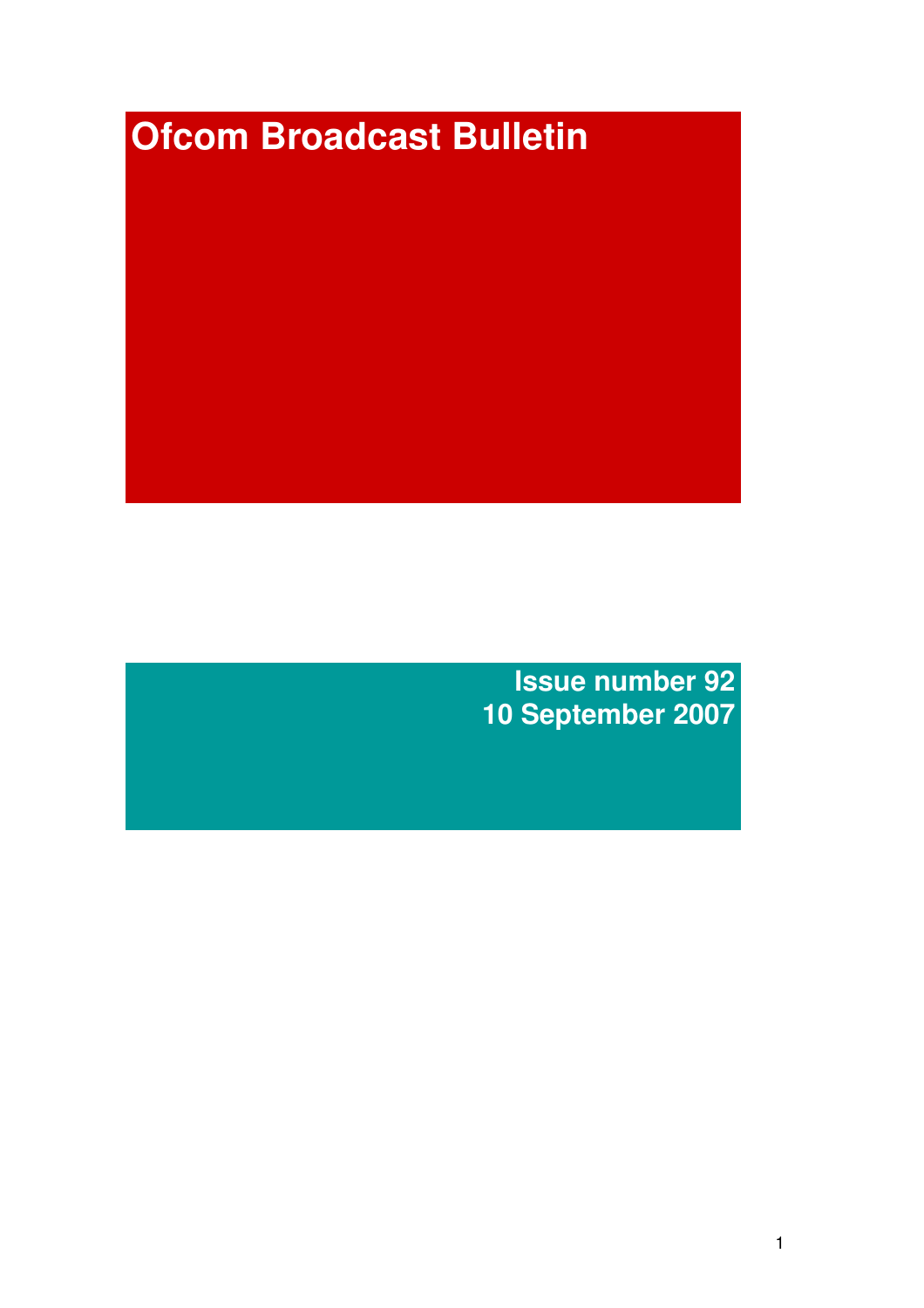# **Ofcom Broadcast Bulletin**

**Issue number 92 10 September 2007**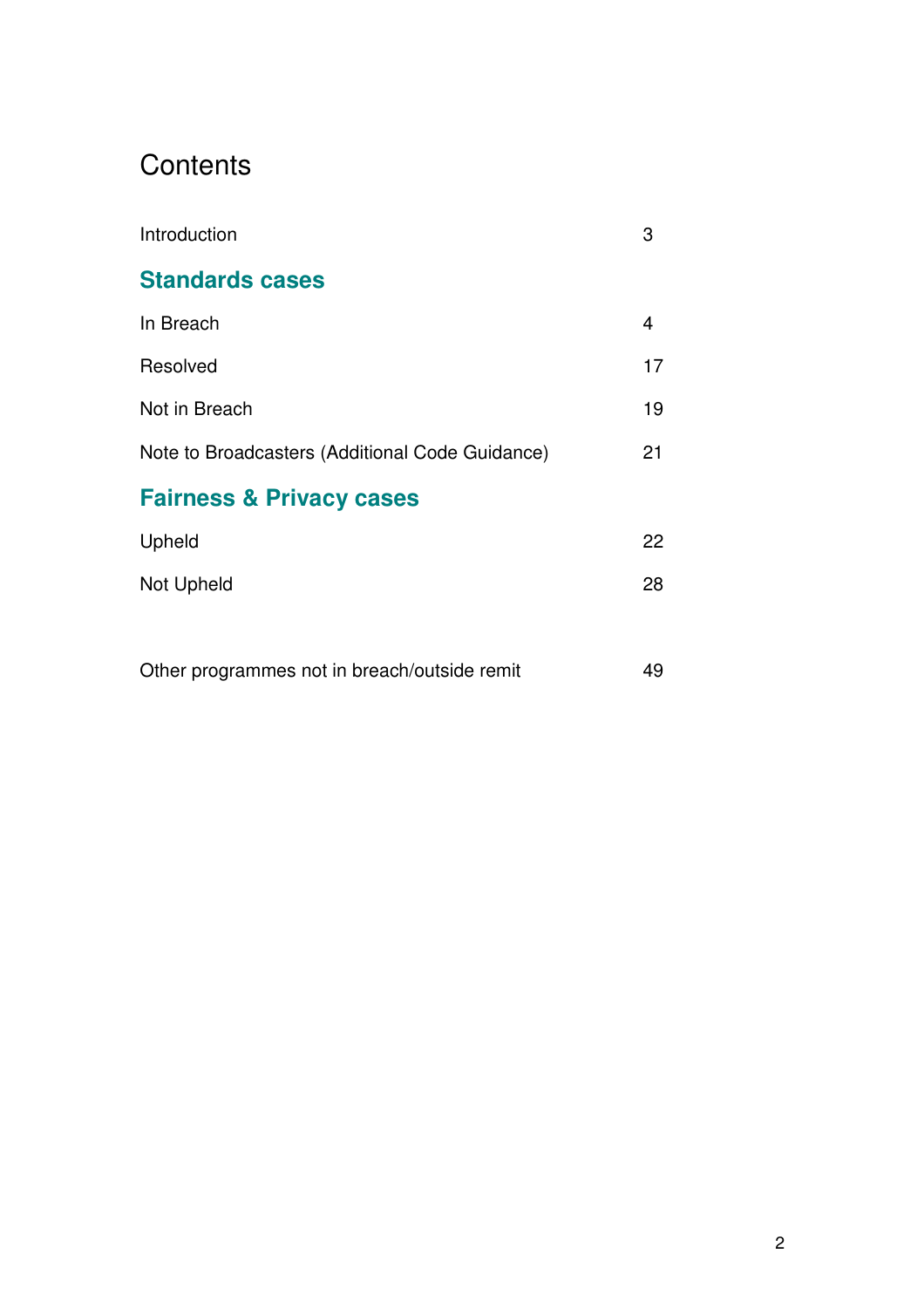# **Contents**

| Introduction                                    | 3  |
|-------------------------------------------------|----|
| <b>Standards cases</b>                          |    |
| In Breach                                       | 4  |
| Resolved                                        | 17 |
| Not in Breach                                   | 19 |
| Note to Broadcasters (Additional Code Guidance) | 21 |
| <b>Fairness &amp; Privacy cases</b>             |    |
| Upheld                                          | 22 |
| Not Upheld                                      | 28 |
|                                                 |    |
| Other programmes not in breach/outside remit    | 49 |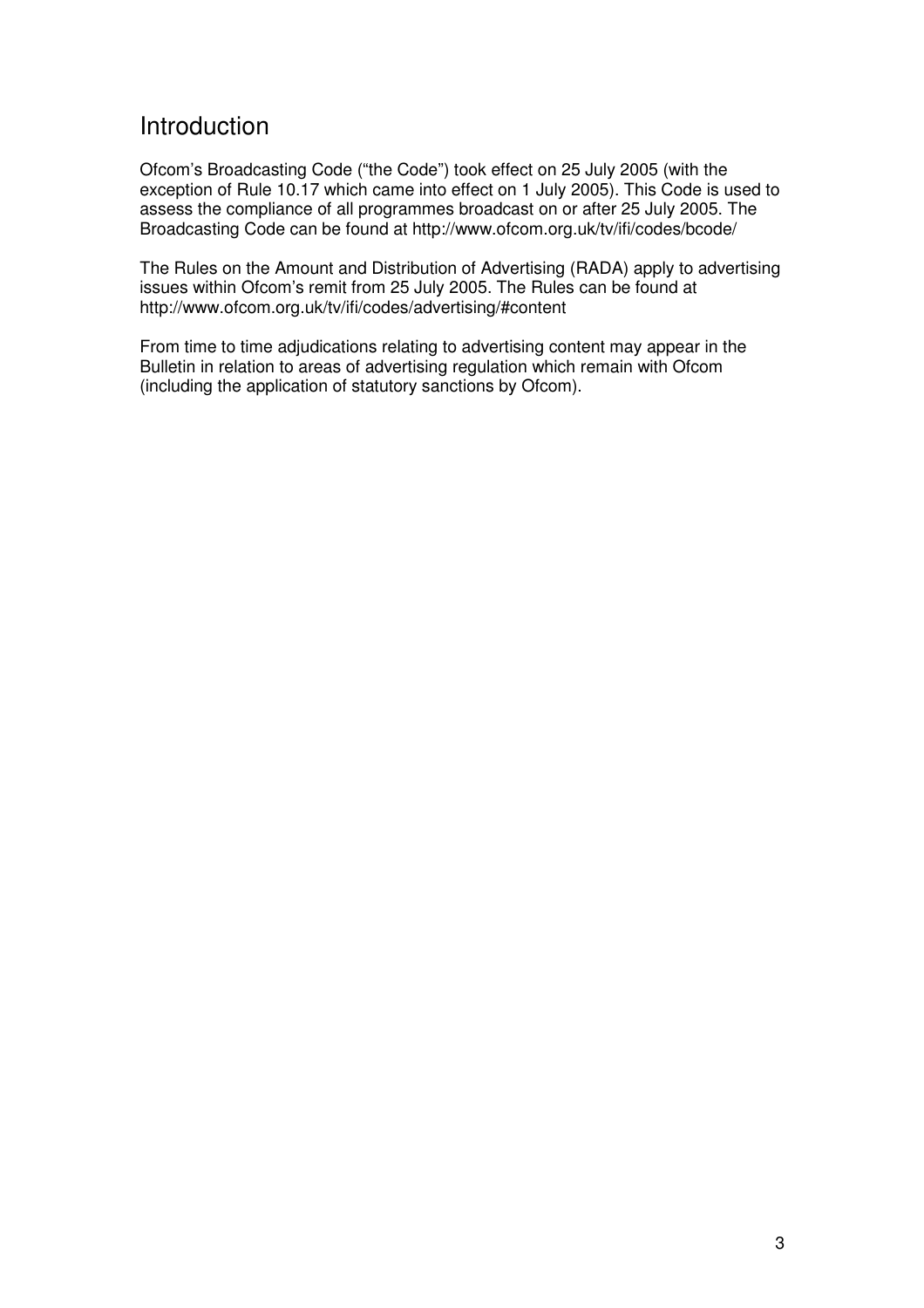# Introduction

Ofcom's Broadcasting Code ("the Code") took effect on 25 July 2005 (with the exception of Rule 10.17 which came into effect on 1 July 2005). This Code is used to assess the compliance of all programmes broadcast on or after 25 July 2005. The Broadcasting Code can be found at http://www.ofcom.org.uk/tv/ifi/codes/bcode/

The Rules on the Amount and Distribution of Advertising (RADA) apply to advertising issues within Ofcom's remit from 25 July 2005. The Rules can be found at http://www.ofcom.org.uk/tv/ifi/codes/advertising/#content

From time to time adjudications relating to advertising content may appear in the Bulletin in relation to areas of advertising regulation which remain with Ofcom (including the application of statutory sanctions by Ofcom).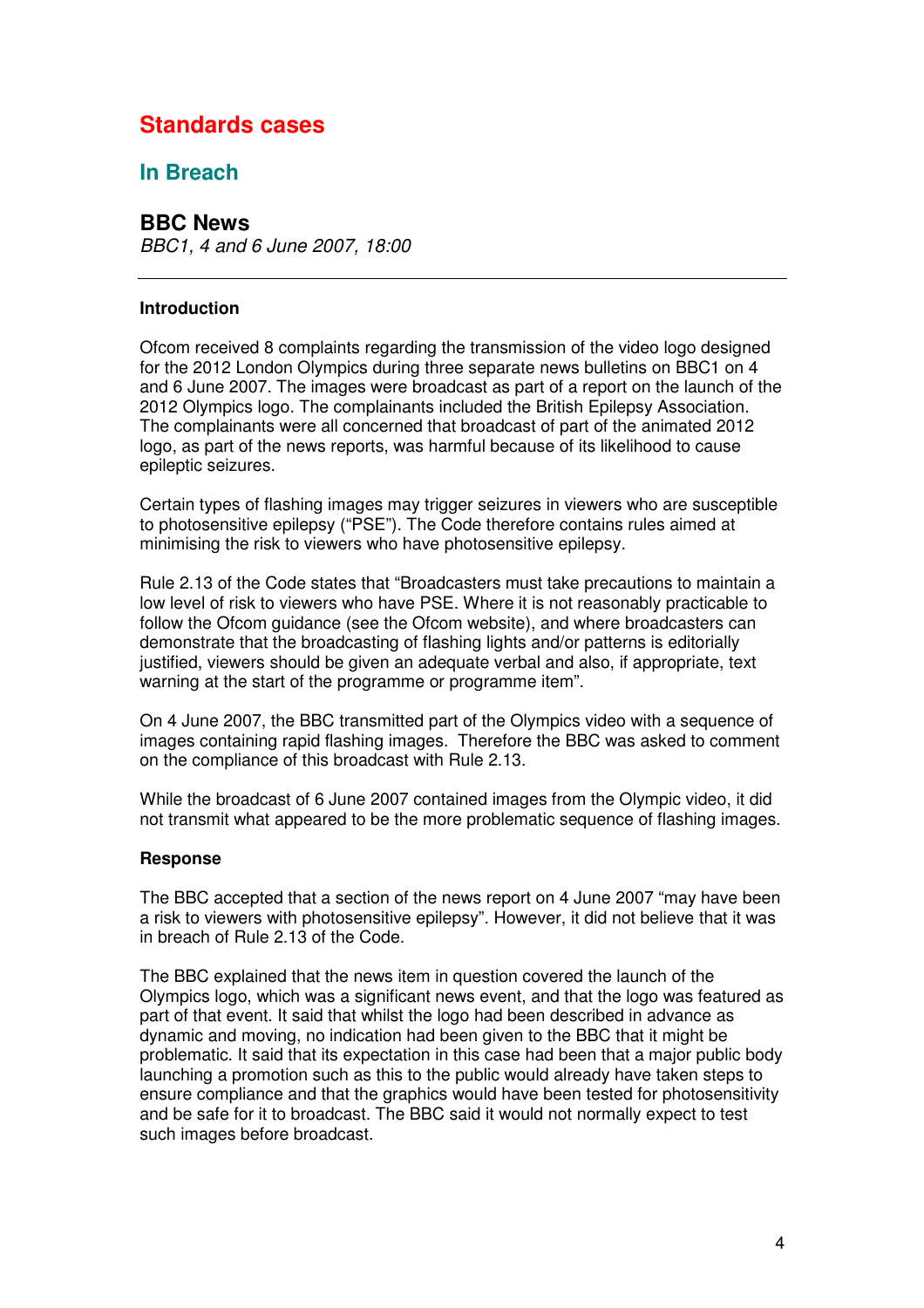# **Standards cases**

# **In Breach**

# **BBC News**

*BBC1, 4 and 6 June 2007, 18:00*

#### **Introduction**

Ofcom received 8 complaints regarding the transmission of the video logo designed for the 2012 London Olympics during three separate news bulletins on BBC1 on 4 and 6 June 2007. The images were broadcast as part of a report on the launch of the 2012 Olympics logo. The complainants included the British Epilepsy Association. The complainants were all concerned that broadcast of part of the animated 2012 logo, as part of the news reports, was harmful because of its likelihood to cause epileptic seizures.

Certain types of flashing images may trigger seizures in viewers who are susceptible to photosensitive epilepsy ("PSE"). The Code therefore contains rules aimed at minimising the risk to viewers who have photosensitive epilepsy.

Rule 2.13 of the Code states that "Broadcasters must take precautions to maintain a low level of risk to viewers who have PSE. Where it is not reasonably practicable to follow the Ofcom guidance (see the Ofcom website), and where broadcasters can demonstrate that the broadcasting of flashing lights and/or patterns is editorially justified, viewers should be given an adequate verbal and also, if appropriate, text warning at the start of the programme or programme item".

On 4 June 2007, the BBC transmitted part of the Olympics video with a sequence of images containing rapid flashing images. Therefore the BBC was asked to comment on the compliance of this broadcast with Rule 2.13.

While the broadcast of 6 June 2007 contained images from the Olympic video, it did not transmit what appeared to be the more problematic sequence of flashing images.

#### **Response**

The BBC accepted that a section of the news report on 4 June 2007 "may have been a risk to viewers with photosensitive epilepsy". However, it did not believe that it was in breach of Rule 2.13 of the Code.

The BBC explained that the news item in question covered the launch of the Olympics logo, which was a significant news event, and that the logo was featured as part of that event. It said that whilst the logo had been described in advance as dynamic and moving, no indication had been given to the BBC that it might be problematic. It said that its expectation in this case had been that a major public body launching a promotion such as this to the public would already have taken steps to ensure compliance and that the graphics would have been tested for photosensitivity and be safe for it to broadcast. The BBC said it would not normally expect to test such images before broadcast.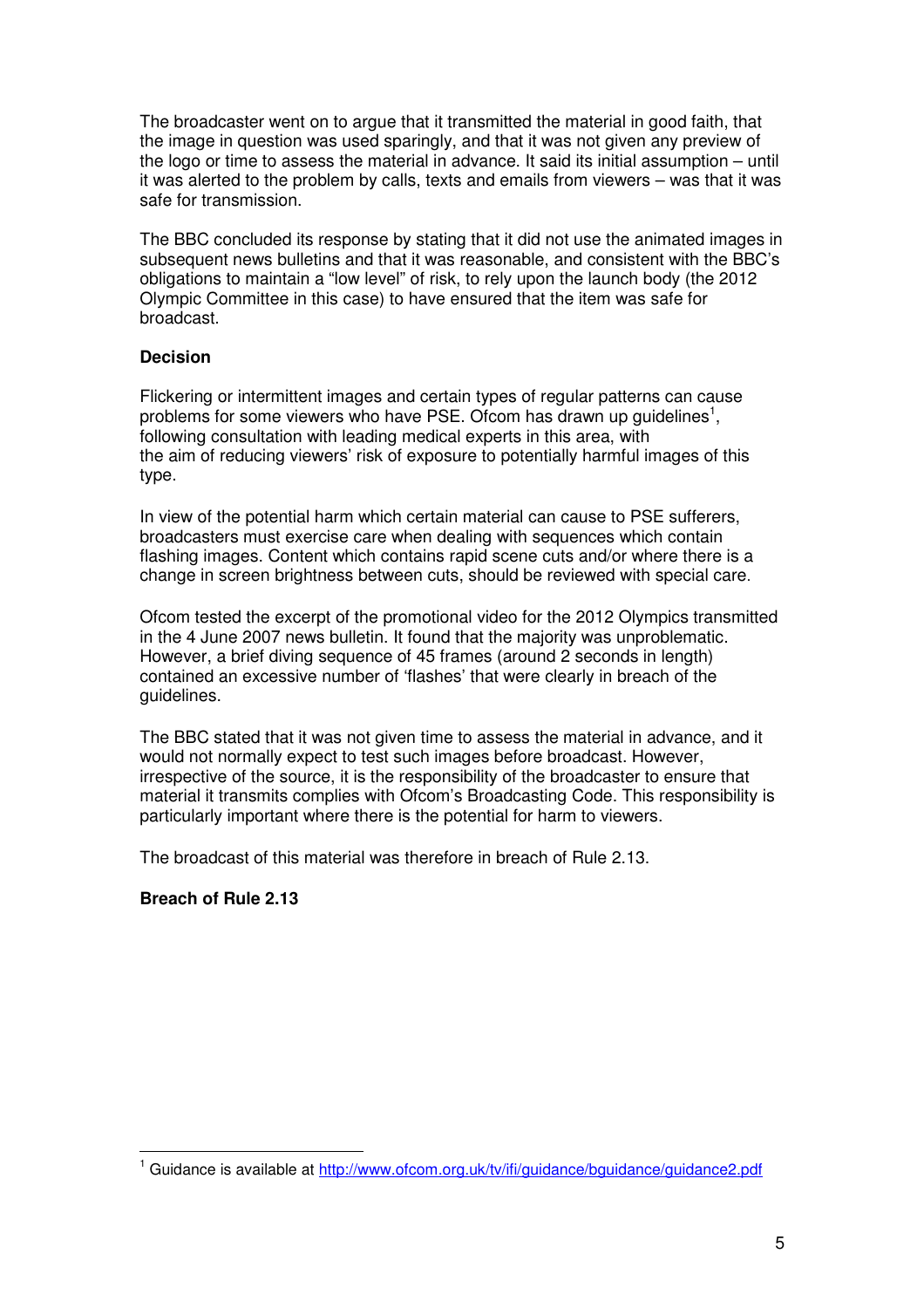The broadcaster went on to argue that it transmitted the material in good faith, that the image in question was used sparingly, and that it was not given any preview of the logo or time to assess the material in advance. It said its initial assumption – until it was alerted to the problem by calls, texts and emails from viewers – was that it was safe for transmission.

The BBC concluded its response by stating that it did not use the animated images in subsequent news bulletins and that it was reasonable, and consistent with the BBC's obligations to maintain a "low level" of risk, to rely upon the launch body (the 2012 Olympic Committee in this case) to have ensured that the item was safe for broadcast.

# **Decision**

Flickering or intermittent images and certain types of regular patterns can cause problems for some viewers who have PSE. Ofcom has drawn up guidelines<sup>1</sup>, following consultation with leading medical experts in this area, with the aim of reducing viewers' risk of exposure to potentially harmful images of this type.

In view of the potential harm which certain material can cause to PSE sufferers, broadcasters must exercise care when dealing with sequences which contain flashing images. Content which contains rapid scene cuts and/or where there is a change in screen brightness between cuts, should be reviewed with special care.

Ofcom tested the excerpt of the promotional video for the 2012 Olympics transmitted in the 4 June 2007 news bulletin. It found that the majority was unproblematic. However, a brief diving sequence of 45 frames (around 2 seconds in length) contained an excessive number of 'flashes' that were clearly in breach of the guidelines.

The BBC stated that it was not given time to assess the material in advance, and it would not normally expect to test such images before broadcast. However, irrespective of the source, it is the responsibility of the broadcaster to ensure that material it transmits complies with Ofcom's Broadcasting Code. This responsibility is particularly important where there is the potential for harm to viewers.

The broadcast of this material was therefore in breach of Rule 2.13.

# **Breach of Rule 2.13**

<sup>&</sup>lt;sup>1</sup> Guidance is available at http://www.ofcom.org.uk/tv/ifi/guidance/bguidance/guidance2.pdf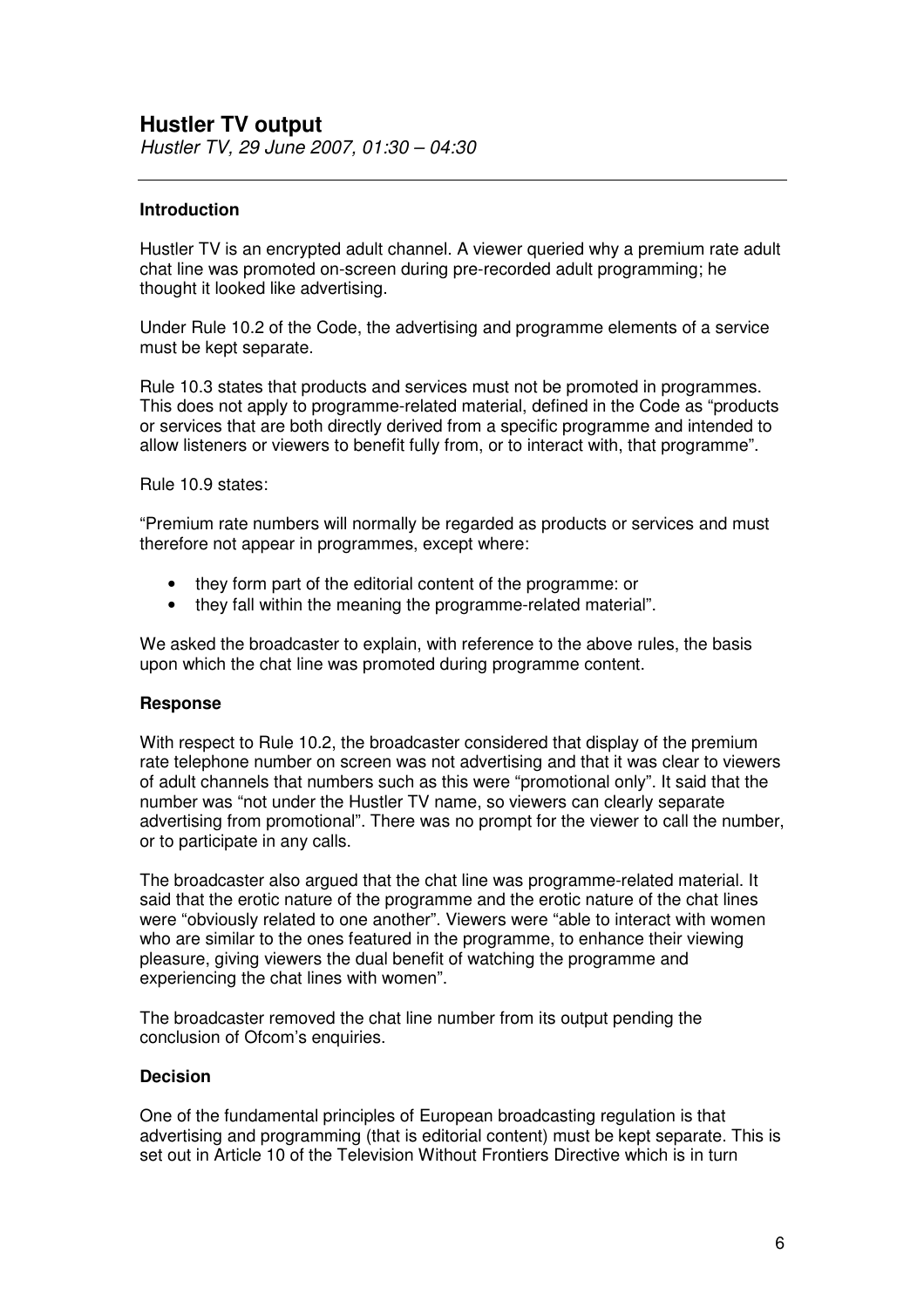# **Hustler TV output**

*Hustler TV, 29 June 2007, 01:30 – 04:30*

# **Introduction**

Hustler TV is an encrypted adult channel. A viewer queried why a premium rate adult chat line was promoted on-screen during pre-recorded adult programming; he thought it looked like advertising.

Under Rule 10.2 of the Code, the advertising and programme elements of a service must be kept separate.

Rule 10.3 states that products and services must not be promoted in programmes. This does not apply to programme-related material, defined in the Code as "products or services that are both directly derived from a specific programme and intended to allow listeners or viewers to benefit fully from, or to interact with, that programme".

Rule 10.9 states:

"Premium rate numbers will normally be regarded as products or services and must therefore not appear in programmes, except where:

- they form part of the editorial content of the programme: or
- they fall within the meaning the programme-related material".

We asked the broadcaster to explain, with reference to the above rules, the basis upon which the chat line was promoted during programme content.

#### **Response**

With respect to Rule 10.2, the broadcaster considered that display of the premium rate telephone number on screen was not advertising and that it was clear to viewers of adult channels that numbers such as this were "promotional only". It said that the number was "not under the Hustler TV name, so viewers can clearly separate advertising from promotional". There was no prompt for the viewer to call the number, or to participate in any calls.

The broadcaster also argued that the chat line was programme-related material. It said that the erotic nature of the programme and the erotic nature of the chat lines were "obviously related to one another". Viewers were "able to interact with women who are similar to the ones featured in the programme, to enhance their viewing pleasure, giving viewers the dual benefit of watching the programme and experiencing the chat lines with women".

The broadcaster removed the chat line number from its output pending the conclusion of Ofcom's enquiries.

#### **Decision**

One of the fundamental principles of European broadcasting regulation is that advertising and programming (that is editorial content) must be kept separate. This is set out in Article 10 of the Television Without Frontiers Directive which is in turn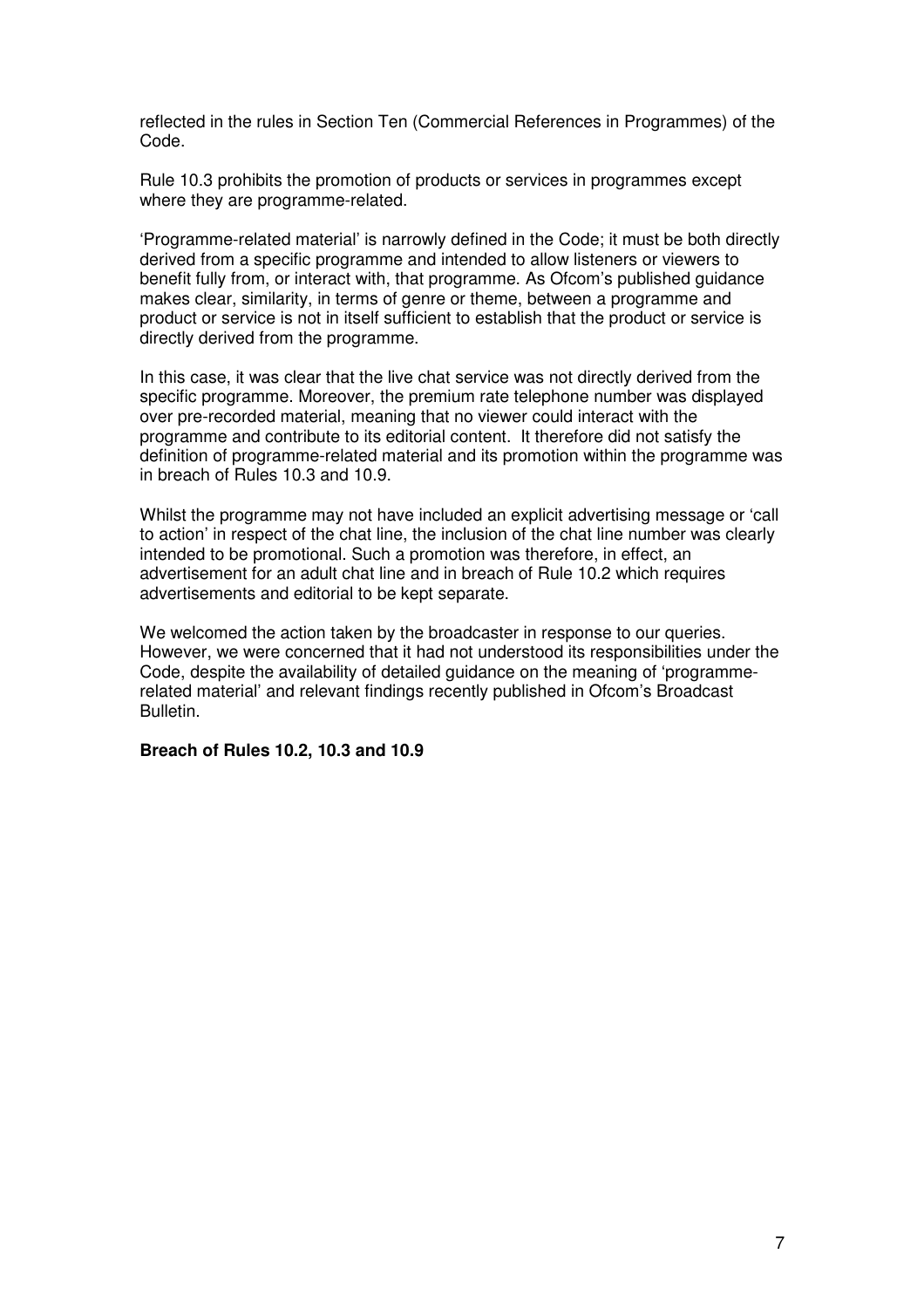reflected in the rules in Section Ten (Commercial References in Programmes) of the Code.

Rule 10.3 prohibits the promotion of products or services in programmes except where they are programme-related.

'Programme-related material' is narrowly defined in the Code; it must be both directly derived from a specific programme and intended to allow listeners or viewers to benefit fully from, or interact with, that programme. As Ofcom's published guidance makes clear, similarity, in terms of genre or theme, between a programme and product or service is not in itself sufficient to establish that the product or service is directly derived from the programme.

In this case, it was clear that the live chat service was not directly derived from the specific programme. Moreover, the premium rate telephone number was displayed over pre-recorded material, meaning that no viewer could interact with the programme and contribute to its editorial content. It therefore did not satisfy the definition of programme-related material and its promotion within the programme was in breach of Rules 10.3 and 10.9.

Whilst the programme may not have included an explicit advertising message or 'call to action' in respect of the chat line, the inclusion of the chat line number was clearly intended to be promotional. Such a promotion was therefore, in effect, an advertisement for an adult chat line and in breach of Rule 10.2 which requires advertisements and editorial to be kept separate.

We welcomed the action taken by the broadcaster in response to our queries. However, we were concerned that it had not understood its responsibilities under the Code, despite the availability of detailed guidance on the meaning of 'programmerelated material' and relevant findings recently published in Ofcom's Broadcast Bulletin.

#### **Breach of Rules 10.2, 10.3 and 10.9**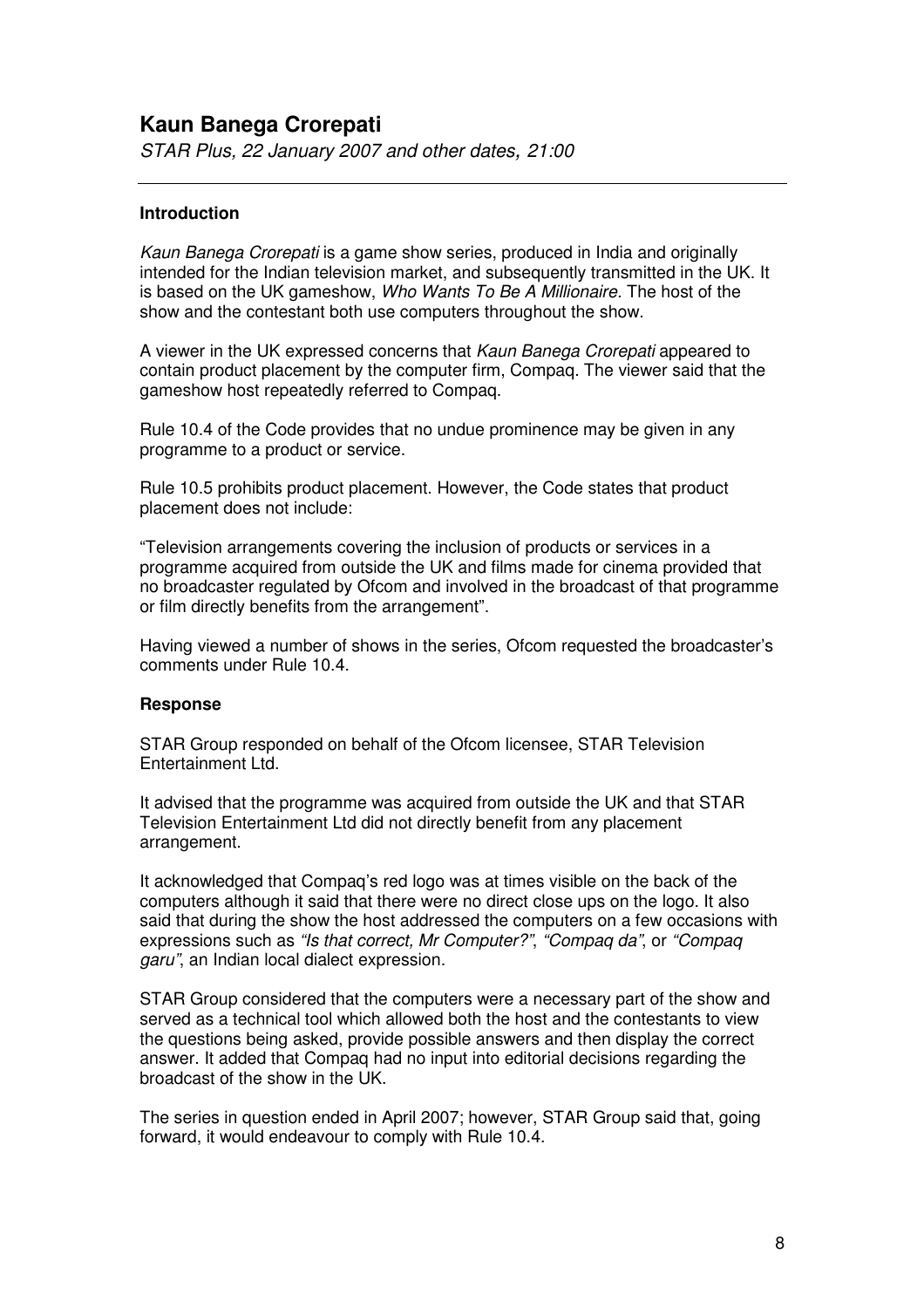# **Kaun Banega Crorepati**

*STAR Plus, 22 January 2007 and other dates, 21:00*

#### **Introduction**

*Kaun Banega Crorepati* is a game show series, produced in India and originally intended for the Indian television market, and subsequently transmitted in the UK. It is based on the UK gameshow, *Who Wants To Be A Millionaire.* The host of the show and the contestant both use computers throughout the show.

A viewer in the UK expressed concerns that *Kaun Banega Crorepati* appeared to contain product placement by the computer firm, Compaq. The viewer said that the gameshow host repeatedly referred to Compaq.

Rule 10.4 of the Code provides that no undue prominence may be given in any programme to a product or service.

Rule 10.5 prohibits product placement. However, the Code states that product placement does not include:

"Television arrangements covering the inclusion of products or services in a programme acquired from outside the UK and films made for cinema provided that no broadcaster regulated by Ofcom and involved in the broadcast of that programme or film directly benefits from the arrangement".

Having viewed a number of shows in the series, Ofcom requested the broadcaster's comments under Rule 10.4.

#### **Response**

STAR Group responded on behalf of the Ofcom licensee, STAR Television Entertainment Ltd.

It advised that the programme was acquired from outside the UK and that STAR Television Entertainment Ltd did not directly benefit from any placement arrangement.

It acknowledged that Compaq's red logo was at times visible on the back of the computers although it said that there were no direct close ups on the logo. It also said that during the show the host addressed the computers on a few occasions with expressions such as *"Is that correct, Mr Computer?"*, *"Compaq da"*, or *"Compaq garu"*, an Indian local dialect expression.

STAR Group considered that the computers were a necessary part of the show and served as a technical tool which allowed both the host and the contestants to view the questions being asked, provide possible answers and then display the correct answer. It added that Compaq had no input into editorial decisions regarding the broadcast of the show in the UK.

The series in question ended in April 2007; however, STAR Group said that, going forward, it would endeavour to comply with Rule 10.4.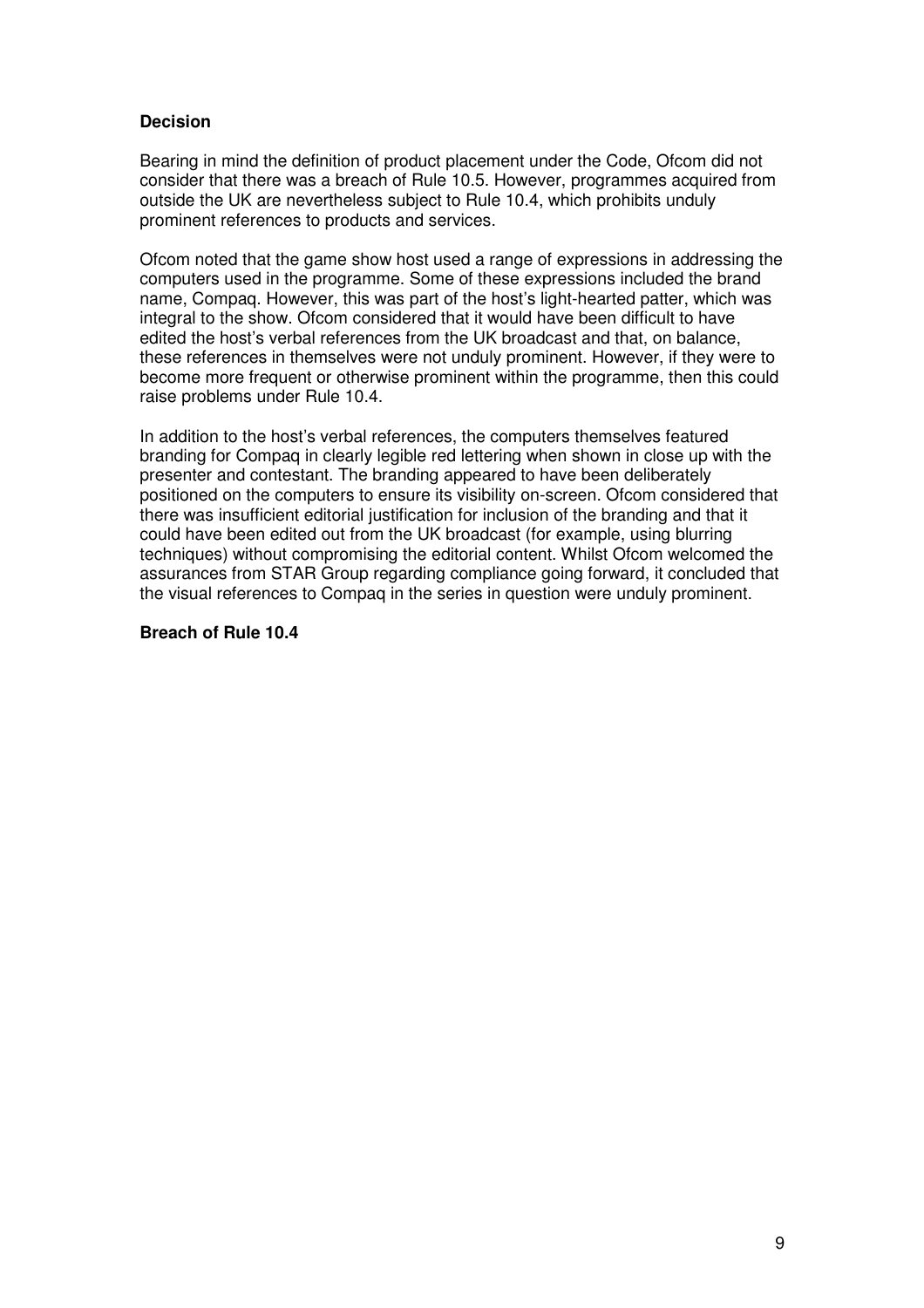# **Decision**

Bearing in mind the definition of product placement under the Code, Ofcom did not consider that there was a breach of Rule 10.5. However, programmes acquired from outside the UK are nevertheless subject to Rule 10.4, which prohibits unduly prominent references to products and services.

Ofcom noted that the game show host used a range of expressions in addressing the computers used in the programme. Some of these expressions included the brand name, Compaq. However, this was part of the host's light-hearted patter, which was integral to the show. Ofcom considered that it would have been difficult to have edited the host's verbal references from the UK broadcast and that, on balance, these references in themselves were not unduly prominent. However, if they were to become more frequent or otherwise prominent within the programme, then this could raise problems under Rule 10.4.

In addition to the host's verbal references, the computers themselves featured branding for Compaq in clearly legible red lettering when shown in close up with the presenter and contestant. The branding appeared to have been deliberately positioned on the computers to ensure its visibility on-screen. Ofcom considered that there was insufficient editorial justification for inclusion of the branding and that it could have been edited out from the UK broadcast (for example, using blurring techniques) without compromising the editorial content. Whilst Ofcom welcomed the assurances from STAR Group regarding compliance going forward, it concluded that the visual references to Compaq in the series in question were unduly prominent.

#### **Breach of Rule 10.4**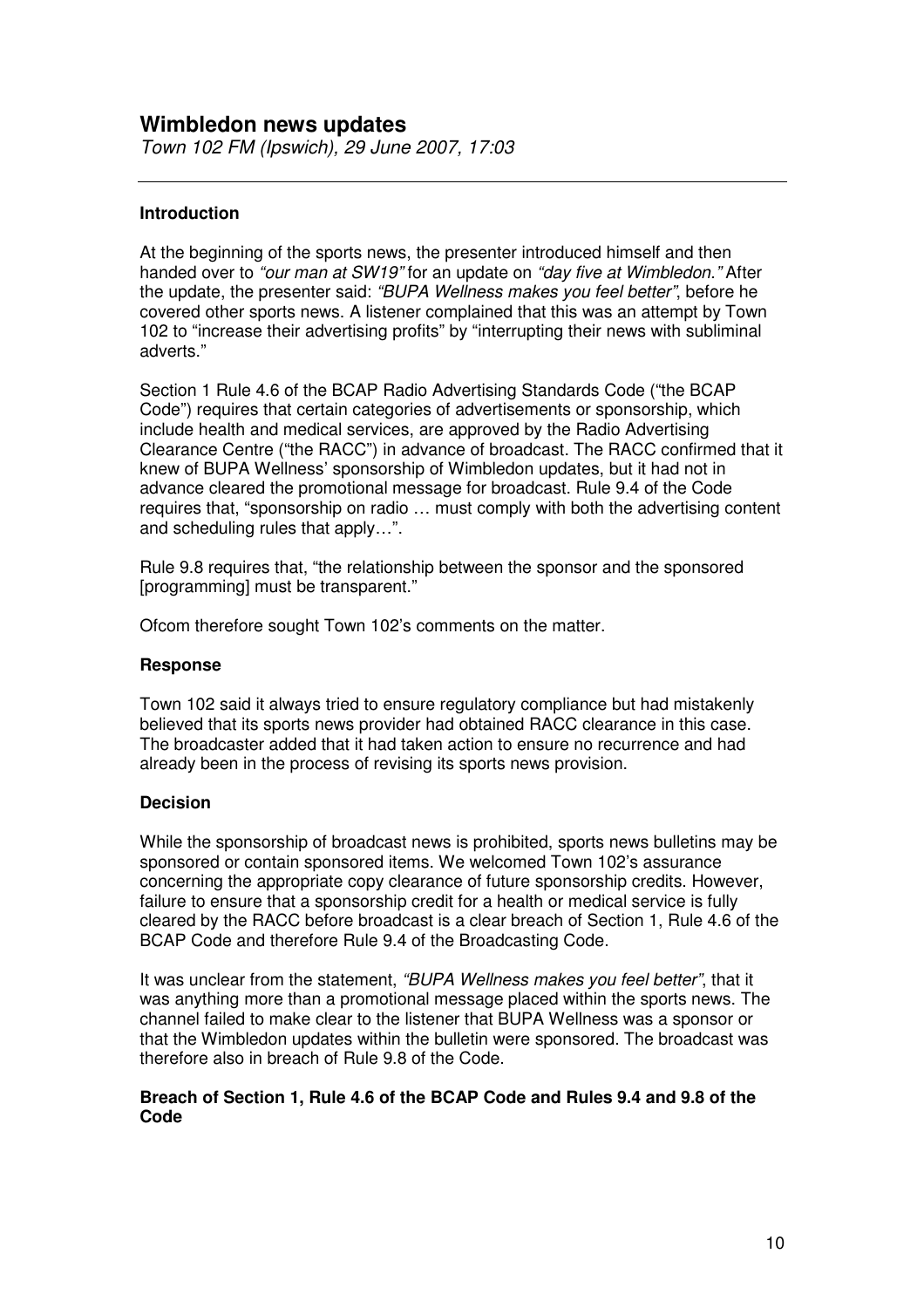# **Wimbledon news updates**

*Town 102 FM (Ipswich), 29 June 2007, 17:03*

#### **Introduction**

At the beginning of the sports news, the presenter introduced himself and then handed over to *"our man at SW19"* for an update on *"day five at Wimbledon."* After the update, the presenter said: *"BUPA Wellness makes you feel better"*, before he covered other sports news. A listener complained that this was an attempt by Town 102 to "increase their advertising profits" by "interrupting their news with subliminal adverts."

Section 1 Rule 4.6 of the BCAP Radio Advertising Standards Code ("the BCAP Code") requires that certain categories of advertisements or sponsorship, which include health and medical services, are approved by the Radio Advertising Clearance Centre ("the RACC") in advance of broadcast. The RACC confirmed that it knew of BUPA Wellness' sponsorship of Wimbledon updates, but it had not in advance cleared the promotional message for broadcast. Rule 9.4 of the Code requires that, "sponsorship on radio … must comply with both the advertising content and scheduling rules that apply…".

Rule 9.8 requires that, "the relationship between the sponsor and the sponsored [programming] must be transparent."

Ofcom therefore sought Town 102's comments on the matter.

#### **Response**

Town 102 said it always tried to ensure regulatory compliance but had mistakenly believed that its sports news provider had obtained RACC clearance in this case. The broadcaster added that it had taken action to ensure no recurrence and had already been in the process of revising its sports news provision.

#### **Decision**

While the sponsorship of broadcast news is prohibited, sports news bulletins may be sponsored or contain sponsored items. We welcomed Town 102's assurance concerning the appropriate copy clearance of future sponsorship credits. However, failure to ensure that a sponsorship credit for a health or medical service is fully cleared by the RACC before broadcast is a clear breach of Section 1, Rule 4.6 of the BCAP Code and therefore Rule 9.4 of the Broadcasting Code.

It was unclear from the statement, *"BUPA Wellness makes you feel better"*, that it was anything more than a promotional message placed within the sports news. The channel failed to make clear to the listener that BUPA Wellness was a sponsor or that the Wimbledon updates within the bulletin were sponsored. The broadcast was therefore also in breach of Rule 9.8 of the Code.

# **Breach of Section 1, Rule 4.6 of the BCAP Code and Rules 9.4 and 9.8 of the Code**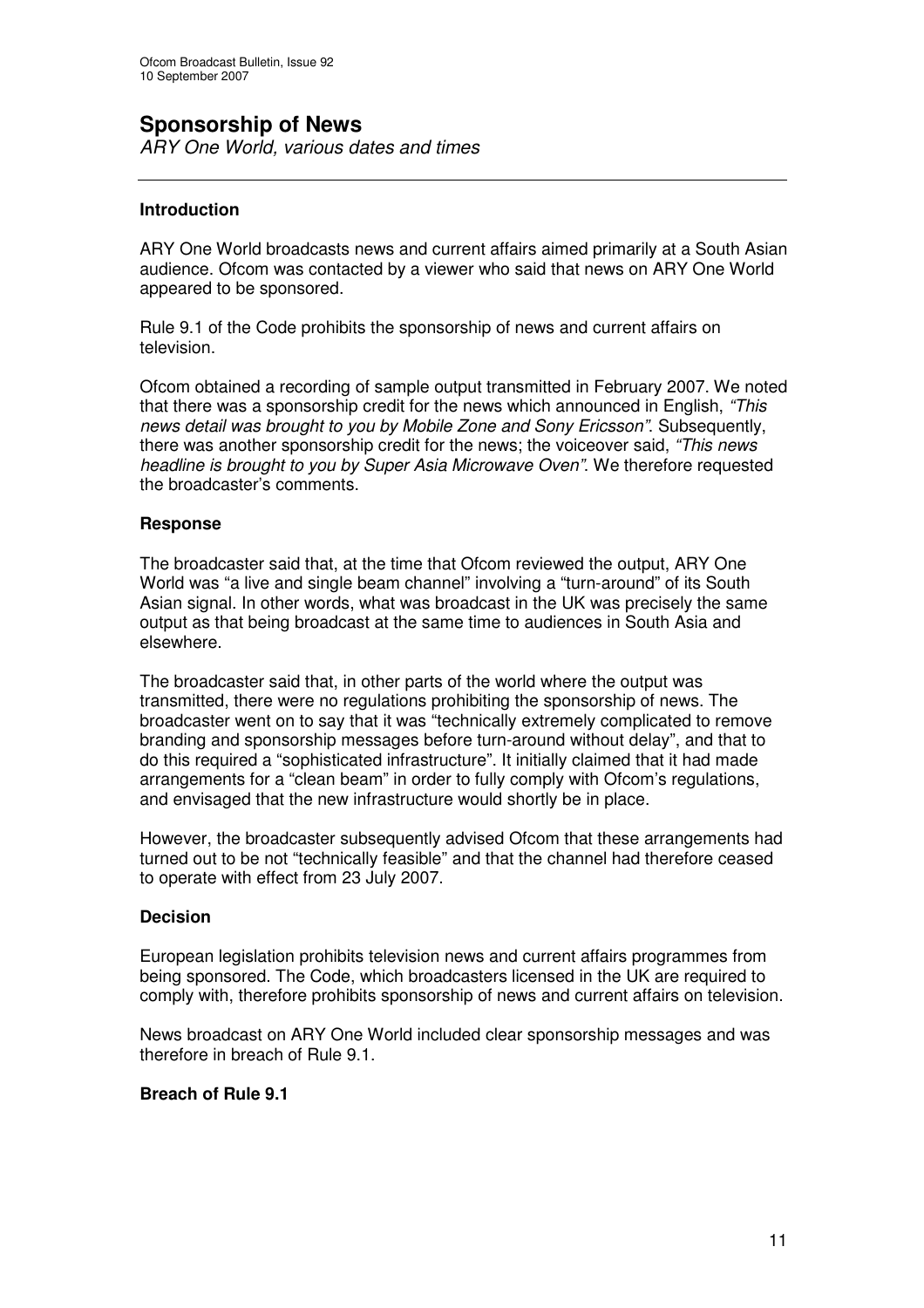# **Sponsorship of News**

*ARY One World, various dates and times*

# **Introduction**

ARY One World broadcasts news and current affairs aimed primarily at a South Asian audience. Ofcom was contacted by a viewer who said that news on ARY One World appeared to be sponsored.

Rule 9.1 of the Code prohibits the sponsorship of news and current affairs on television.

Ofcom obtained a recording of sample output transmitted in February 2007. We noted that there was a sponsorship credit for the news which announced in English, *"This news detail was brought to you by Mobile Zone and Sony Ericsson"*. Subsequently, there was another sponsorship credit for the news; the voiceover said, *"This news headline is brought to you by Super Asia Microwave Oven"*. We therefore requested the broadcaster's comments.

# **Response**

The broadcaster said that, at the time that Ofcom reviewed the output, ARY One World was "a live and single beam channel" involving a "turn-around" of its South Asian signal. In other words, what was broadcast in the UK was precisely the same output as that being broadcast at the same time to audiences in South Asia and elsewhere.

The broadcaster said that, in other parts of the world where the output was transmitted, there were no regulations prohibiting the sponsorship of news. The broadcaster went on to say that it was "technically extremely complicated to remove branding and sponsorship messages before turn-around without delay", and that to do this required a "sophisticated infrastructure". It initially claimed that it had made arrangements for a "clean beam" in order to fully comply with Ofcom's regulations, and envisaged that the new infrastructure would shortly be in place.

However, the broadcaster subsequently advised Ofcom that these arrangements had turned out to be not "technically feasible" and that the channel had therefore ceased to operate with effect from 23 July 2007.

# **Decision**

European legislation prohibits television news and current affairs programmes from being sponsored. The Code, which broadcasters licensed in the UK are required to comply with, therefore prohibits sponsorship of news and current affairs on television.

News broadcast on ARY One World included clear sponsorship messages and was therefore in breach of Rule 9.1.

# **Breach of Rule 9.1**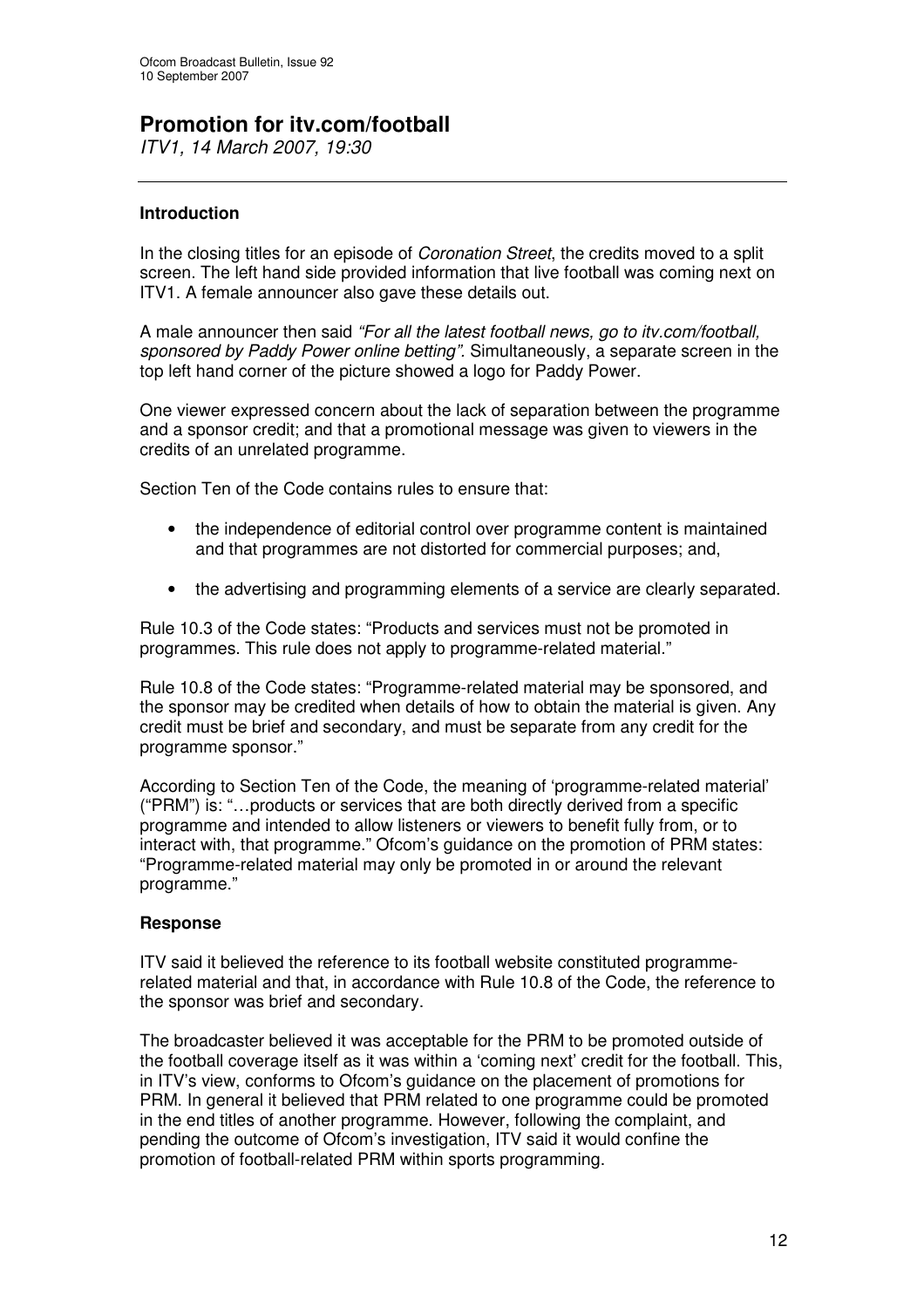# **Promotion for itv.com/football**

*ITV1, 14 March 2007, 19:30*

# **Introduction**

In the closing titles for an episode of *Coronation Street*, the credits moved to a split screen. The left hand side provided information that live football was coming next on ITV1. A female announcer also gave these details out.

A male announcer then said *"For all the latest football news, go to itv.com/football, sponsored by Paddy Power online betting".* Simultaneously, a separate screen in the top left hand corner of the picture showed a logo for Paddy Power.

One viewer expressed concern about the lack of separation between the programme and a sponsor credit; and that a promotional message was given to viewers in the credits of an unrelated programme.

Section Ten of the Code contains rules to ensure that:

- the independence of editorial control over programme content is maintained and that programmes are not distorted for commercial purposes; and,
- the advertising and programming elements of a service are clearly separated.

Rule 10.3 of the Code states: "Products and services must not be promoted in programmes. This rule does not apply to programme-related material."

Rule 10.8 of the Code states: "Programme-related material may be sponsored, and the sponsor may be credited when details of how to obtain the material is given. Any credit must be brief and secondary, and must be separate from any credit for the programme sponsor."

According to Section Ten of the Code, the meaning of 'programme-related material' ("PRM") is: "…products or services that are both directly derived from a specific programme and intended to allow listeners or viewers to benefit fully from, or to interact with, that programme." Ofcom's guidance on the promotion of PRM states: "Programme-related material may only be promoted in or around the relevant programme."

# **Response**

ITV said it believed the reference to its football website constituted programmerelated material and that, in accordance with Rule 10.8 of the Code, the reference to the sponsor was brief and secondary.

The broadcaster believed it was acceptable for the PRM to be promoted outside of the football coverage itself as it was within a 'coming next' credit for the football. This, in ITV's view, conforms to Ofcom's guidance on the placement of promotions for PRM. In general it believed that PRM related to one programme could be promoted in the end titles of another programme. However, following the complaint, and pending the outcome of Ofcom's investigation, ITV said it would confine the promotion of football-related PRM within sports programming.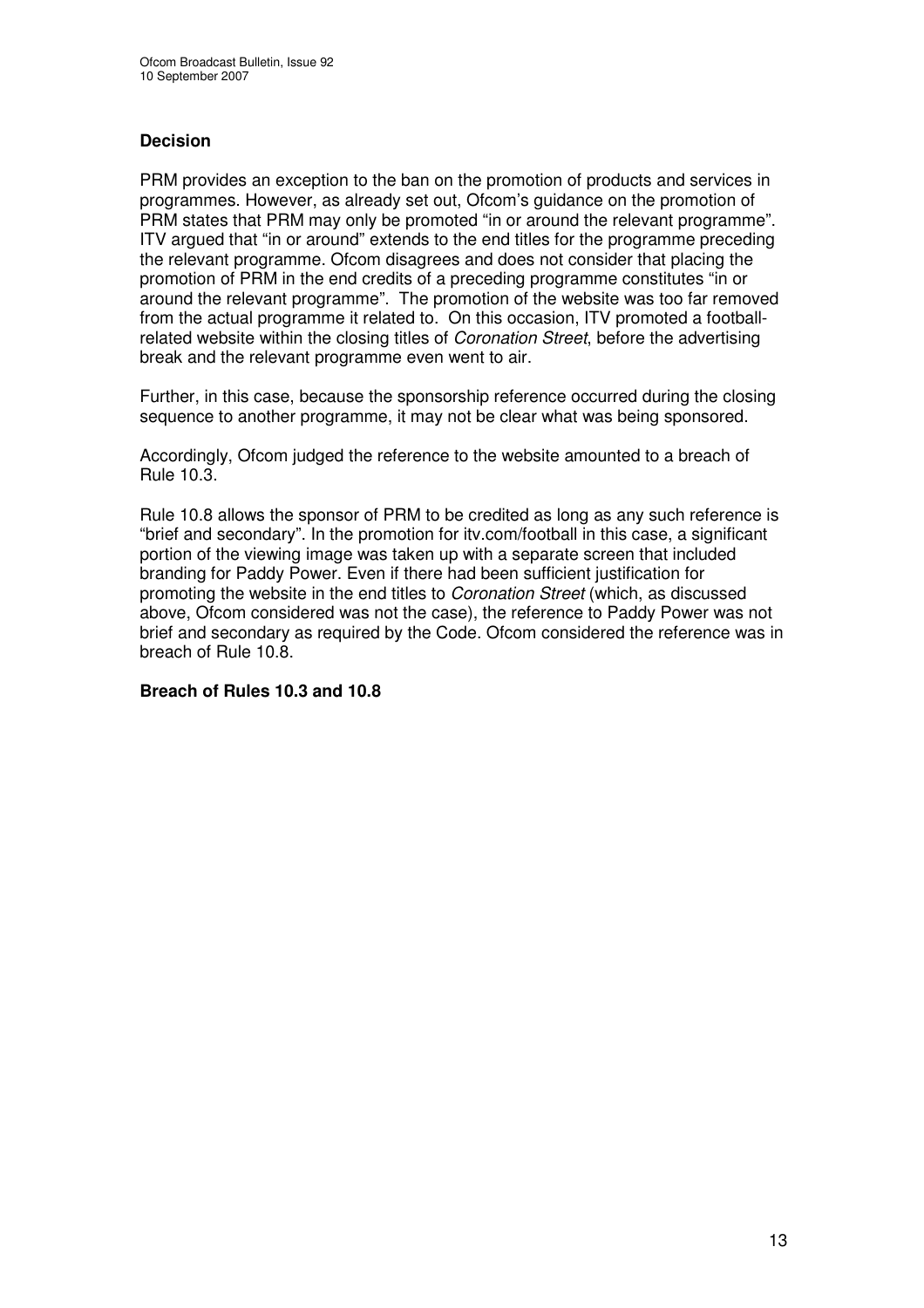# **Decision**

PRM provides an exception to the ban on the promotion of products and services in programmes. However, as already set out, Ofcom's guidance on the promotion of PRM states that PRM may only be promoted "in or around the relevant programme". ITV argued that "in or around" extends to the end titles for the programme preceding the relevant programme. Ofcom disagrees and does not consider that placing the promotion of PRM in the end credits of a preceding programme constitutes "in or around the relevant programme". The promotion of the website was too far removed from the actual programme it related to. On this occasion, ITV promoted a footballrelated website within the closing titles of *Coronation Street*, before the advertising break and the relevant programme even went to air.

Further, in this case, because the sponsorship reference occurred during the closing sequence to another programme, it may not be clear what was being sponsored.

Accordingly, Ofcom judged the reference to the website amounted to a breach of Rule 10.3.

Rule 10.8 allows the sponsor of PRM to be credited as long as any such reference is "brief and secondary". In the promotion for itv.com/football in this case, a significant portion of the viewing image was taken up with a separate screen that included branding for Paddy Power. Even if there had been sufficient justification for promoting the website in the end titles to *Coronation Street* (which, as discussed above, Ofcom considered was not the case), the reference to Paddy Power was not brief and secondary as required by the Code. Ofcom considered the reference was in breach of Rule 10.8.

# **Breach of Rules 10.3 and 10.8**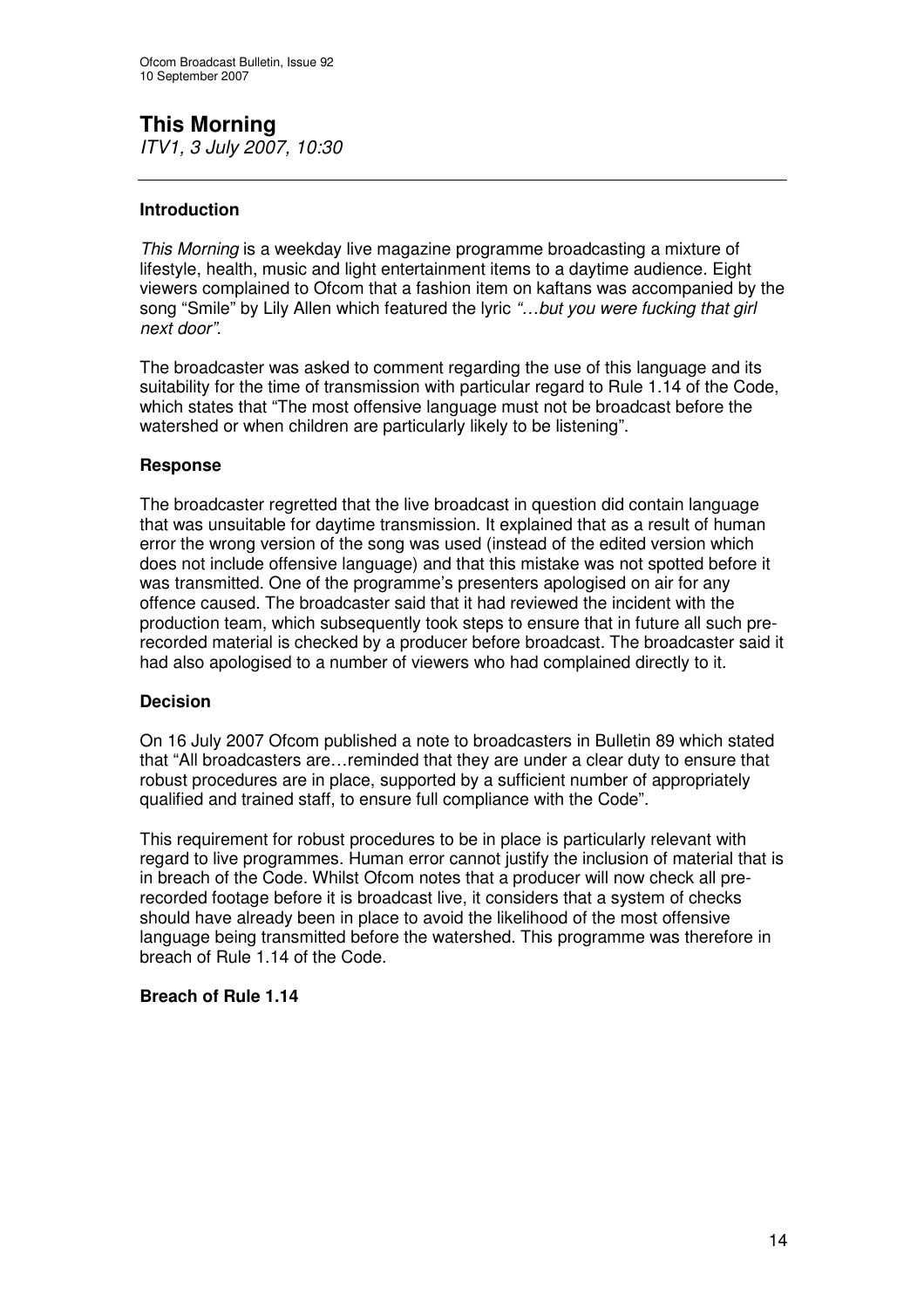# **This Morning**

*ITV1, 3 July 2007, 10:30*

# **Introduction**

*This Morning* is a weekday live magazine programme broadcasting a mixture of lifestyle, health, music and light entertainment items to a daytime audience. Eight viewers complained to Ofcom that a fashion item on kaftans was accompanied by the song "Smile" by Lily Allen which featured the lyric *"…but you were fucking that girl next door".*

The broadcaster was asked to comment regarding the use of this language and its suitability for the time of transmission with particular regard to Rule 1.14 of the Code, which states that "The most offensive language must not be broadcast before the watershed or when children are particularly likely to be listening".

# **Response**

The broadcaster regretted that the live broadcast in question did contain language that was unsuitable for daytime transmission. It explained that as a result of human error the wrong version of the song was used (instead of the edited version which does not include offensive language) and that this mistake was not spotted before it was transmitted. One of the programme's presenters apologised on air for any offence caused. The broadcaster said that it had reviewed the incident with the production team, which subsequently took steps to ensure that in future all such prerecorded material is checked by a producer before broadcast. The broadcaster said it had also apologised to a number of viewers who had complained directly to it.

# **Decision**

On 16 July 2007 Ofcom published a note to broadcasters in Bulletin 89 which stated that "All broadcasters are…reminded that they are under a clear duty to ensure that robust procedures are in place, supported by a sufficient number of appropriately qualified and trained staff, to ensure full compliance with the Code".

This requirement for robust procedures to be in place is particularly relevant with regard to live programmes. Human error cannot justify the inclusion of material that is in breach of the Code. Whilst Ofcom notes that a producer will now check all prerecorded footage before it is broadcast live, it considers that a system of checks should have already been in place to avoid the likelihood of the most offensive language being transmitted before the watershed. This programme was therefore in breach of Rule 1.14 of the Code.

# **Breach of Rule 1.14**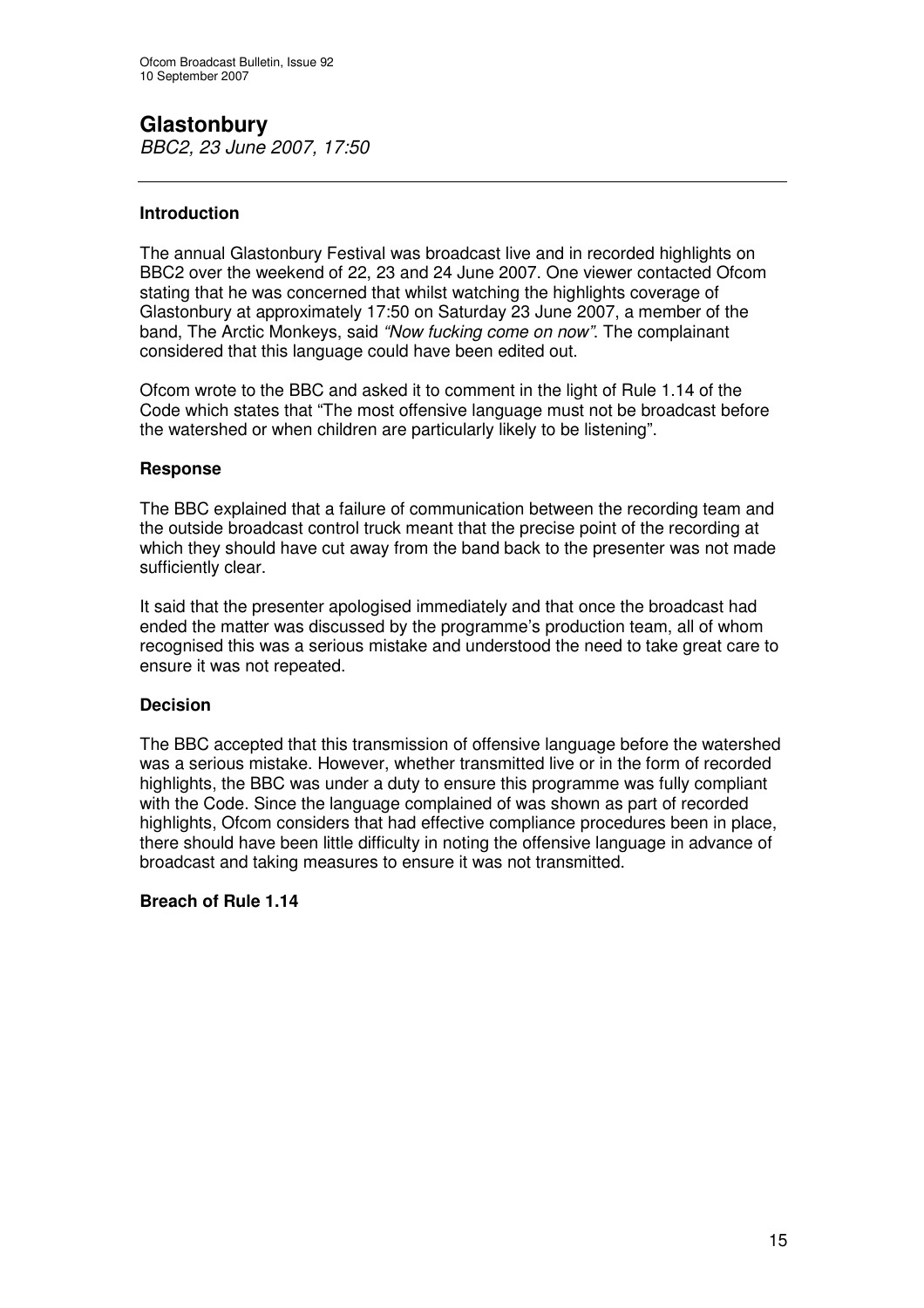# **Glastonbury**

*BBC2, 23 June 2007, 17:50*

# **Introduction**

The annual Glastonbury Festival was broadcast live and in recorded highlights on BBC2 over the weekend of 22, 23 and 24 June 2007. One viewer contacted Ofcom stating that he was concerned that whilst watching the highlights coverage of Glastonbury at approximately 17:50 on Saturday 23 June 2007, a member of the band, The Arctic Monkeys, said *"Now fucking come on now"*. The complainant considered that this language could have been edited out.

Ofcom wrote to the BBC and asked it to comment in the light of Rule 1.14 of the Code which states that "The most offensive language must not be broadcast before the watershed or when children are particularly likely to be listening".

# **Response**

The BBC explained that a failure of communication between the recording team and the outside broadcast control truck meant that the precise point of the recording at which they should have cut away from the band back to the presenter was not made sufficiently clear.

It said that the presenter apologised immediately and that once the broadcast had ended the matter was discussed by the programme's production team, all of whom recognised this was a serious mistake and understood the need to take great care to ensure it was not repeated.

# **Decision**

The BBC accepted that this transmission of offensive language before the watershed was a serious mistake. However, whether transmitted live or in the form of recorded highlights, the BBC was under a duty to ensure this programme was fully compliant with the Code. Since the language complained of was shown as part of recorded highlights, Ofcom considers that had effective compliance procedures been in place, there should have been little difficulty in noting the offensive language in advance of broadcast and taking measures to ensure it was not transmitted.

# **Breach of Rule 1.14**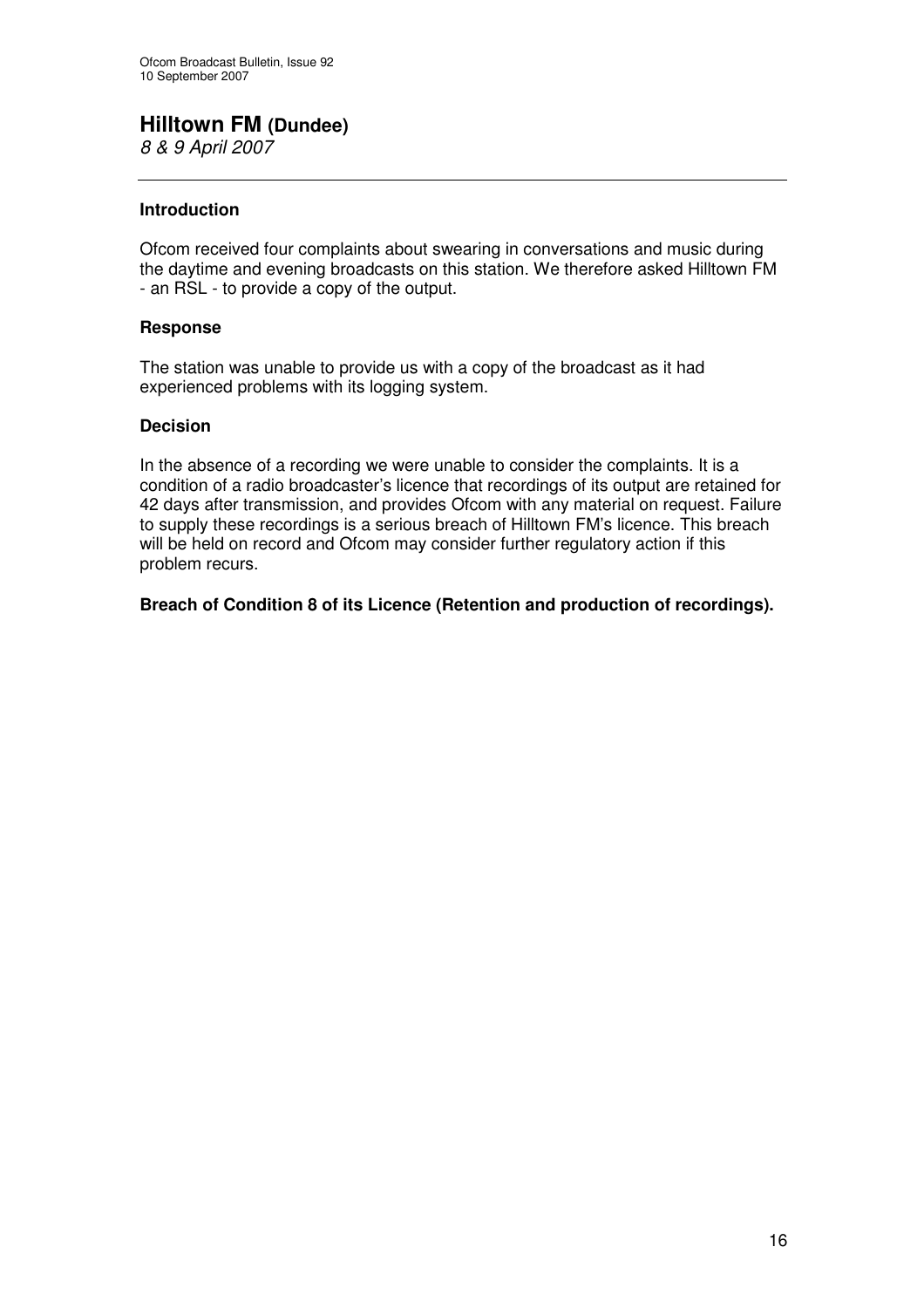# **Hilltown FM (Dundee)**

*8 & 9 April 2007*

# **Introduction**

Ofcom received four complaints about swearing in conversations and music during the daytime and evening broadcasts on this station. We therefore asked Hilltown FM - an RSL - to provide a copy of the output.

# **Response**

The station was unable to provide us with a copy of the broadcast as it had experienced problems with its logging system.

# **Decision**

In the absence of a recording we were unable to consider the complaints. It is a condition of a radio broadcaster's licence that recordings of its output are retained for 42 days after transmission, and provides Ofcom with any material on request. Failure to supply these recordings is a serious breach of Hilltown FM's licence. This breach will be held on record and Ofcom may consider further regulatory action if this problem recurs.

# **Breach of Condition 8 of its Licence (Retention and production of recordings).**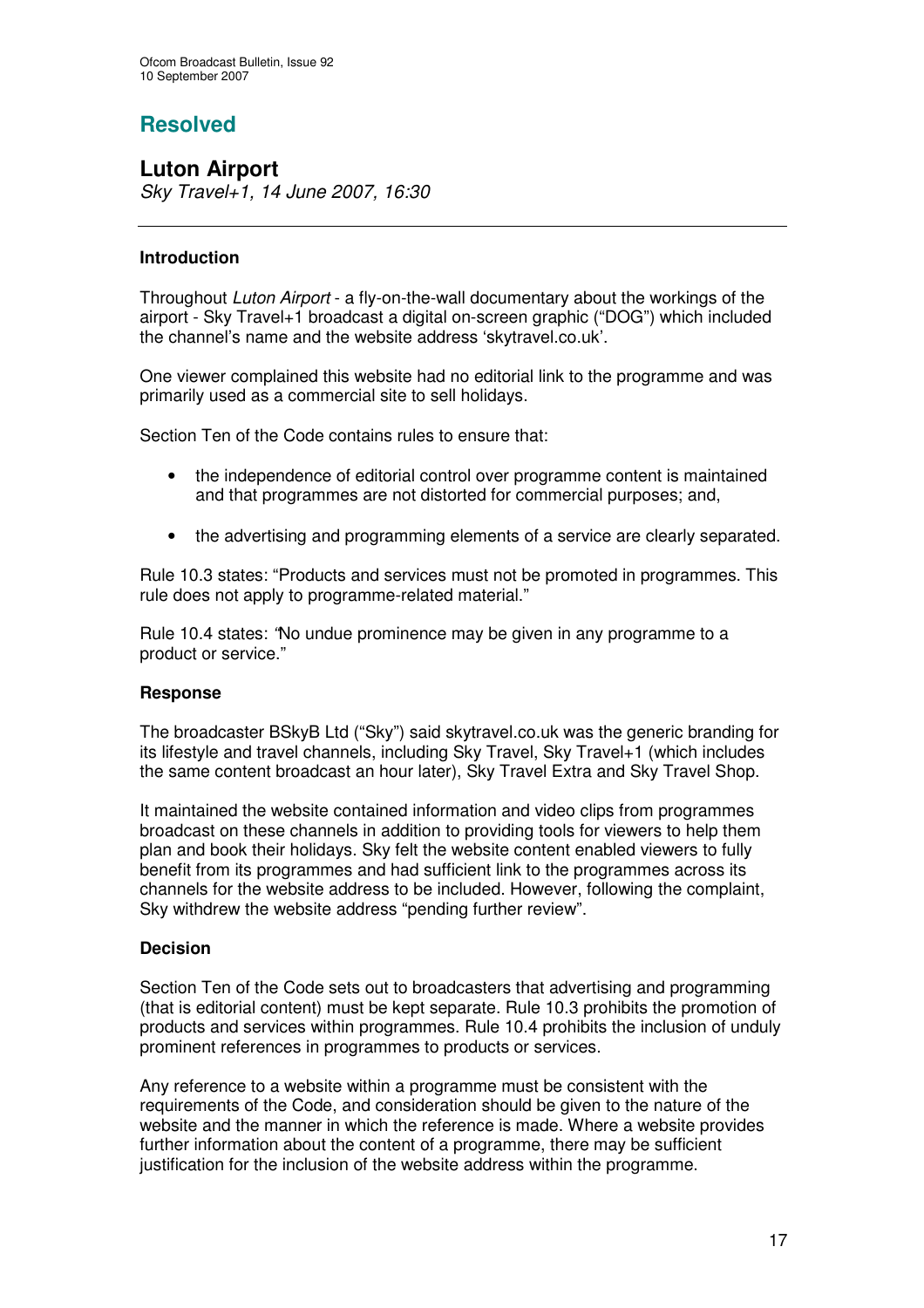# **Resolved**

**Luton Airport** *Sky Travel+1, 14 June 2007, 16:30*

# **Introduction**

Throughout *Luton Airport* - a fly-on-the-wall documentary about the workings of the airport - Sky Travel+1 broadcast a digital on-screen graphic ("DOG") which included the channel's name and the website address 'skytravel.co.uk'.

One viewer complained this website had no editorial link to the programme and was primarily used as a commercial site to sell holidays.

Section Ten of the Code contains rules to ensure that:

- the independence of editorial control over programme content is maintained and that programmes are not distorted for commercial purposes; and,
- the advertising and programming elements of a service are clearly separated.

Rule 10.3 states: "Products and services must not be promoted in programmes. This rule does not apply to programme-related material."

Rule 10.4 states: *"*No undue prominence may be given in any programme to a product or service."

# **Response**

The broadcaster BSkyB Ltd ("Sky") said skytravel.co.uk was the generic branding for its lifestyle and travel channels, including Sky Travel, Sky Travel+1 (which includes the same content broadcast an hour later), Sky Travel Extra and Sky Travel Shop.

It maintained the website contained information and video clips from programmes broadcast on these channels in addition to providing tools for viewers to help them plan and book their holidays. Sky felt the website content enabled viewers to fully benefit from its programmes and had sufficient link to the programmes across its channels for the website address to be included. However, following the complaint, Sky withdrew the website address "pending further review".

# **Decision**

Section Ten of the Code sets out to broadcasters that advertising and programming (that is editorial content) must be kept separate. Rule 10.3 prohibits the promotion of products and services within programmes. Rule 10.4 prohibits the inclusion of unduly prominent references in programmes to products or services.

Any reference to a website within a programme must be consistent with the requirements of the Code, and consideration should be given to the nature of the website and the manner in which the reference is made. Where a website provides further information about the content of a programme, there may be sufficient justification for the inclusion of the website address within the programme.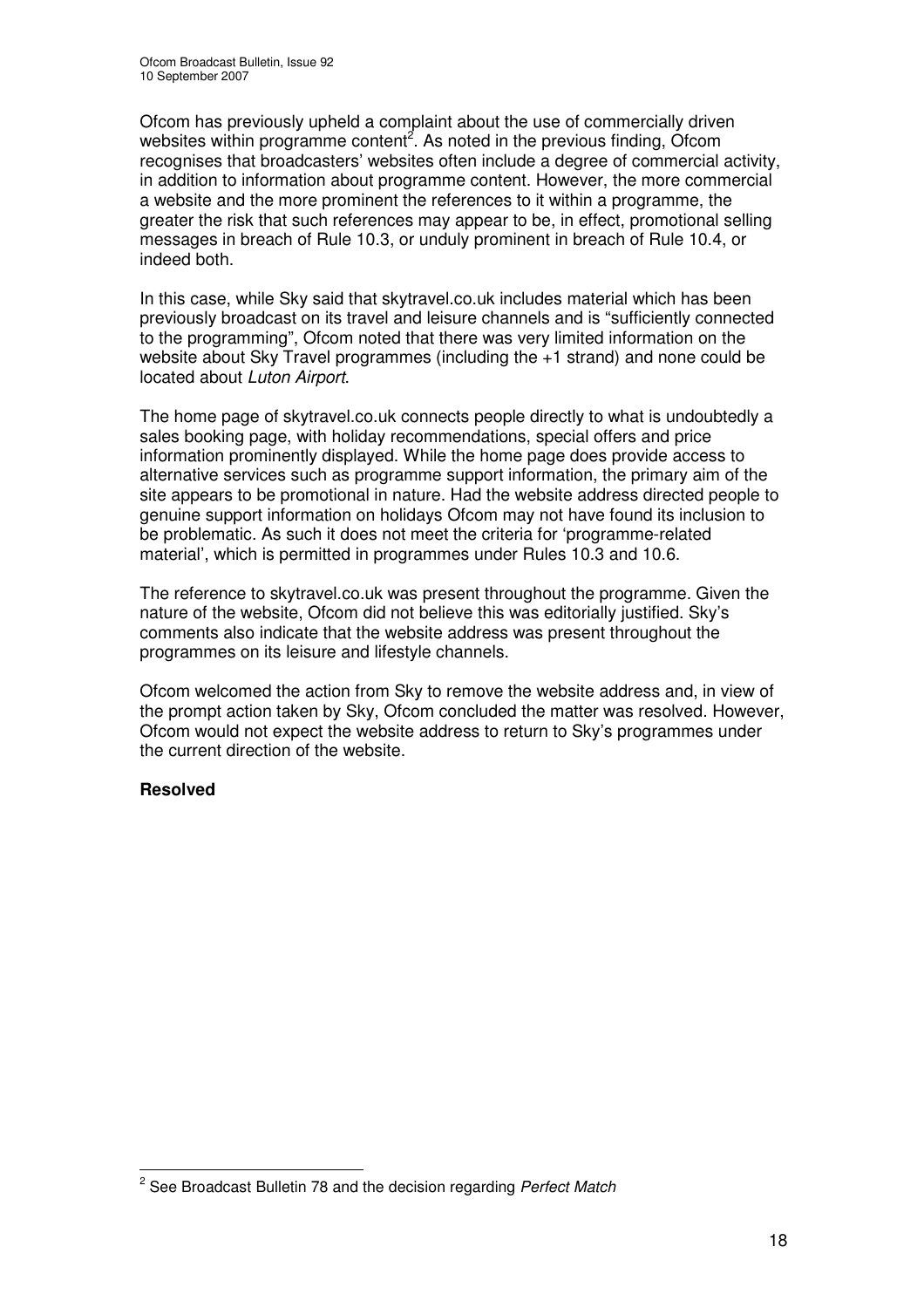Ofcom has previously upheld a complaint about the use of commercially driven websites within programme content<sup>2</sup>. As noted in the previous finding, Ofcom recognises that broadcasters' websites often include a degree of commercial activity, in addition to information about programme content. However, the more commercial a website and the more prominent the references to it within a programme, the greater the risk that such references may appear to be, in effect, promotional selling messages in breach of Rule 10.3, or unduly prominent in breach of Rule 10.4, or indeed both.

In this case, while Sky said that skytravel.co.uk includes material which has been previously broadcast on its travel and leisure channels and is "sufficiently connected to the programming", Ofcom noted that there was very limited information on the website about Sky Travel programmes (including the +1 strand) and none could be located about *Luton Airport*.

The home page of skytravel.co.uk connects people directly to what is undoubtedly a sales booking page, with holiday recommendations, special offers and price information prominently displayed. While the home page does provide access to alternative services such as programme support information, the primary aim of the site appears to be promotional in nature. Had the website address directed people to genuine support information on holidays Ofcom may not have found its inclusion to be problematic. As such it does not meet the criteria for 'programme-related material', which is permitted in programmes under Rules 10.3 and 10.6.

The reference to skytravel.co.uk was present throughout the programme. Given the nature of the website, Ofcom did not believe this was editorially justified. Sky's comments also indicate that the website address was present throughout the programmes on its leisure and lifestyle channels.

Ofcom welcomed the action from Sky to remove the website address and, in view of the prompt action taken by Sky, Ofcom concluded the matter was resolved. However, Ofcom would not expect the website address to return to Sky's programmes under the current direction of the website.

# **Resolved**

<sup>2</sup> See Broadcast Bulletin 78 and the decision regarding *Perfect Match*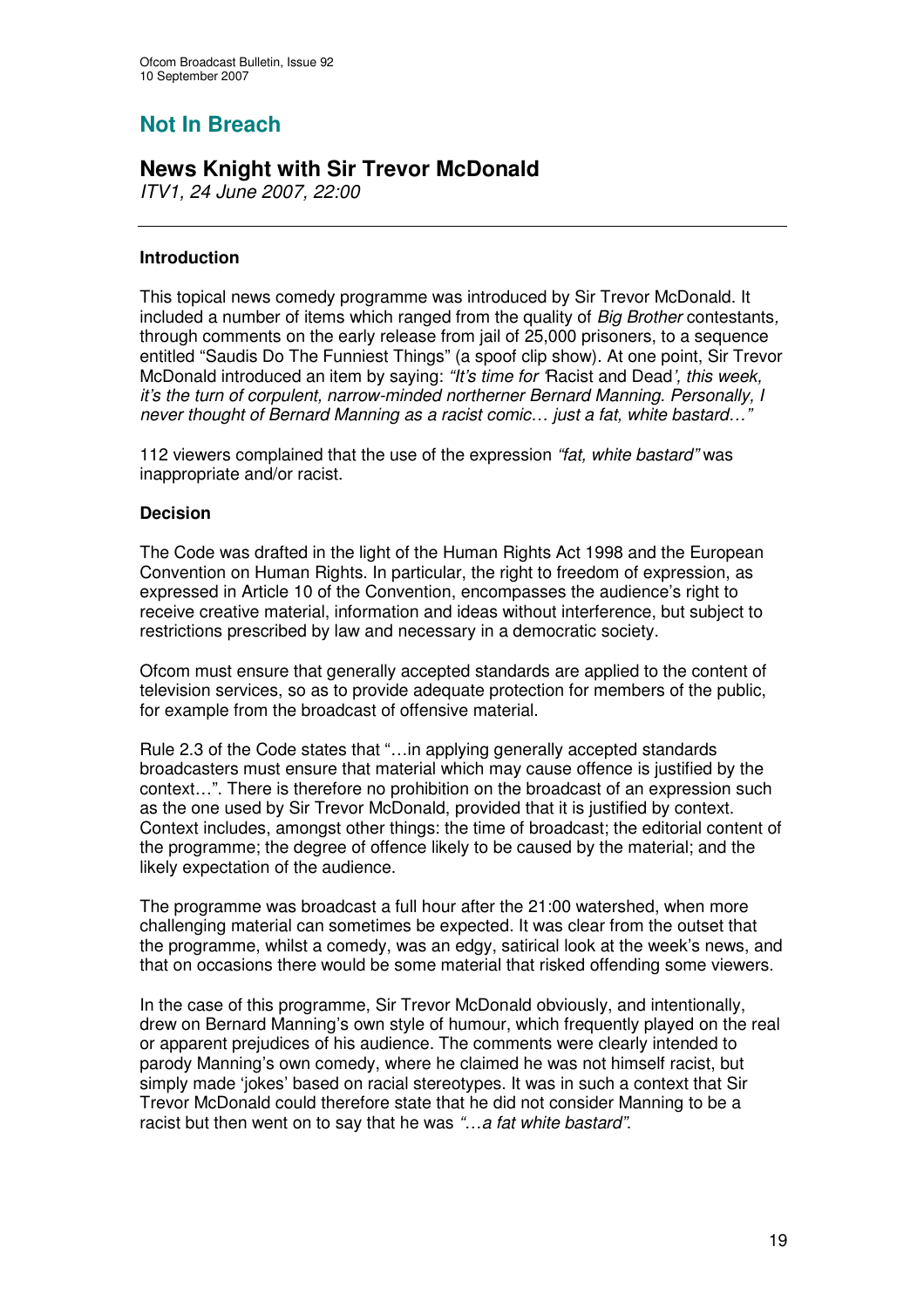# **Not In Breach**

# **News Knight with Sir Trevor McDonald**

*ITV1, 24 June 2007, 22:00*

# **Introduction**

This topical news comedy programme was introduced by Sir Trevor McDonald. It included a number of items which ranged from the quality of *Big Brother* contestants*,* through comments on the early release from jail of 25,000 prisoners, to a sequence entitled "Saudis Do The Funniest Things" (a spoof clip show). At one point, Sir Trevor McDonald introduced an item by saying: *"It's time for '*Racist and Dead*', this week, it's the turn of corpulent, narrow-minded northerner Bernard Manning. Personally, I never thought of Bernard Manning as a racist comic… just a fat, white bastard…"*

112 viewers complained that the use of the expression *"fat, white bastard"* was inappropriate and/or racist.

# **Decision**

The Code was drafted in the light of the Human Rights Act 1998 and the European Convention on Human Rights. In particular, the right to freedom of expression, as expressed in Article 10 of the Convention, encompasses the audience's right to receive creative material, information and ideas without interference, but subject to restrictions prescribed by law and necessary in a democratic society.

Ofcom must ensure that generally accepted standards are applied to the content of television services, so as to provide adequate protection for members of the public, for example from the broadcast of offensive material.

Rule 2.3 of the Code states that "…in applying generally accepted standards broadcasters must ensure that material which may cause offence is justified by the context…". There is therefore no prohibition on the broadcast of an expression such as the one used by Sir Trevor McDonald, provided that it is justified by context. Context includes, amongst other things: the time of broadcast; the editorial content of the programme; the degree of offence likely to be caused by the material; and the likely expectation of the audience.

The programme was broadcast a full hour after the 21:00 watershed, when more challenging material can sometimes be expected. It was clear from the outset that the programme, whilst a comedy, was an edgy, satirical look at the week's news, and that on occasions there would be some material that risked offending some viewers.

In the case of this programme, Sir Trevor McDonald obviously, and intentionally, drew on Bernard Manning's own style of humour, which frequently played on the real or apparent prejudices of his audience. The comments were clearly intended to parody Manning's own comedy, where he claimed he was not himself racist, but simply made 'jokes' based on racial stereotypes. It was in such a context that Sir Trevor McDonald could therefore state that he did not consider Manning to be a racist but then went on to say that he was *"…a fat white bastard"*.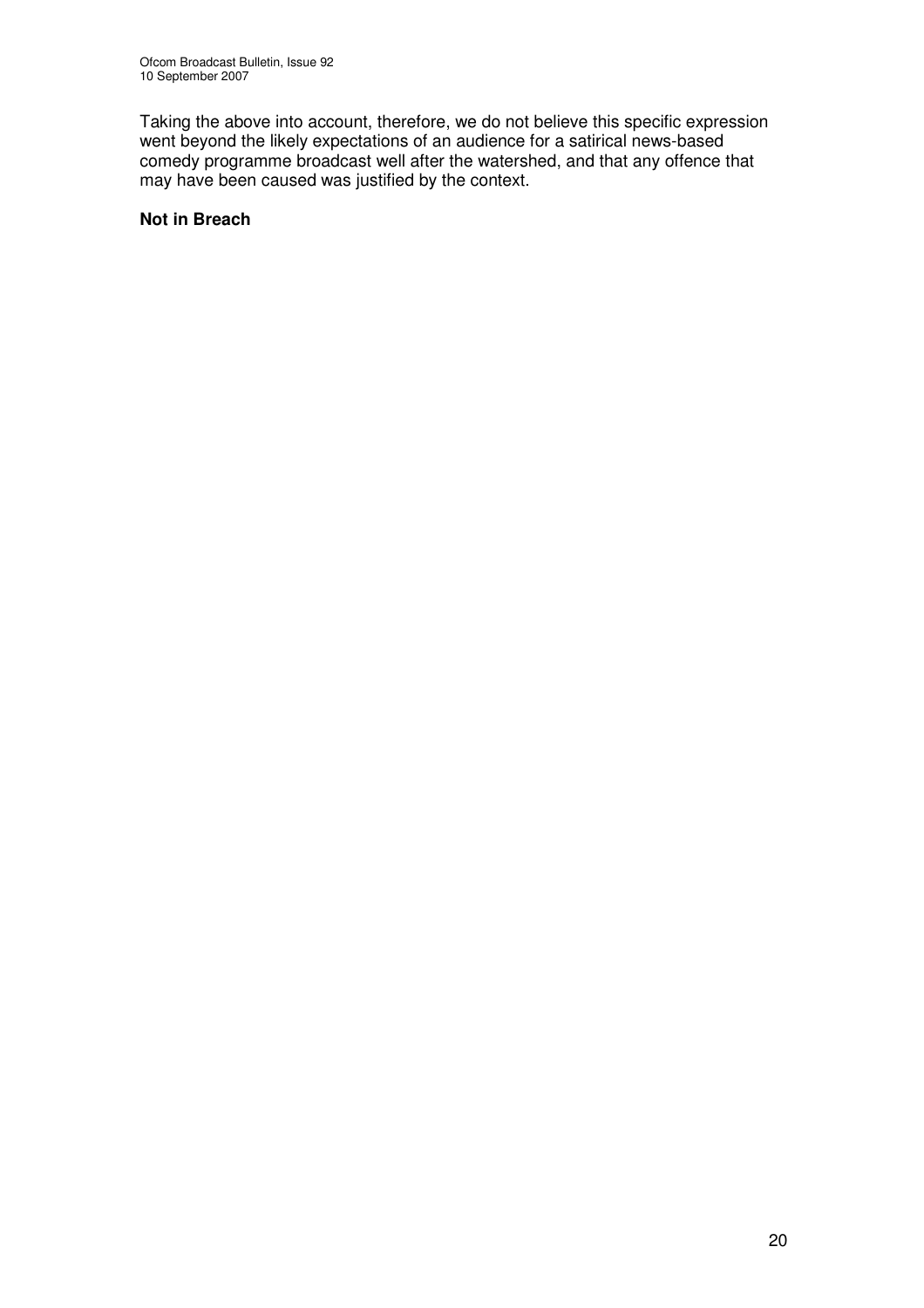Taking the above into account, therefore, we do not believe this specific expression went beyond the likely expectations of an audience for a satirical news-based comedy programme broadcast well after the watershed, and that any offence that may have been caused was justified by the context.

# **Not in Breach**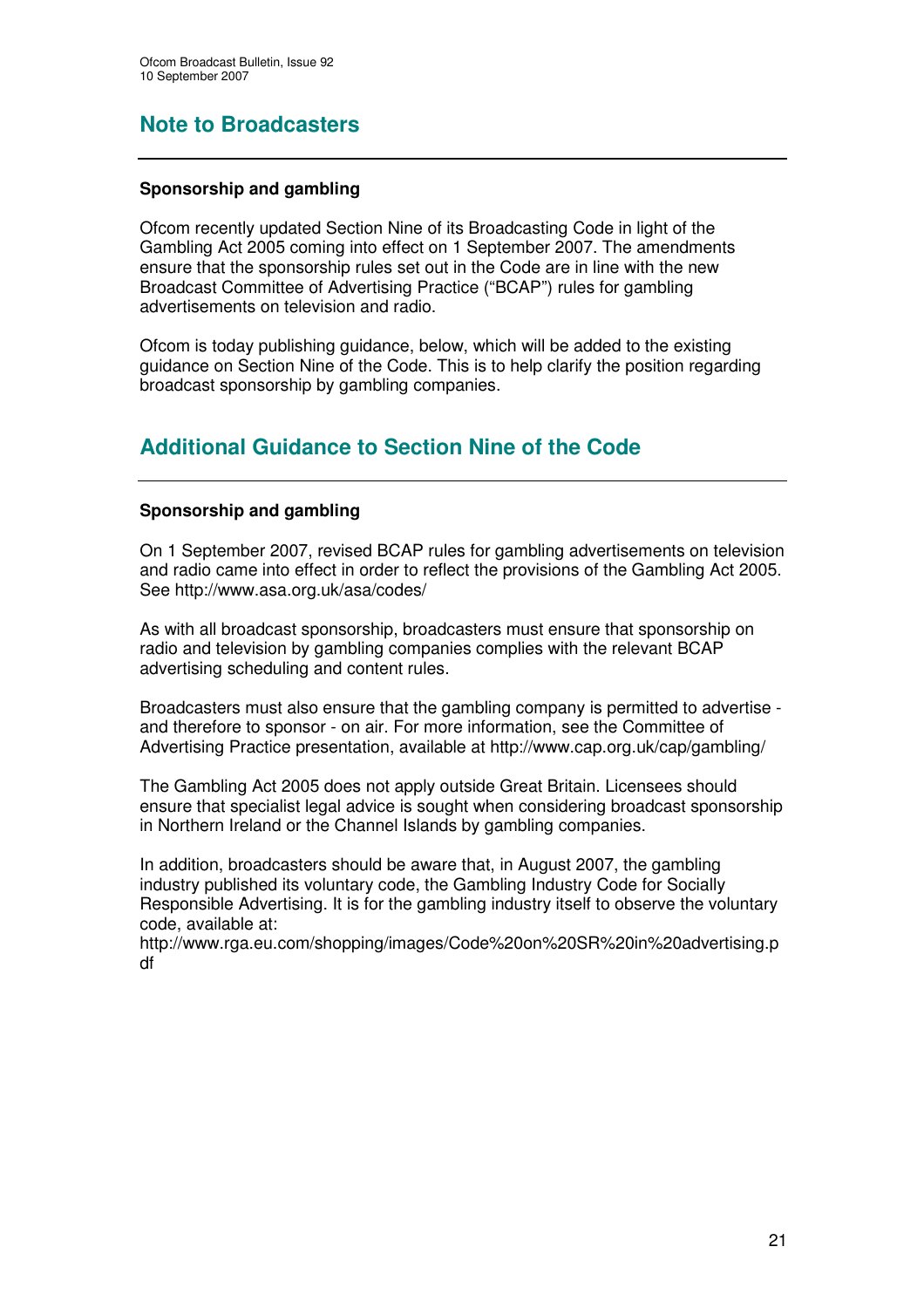# **Note to Broadcasters**

# **Sponsorship and gambling**

Ofcom recently updated Section Nine of its Broadcasting Code in light of the Gambling Act 2005 coming into effect on 1 September 2007. The amendments ensure that the sponsorship rules set out in the Code are in line with the new Broadcast Committee of Advertising Practice ("BCAP") rules for gambling advertisements on television and radio.

Ofcom is today publishing guidance, below, which will be added to the existing guidance on Section Nine of the Code. This is to help clarify the position regarding broadcast sponsorship by gambling companies.

# **Additional Guidance to Section Nine of the Code**

# **Sponsorship and gambling**

On 1 September 2007, revised BCAP rules for gambling advertisements on television and radio came into effect in order to reflect the provisions of the Gambling Act 2005. See http://www.asa.org.uk/asa/codes/

As with all broadcast sponsorship, broadcasters must ensure that sponsorship on radio and television by gambling companies complies with the relevant BCAP advertising scheduling and content rules.

Broadcasters must also ensure that the gambling company is permitted to advertise and therefore to sponsor - on air. For more information, see the Committee of Advertising Practice presentation, available at http://www.cap.org.uk/cap/gambling/

The Gambling Act 2005 does not apply outside Great Britain. Licensees should ensure that specialist legal advice is sought when considering broadcast sponsorship in Northern Ireland or the Channel Islands by gambling companies.

In addition, broadcasters should be aware that, in August 2007, the gambling industry published its voluntary code, the Gambling Industry Code for Socially Responsible Advertising. It is for the gambling industry itself to observe the voluntary code, available at:

http://www.rga.eu.com/shopping/images/Code%20on%20SR%20in%20advertising.p df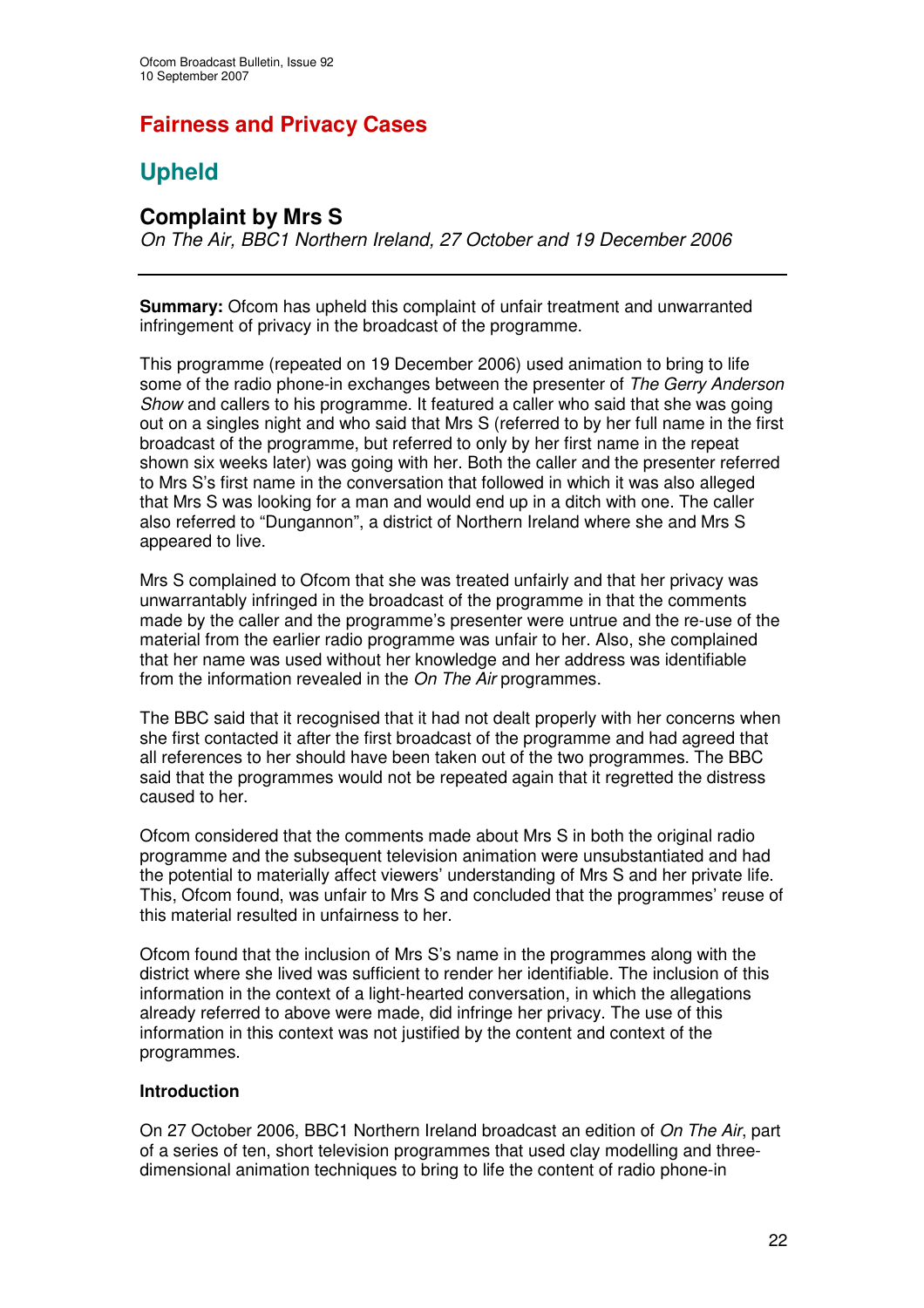# **Fairness and Privacy Cases**

# **Upheld**

# **Complaint by Mrs S**

*On The Air, BBC1 Northern Ireland, 27 October and 19 December 2006*

**Summary:** Ofcom has upheld this complaint of unfair treatment and unwarranted infringement of privacy in the broadcast of the programme.

This programme (repeated on 19 December 2006) used animation to bring to life some of the radio phone-in exchanges between the presenter of *The Gerry Anderson Show* and callers to his programme. It featured a caller who said that she was going out on a singles night and who said that Mrs S (referred to by her full name in the first broadcast of the programme, but referred to only by her first name in the repeat shown six weeks later) was going with her. Both the caller and the presenter referred to Mrs S's first name in the conversation that followed in which it was also alleged that Mrs S was looking for a man and would end up in a ditch with one. The caller also referred to "Dungannon", a district of Northern Ireland where she and Mrs S appeared to live.

Mrs S complained to Ofcom that she was treated unfairly and that her privacy was unwarrantably infringed in the broadcast of the programme in that the comments made by the caller and the programme's presenter were untrue and the re-use of the material from the earlier radio programme was unfair to her. Also, she complained that her name was used without her knowledge and her address was identifiable from the information revealed in the *On The Air* programmes.

The BBC said that it recognised that it had not dealt properly with her concerns when she first contacted it after the first broadcast of the programme and had agreed that all references to her should have been taken out of the two programmes. The BBC said that the programmes would not be repeated again that it regretted the distress caused to her.

Ofcom considered that the comments made about Mrs S in both the original radio programme and the subsequent television animation were unsubstantiated and had the potential to materially affect viewers' understanding of Mrs S and her private life. This, Ofcom found, was unfair to Mrs S and concluded that the programmes' reuse of this material resulted in unfairness to her.

Ofcom found that the inclusion of Mrs S's name in the programmes along with the district where she lived was sufficient to render her identifiable. The inclusion of this information in the context of a light-hearted conversation, in which the allegations already referred to above were made, did infringe her privacy. The use of this information in this context was not justified by the content and context of the programmes.

# **Introduction**

On 27 October 2006, BBC1 Northern Ireland broadcast an edition of *On The Air*, part of a series of ten, short television programmes that used clay modelling and threedimensional animation techniques to bring to life the content of radio phone-in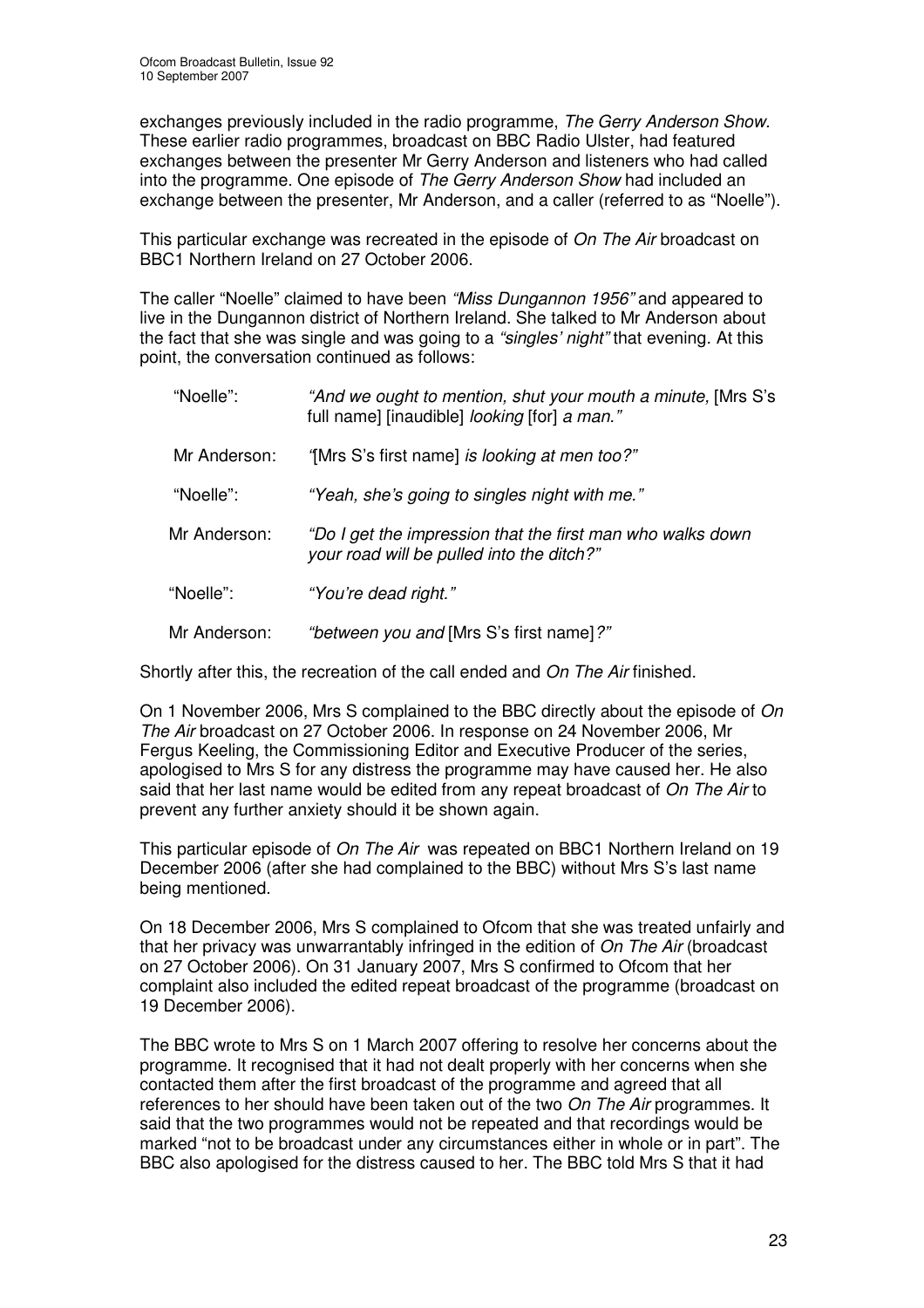exchanges previously included in the radio programme, *The Gerry Anderson Show.* These earlier radio programmes, broadcast on BBC Radio Ulster, had featured exchanges between the presenter Mr Gerry Anderson and listeners who had called into the programme. One episode of *The Gerry Anderson Show* had included an exchange between the presenter, Mr Anderson, and a caller (referred to as "Noelle").

This particular exchange was recreated in the episode of *On The Air* broadcast on BBC1 Northern Ireland on 27 October 2006.

The caller "Noelle" claimed to have been *"Miss Dungannon 1956"* and appeared to live in the Dungannon district of Northern Ireland. She talked to Mr Anderson about the fact that she was single and was going to a *"singles' night"* that evening. At this point, the conversation continued as follows:

| "Noelle":    | "And we ought to mention, shut your mouth a minute, [Mrs S's<br>full name] [inaudible] looking [for] a man." |
|--------------|--------------------------------------------------------------------------------------------------------------|
| Mr Anderson: | "[Mrs S's first name] is looking at men too?"                                                                |
| "Noelle":    | "Yeah, she's going to singles night with me."                                                                |
| Mr Anderson: | "Do I get the impression that the first man who walks down<br>your road will be pulled into the ditch?"      |
| "Noelle":    | "You're dead right."                                                                                         |
| Mr Anderson: | "between you and [Mrs S's first name]?"                                                                      |

Shortly after this, the recreation of the call ended and *On The Air* finished.

On 1 November 2006, Mrs S complained to the BBC directly about the episode of *On The Air* broadcast on 27 October 2006. In response on 24 November 2006, Mr Fergus Keeling, the Commissioning Editor and Executive Producer of the series, apologised to Mrs S for any distress the programme may have caused her. He also said that her last name would be edited from any repeat broadcast of *On The Air* to prevent any further anxiety should it be shown again.

This particular episode of *On The Air* was repeated on BBC1 Northern Ireland on 19 December 2006 (after she had complained to the BBC) without Mrs S's last name being mentioned.

On 18 December 2006, Mrs S complained to Ofcom that she was treated unfairly and that her privacy was unwarrantably infringed in the edition of *On The Air* (broadcast on 27 October 2006). On 31 January 2007, Mrs S confirmed to Ofcom that her complaint also included the edited repeat broadcast of the programme (broadcast on 19 December 2006).

The BBC wrote to Mrs S on 1 March 2007 offering to resolve her concerns about the programme. It recognised that it had not dealt properly with her concerns when she contacted them after the first broadcast of the programme and agreed that all references to her should have been taken out of the two *On The Air* programmes. It said that the two programmes would not be repeated and that recordings would be marked "not to be broadcast under any circumstances either in whole or in part". The BBC also apologised for the distress caused to her. The BBC told Mrs S that it had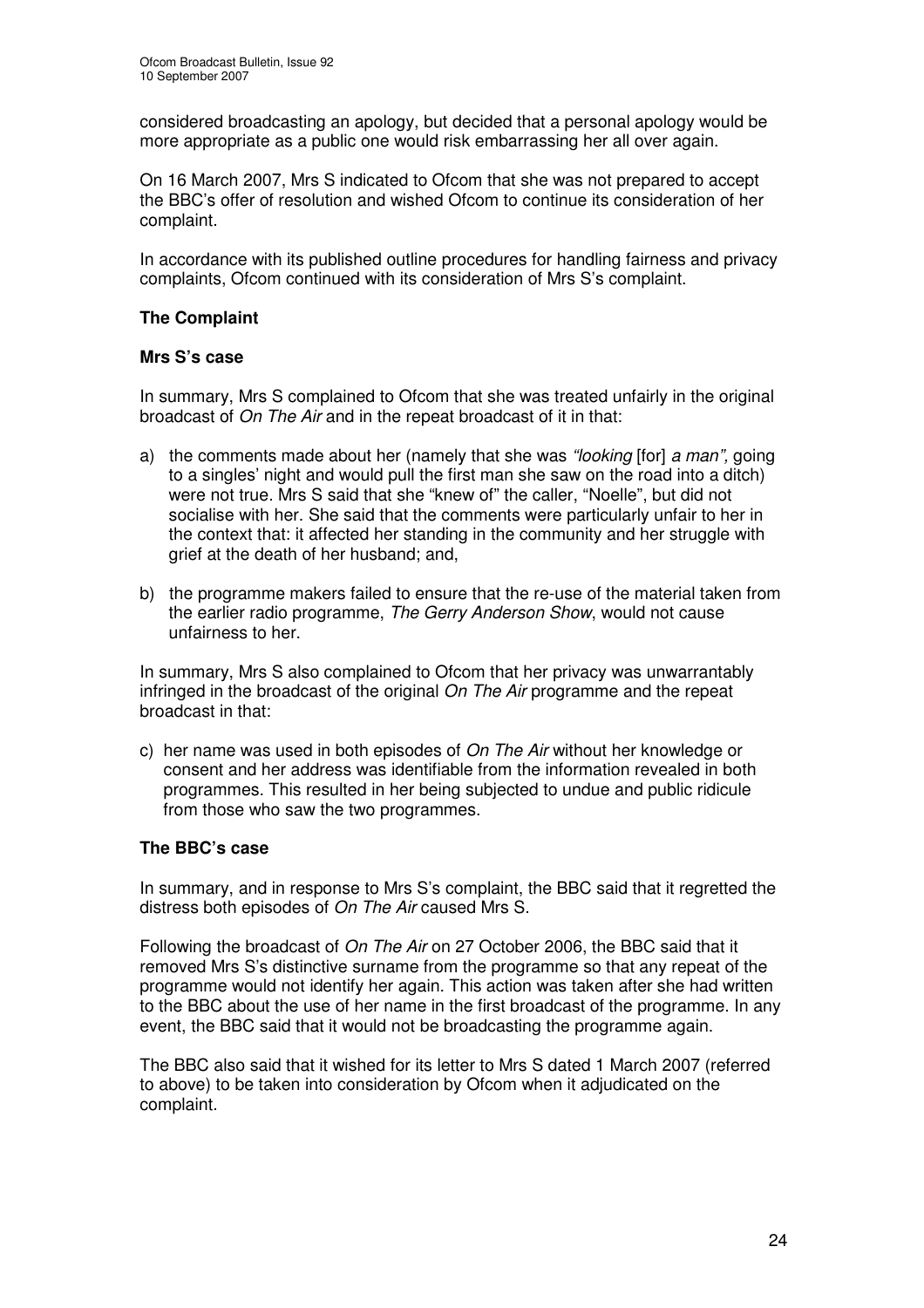considered broadcasting an apology, but decided that a personal apology would be more appropriate as a public one would risk embarrassing her all over again.

On 16 March 2007, Mrs S indicated to Ofcom that she was not prepared to accept the BBC's offer of resolution and wished Ofcom to continue its consideration of her complaint.

In accordance with its published outline procedures for handling fairness and privacy complaints, Ofcom continued with its consideration of Mrs S's complaint.

# **The Complaint**

# **Mrs S's case**

In summary, Mrs S complained to Ofcom that she was treated unfairly in the original broadcast of *On The Air* and in the repeat broadcast of it in that:

- a) the comments made about her (namely that she was *"looking* [for] *a man",* going to a singles' night and would pull the first man she saw on the road into a ditch) were not true. Mrs S said that she "knew of" the caller, "Noelle", but did not socialise with her. She said that the comments were particularly unfair to her in the context that: it affected her standing in the community and her struggle with grief at the death of her husband; and,
- b) the programme makers failed to ensure that the re-use of the material taken from the earlier radio programme, *The Gerry Anderson Show*, would not cause unfairness to her.

In summary, Mrs S also complained to Ofcom that her privacy was unwarrantably infringed in the broadcast of the original *On The Air* programme and the repeat broadcast in that:

c) her name was used in both episodes of *On The Air* without her knowledge or consent and her address was identifiable from the information revealed in both programmes. This resulted in her being subjected to undue and public ridicule from those who saw the two programmes.

# **The BBC's case**

In summary, and in response to Mrs S's complaint, the BBC said that it regretted the distress both episodes of *On The Air* caused Mrs S.

Following the broadcast of *On The Air* on 27 October 2006, the BBC said that it removed Mrs S's distinctive surname from the programme so that any repeat of the programme would not identify her again. This action was taken after she had written to the BBC about the use of her name in the first broadcast of the programme. In any event, the BBC said that it would not be broadcasting the programme again.

The BBC also said that it wished for its letter to Mrs S dated 1 March 2007 (referred to above) to be taken into consideration by Ofcom when it adjudicated on the complaint.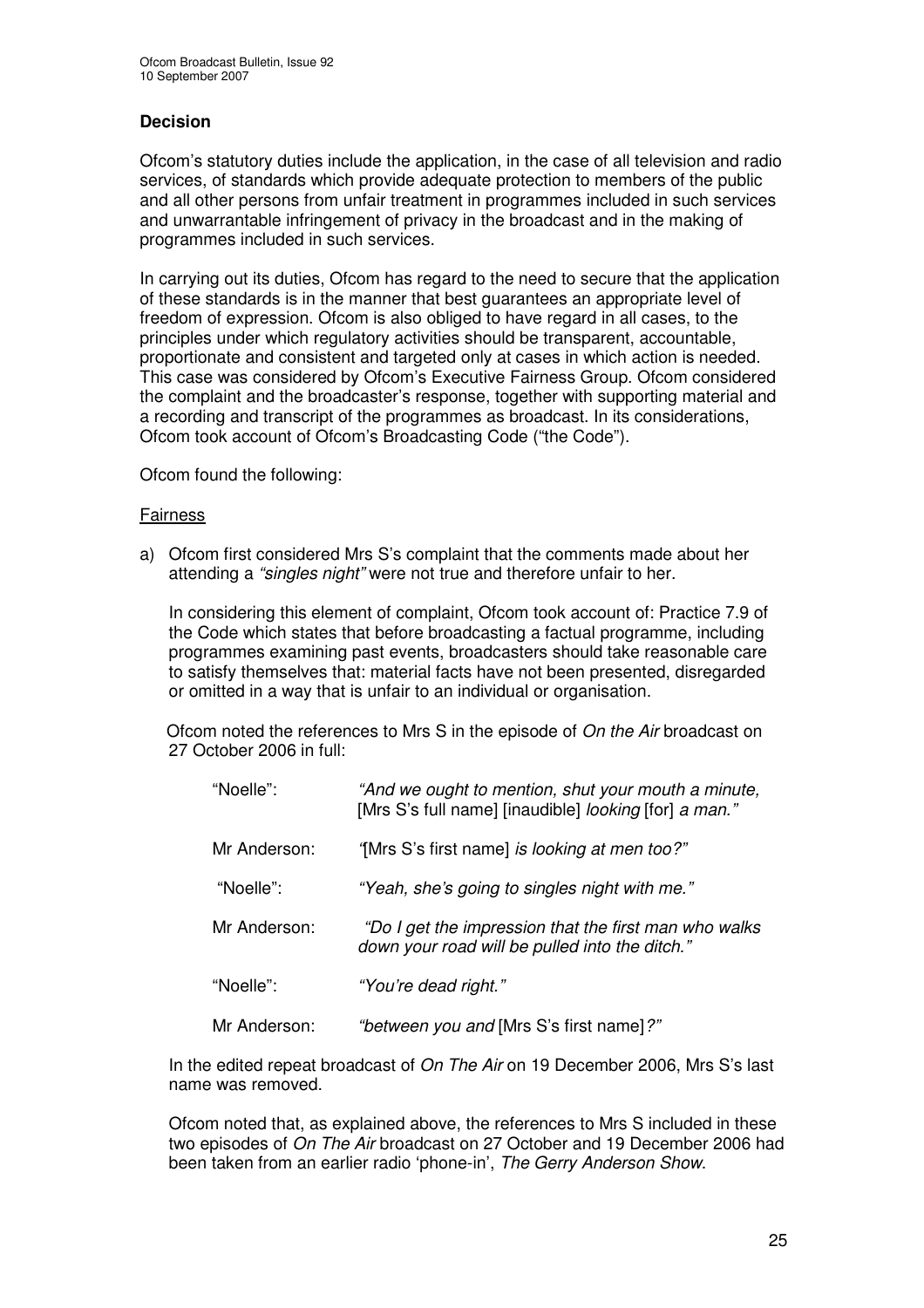# **Decision**

Ofcom's statutory duties include the application, in the case of all television and radio services, of standards which provide adequate protection to members of the public and all other persons from unfair treatment in programmes included in such services and unwarrantable infringement of privacy in the broadcast and in the making of programmes included in such services.

In carrying out its duties, Ofcom has regard to the need to secure that the application of these standards is in the manner that best guarantees an appropriate level of freedom of expression. Ofcom is also obliged to have regard in all cases, to the principles under which regulatory activities should be transparent, accountable, proportionate and consistent and targeted only at cases in which action is needed. This case was considered by Ofcom's Executive Fairness Group. Ofcom considered the complaint and the broadcaster's response, together with supporting material and a recording and transcript of the programmes as broadcast. In its considerations, Ofcom took account of Ofcom's Broadcasting Code ("the Code").

Ofcom found the following:

# Fairness

a) Ofcom first considered Mrs S's complaint that the comments made about her attending a *"singles night"* were not true and therefore unfair to her.

In considering this element of complaint, Ofcom took account of: Practice 7.9 of the Code which states that before broadcasting a factual programme, including programmes examining past events, broadcasters should take reasonable care to satisfy themselves that: material facts have not been presented, disregarded or omitted in a way that is unfair to an individual or organisation.

Ofcom noted the references to Mrs S in the episode of *On the Air* broadcast on 27 October 2006 in full:

| "Noelle":    | "And we ought to mention, shut your mouth a minute,<br>[Mrs S's full name] [inaudible] looking [for] a man." |
|--------------|--------------------------------------------------------------------------------------------------------------|
| Mr Anderson: | "[Mrs S's first name] is looking at men too?"                                                                |
| "Noelle":    | "Yeah, she's going to singles night with me."                                                                |
| Mr Anderson: | "Do I get the impression that the first man who walks<br>down your road will be pulled into the ditch."      |
| "Noelle":    | "You're dead right."                                                                                         |
| Mr Anderson: | "between you and [Mrs S's first name]?"                                                                      |

In the edited repeat broadcast of *On The Air* on 19 December 2006, Mrs S's last name was removed.

Ofcom noted that, as explained above, the references to Mrs S included in these two episodes of *On The Air* broadcast on 27 October and 19 December 2006 had been taken from an earlier radio 'phone-in', *The Gerry Anderson Show*.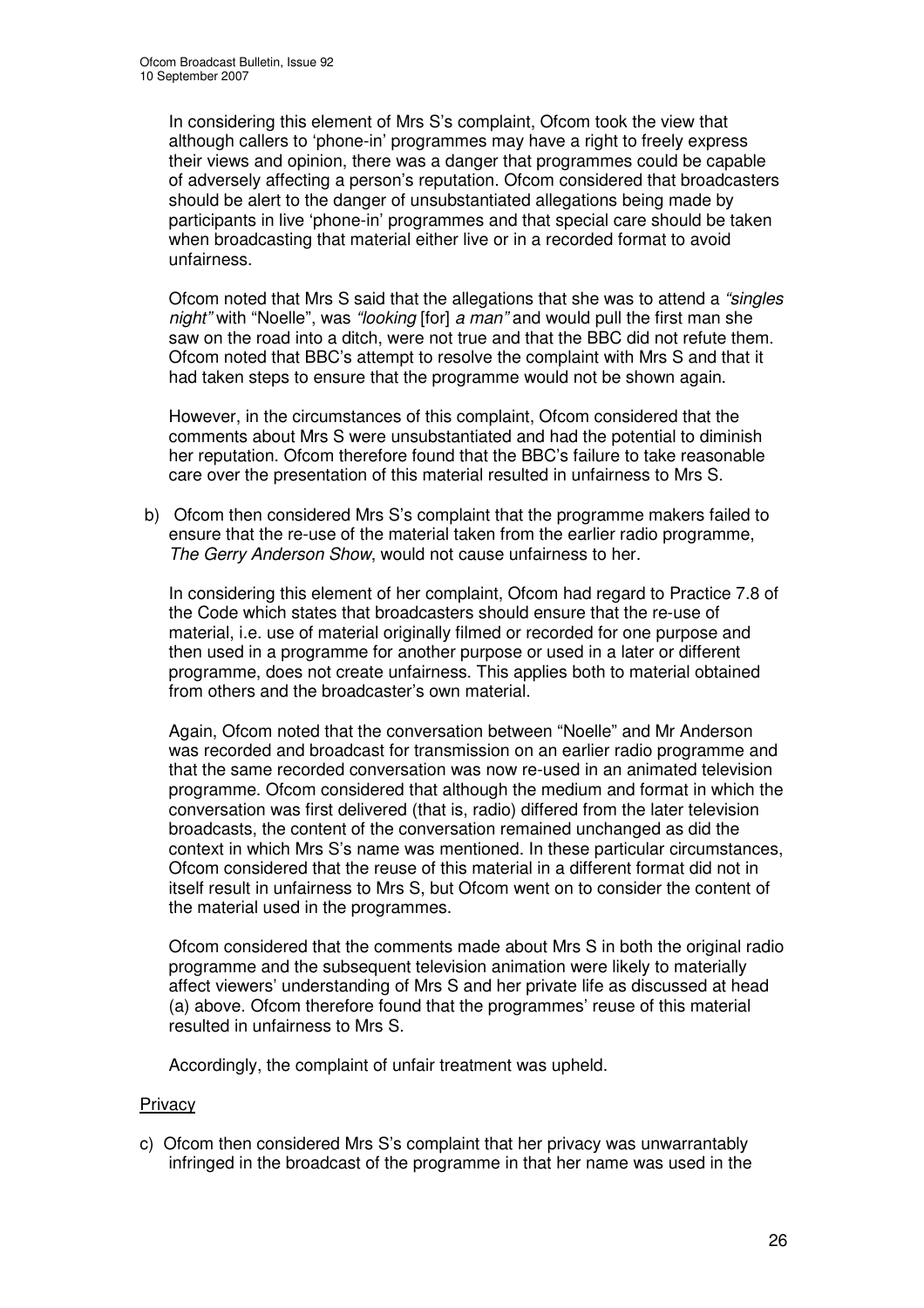In considering this element of Mrs S's complaint, Ofcom took the view that although callers to 'phone-in' programmes may have a right to freely express their views and opinion, there was a danger that programmes could be capable of adversely affecting a person's reputation. Ofcom considered that broadcasters should be alert to the danger of unsubstantiated allegations being made by participants in live 'phone-in' programmes and that special care should be taken when broadcasting that material either live or in a recorded format to avoid unfairness.

Ofcom noted that Mrs S said that the allegations that she was to attend a *"singles night"* with "Noelle", was *"looking* [for] *a man"* and would pull the first man she saw on the road into a ditch, were not true and that the BBC did not refute them. Ofcom noted that BBC's attempt to resolve the complaint with Mrs S and that it had taken steps to ensure that the programme would not be shown again.

However, in the circumstances of this complaint, Ofcom considered that the comments about Mrs S were unsubstantiated and had the potential to diminish her reputation. Ofcom therefore found that the BBC's failure to take reasonable care over the presentation of this material resulted in unfairness to Mrs S.

b) Ofcom then considered Mrs S's complaint that the programme makers failed to ensure that the re-use of the material taken from the earlier radio programme, *The Gerry Anderson Show*, would not cause unfairness to her.

In considering this element of her complaint, Ofcom had regard to Practice 7.8 of the Code which states that broadcasters should ensure that the re-use of material, i.e. use of material originally filmed or recorded for one purpose and then used in a programme for another purpose or used in a later or different programme, does not create unfairness. This applies both to material obtained from others and the broadcaster's own material.

Again, Ofcom noted that the conversation between "Noelle" and Mr Anderson was recorded and broadcast for transmission on an earlier radio programme and that the same recorded conversation was now re-used in an animated television programme. Ofcom considered that although the medium and format in which the conversation was first delivered (that is, radio) differed from the later television broadcasts, the content of the conversation remained unchanged as did the context in which Mrs S's name was mentioned. In these particular circumstances, Ofcom considered that the reuse of this material in a different format did not in itself result in unfairness to Mrs S, but Ofcom went on to consider the content of the material used in the programmes.

Ofcom considered that the comments made about Mrs S in both the original radio programme and the subsequent television animation were likely to materially affect viewers' understanding of Mrs S and her private life as discussed at head (a) above. Ofcom therefore found that the programmes' reuse of this material resulted in unfairness to Mrs S.

Accordingly, the complaint of unfair treatment was upheld.

# **Privacy**

c) Ofcom then considered Mrs S's complaint that her privacy was unwarrantably infringed in the broadcast of the programme in that her name was used in the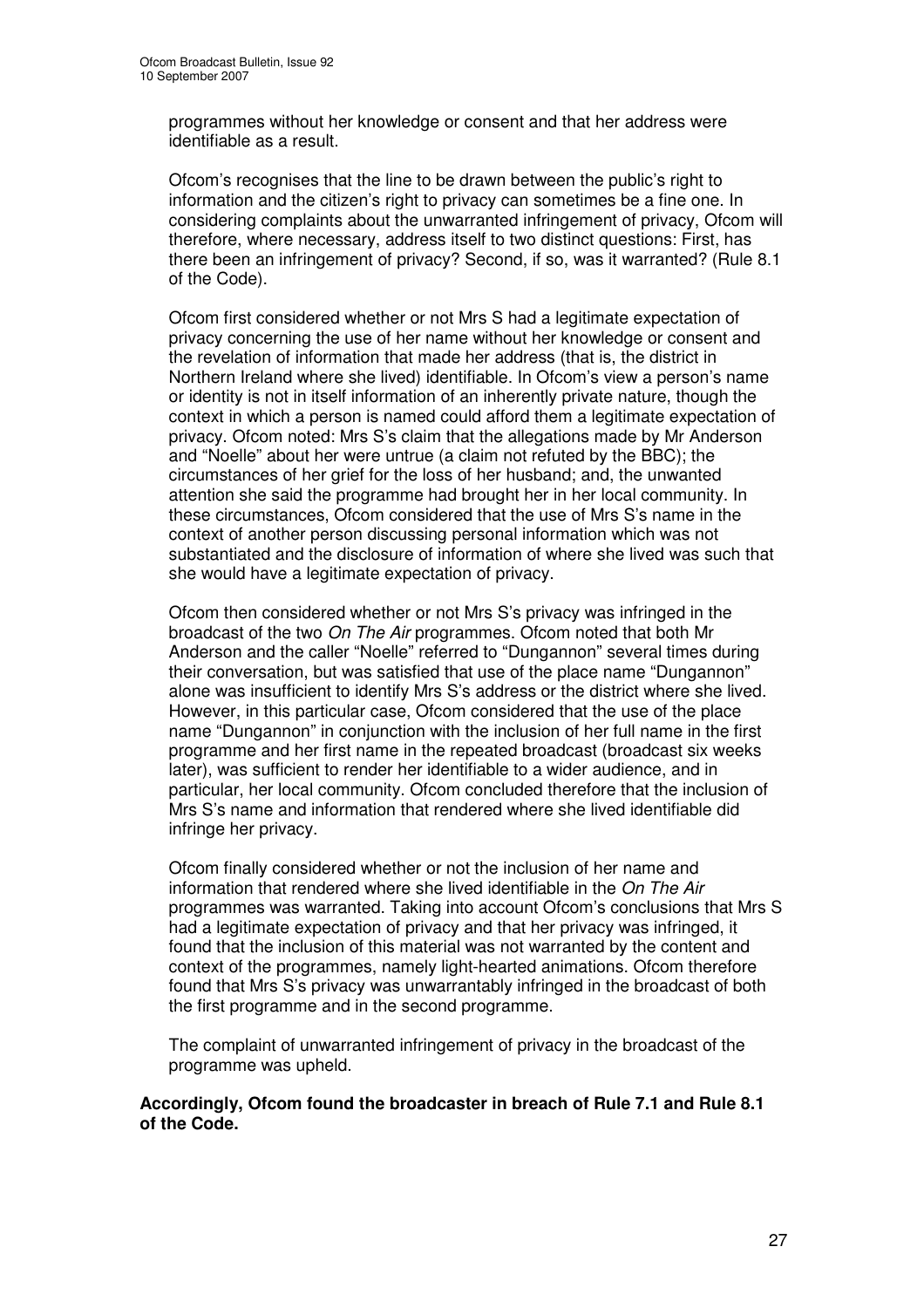programmes without her knowledge or consent and that her address were identifiable as a result.

Ofcom's recognises that the line to be drawn between the public's right to information and the citizen's right to privacy can sometimes be a fine one. In considering complaints about the unwarranted infringement of privacy, Ofcom will therefore, where necessary, address itself to two distinct questions: First, has there been an infringement of privacy? Second, if so, was it warranted? (Rule 8.1 of the Code).

Ofcom first considered whether or not Mrs S had a legitimate expectation of privacy concerning the use of her name without her knowledge or consent and the revelation of information that made her address (that is, the district in Northern Ireland where she lived) identifiable. In Ofcom's view a person's name or identity is not in itself information of an inherently private nature, though the context in which a person is named could afford them a legitimate expectation of privacy. Ofcom noted: Mrs S's claim that the allegations made by Mr Anderson and "Noelle" about her were untrue (a claim not refuted by the BBC); the circumstances of her grief for the loss of her husband; and, the unwanted attention she said the programme had brought her in her local community. In these circumstances, Ofcom considered that the use of Mrs S's name in the context of another person discussing personal information which was not substantiated and the disclosure of information of where she lived was such that she would have a legitimate expectation of privacy.

Ofcom then considered whether or not Mrs S's privacy was infringed in the broadcast of the two *On The Air* programmes. Ofcom noted that both Mr Anderson and the caller "Noelle" referred to "Dungannon" several times during their conversation, but was satisfied that use of the place name "Dungannon" alone was insufficient to identify Mrs S's address or the district where she lived. However, in this particular case, Ofcom considered that the use of the place name "Dungannon" in conjunction with the inclusion of her full name in the first programme and her first name in the repeated broadcast (broadcast six weeks later), was sufficient to render her identifiable to a wider audience, and in particular, her local community. Ofcom concluded therefore that the inclusion of Mrs S's name and information that rendered where she lived identifiable did infringe her privacy.

Ofcom finally considered whether or not the inclusion of her name and information that rendered where she lived identifiable in the *On The Air* programmes was warranted. Taking into account Ofcom's conclusions that Mrs S had a legitimate expectation of privacy and that her privacy was infringed, it found that the inclusion of this material was not warranted by the content and context of the programmes, namely light-hearted animations. Ofcom therefore found that Mrs S's privacy was unwarrantably infringed in the broadcast of both the first programme and in the second programme.

The complaint of unwarranted infringement of privacy in the broadcast of the programme was upheld.

#### **Accordingly, Ofcom found the broadcaster in breach of Rule 7.1 and Rule 8.1 of the Code.**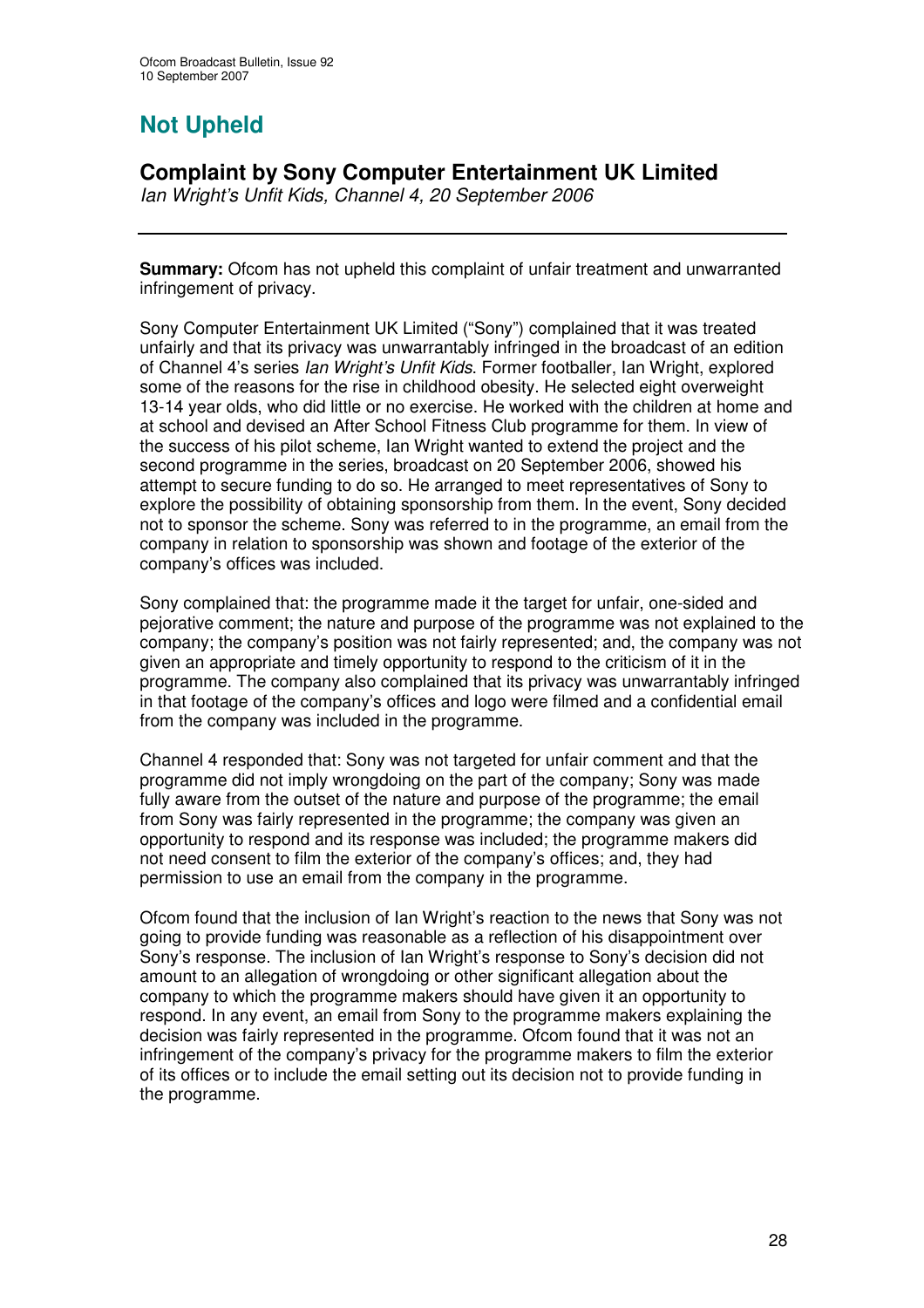# **Not Upheld**

# **Complaint by Sony Computer Entertainment UK Limited**

*Ian Wright's Unfit Kids, Channel 4, 20 September 2006*

**Summary:** Ofcom has not upheld this complaint of unfair treatment and unwarranted infringement of privacy.

Sony Computer Entertainment UK Limited ("Sony") complained that it was treated unfairly and that its privacy was unwarrantably infringed in the broadcast of an edition of Channel 4's series *Ian Wright's Unfit Kids*. Former footballer, Ian Wright, explored some of the reasons for the rise in childhood obesity. He selected eight overweight 13-14 year olds, who did little or no exercise. He worked with the children at home and at school and devised an After School Fitness Club programme for them. In view of the success of his pilot scheme, Ian Wright wanted to extend the project and the second programme in the series, broadcast on 20 September 2006, showed his attempt to secure funding to do so. He arranged to meet representatives of Sony to explore the possibility of obtaining sponsorship from them. In the event, Sony decided not to sponsor the scheme. Sony was referred to in the programme, an email from the company in relation to sponsorship was shown and footage of the exterior of the company's offices was included.

Sony complained that: the programme made it the target for unfair, one-sided and pejorative comment; the nature and purpose of the programme was not explained to the company; the company's position was not fairly represented; and, the company was not given an appropriate and timely opportunity to respond to the criticism of it in the programme. The company also complained that its privacy was unwarrantably infringed in that footage of the company's offices and logo were filmed and a confidential email from the company was included in the programme.

Channel 4 responded that: Sony was not targeted for unfair comment and that the programme did not imply wrongdoing on the part of the company; Sony was made fully aware from the outset of the nature and purpose of the programme; the email from Sony was fairly represented in the programme; the company was given an opportunity to respond and its response was included; the programme makers did not need consent to film the exterior of the company's offices; and, they had permission to use an email from the company in the programme.

Ofcom found that the inclusion of Ian Wright's reaction to the news that Sony was not going to provide funding was reasonable as a reflection of his disappointment over Sony's response. The inclusion of Ian Wright's response to Sony's decision did not amount to an allegation of wrongdoing or other significant allegation about the company to which the programme makers should have given it an opportunity to respond. In any event, an email from Sony to the programme makers explaining the decision was fairly represented in the programme. Ofcom found that it was not an infringement of the company's privacy for the programme makers to film the exterior of its offices or to include the email setting out its decision not to provide funding in the programme.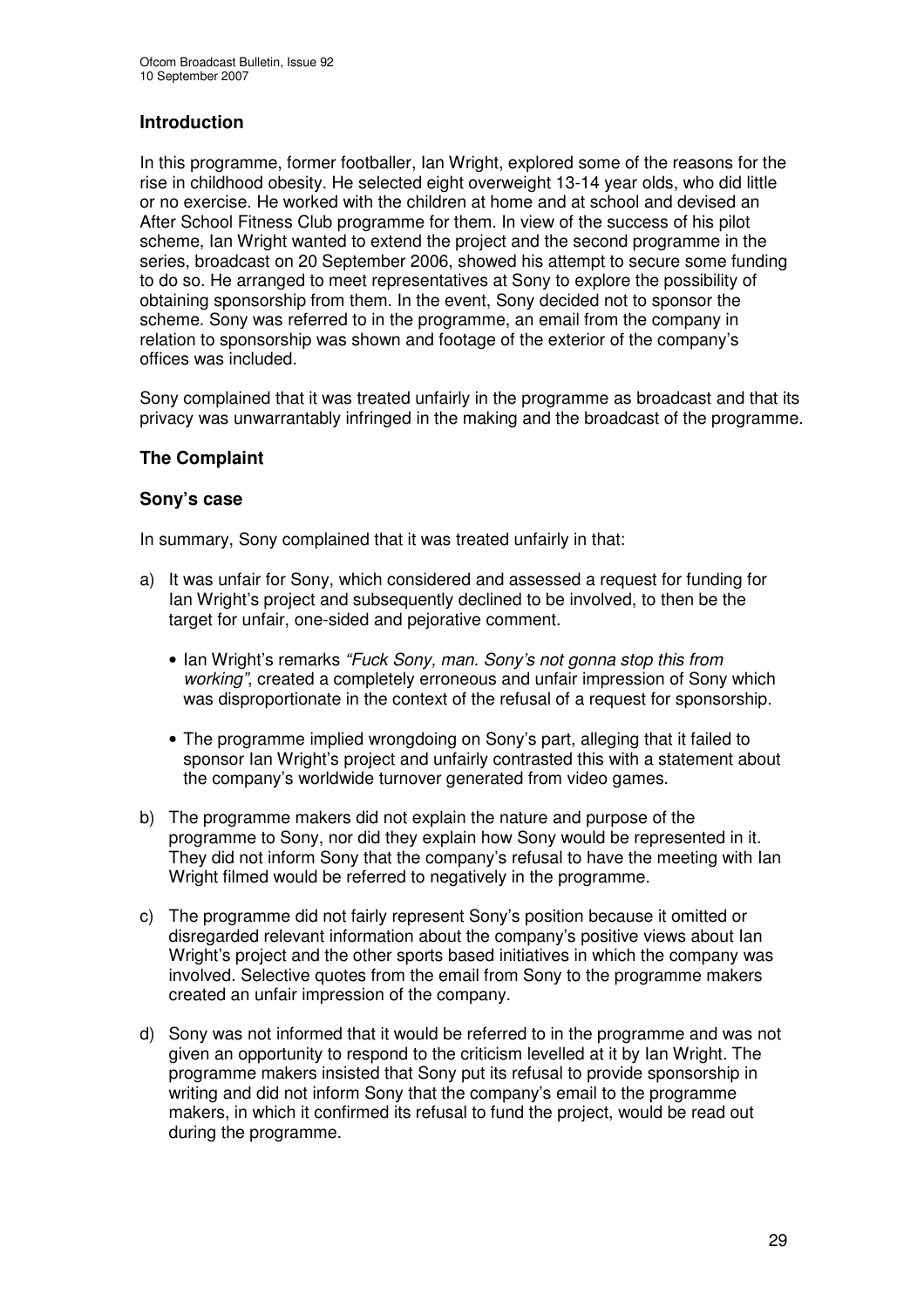# **Introduction**

In this programme, former footballer, Ian Wright, explored some of the reasons for the rise in childhood obesity. He selected eight overweight 13-14 year olds, who did little or no exercise. He worked with the children at home and at school and devised an After School Fitness Club programme for them. In view of the success of his pilot scheme, Ian Wright wanted to extend the project and the second programme in the series, broadcast on 20 September 2006, showed his attempt to secure some funding to do so. He arranged to meet representatives at Sony to explore the possibility of obtaining sponsorship from them. In the event, Sony decided not to sponsor the scheme. Sony was referred to in the programme, an email from the company in relation to sponsorship was shown and footage of the exterior of the company's offices was included.

Sony complained that it was treated unfairly in the programme as broadcast and that its privacy was unwarrantably infringed in the making and the broadcast of the programme.

# **The Complaint**

# **Sony's case**

In summary, Sony complained that it was treated unfairly in that:

- a) It was unfair for Sony, which considered and assessed a request for funding for Ian Wright's project and subsequently declined to be involved, to then be the target for unfair, one-sided and pejorative comment.
	- Ian Wright's remarks *"Fuck Sony, man. Sony's not gonna stop this from working"*, created a completely erroneous and unfair impression of Sony which was disproportionate in the context of the refusal of a request for sponsorship.
	- The programme implied wrongdoing on Sony's part, alleging that it failed to sponsor Ian Wright's project and unfairly contrasted this with a statement about the company's worldwide turnover generated from video games.
- b) The programme makers did not explain the nature and purpose of the programme to Sony, nor did they explain how Sony would be represented in it. They did not inform Sony that the company's refusal to have the meeting with Ian Wright filmed would be referred to negatively in the programme.
- c) The programme did not fairly represent Sony's position because it omitted or disregarded relevant information about the company's positive views about Ian Wright's project and the other sports based initiatives in which the company was involved. Selective quotes from the email from Sony to the programme makers created an unfair impression of the company.
- d) Sony was not informed that it would be referred to in the programme and was not given an opportunity to respond to the criticism levelled at it by Ian Wright. The programme makers insisted that Sony put its refusal to provide sponsorship in writing and did not inform Sony that the company's email to the programme makers, in which it confirmed its refusal to fund the project, would be read out during the programme.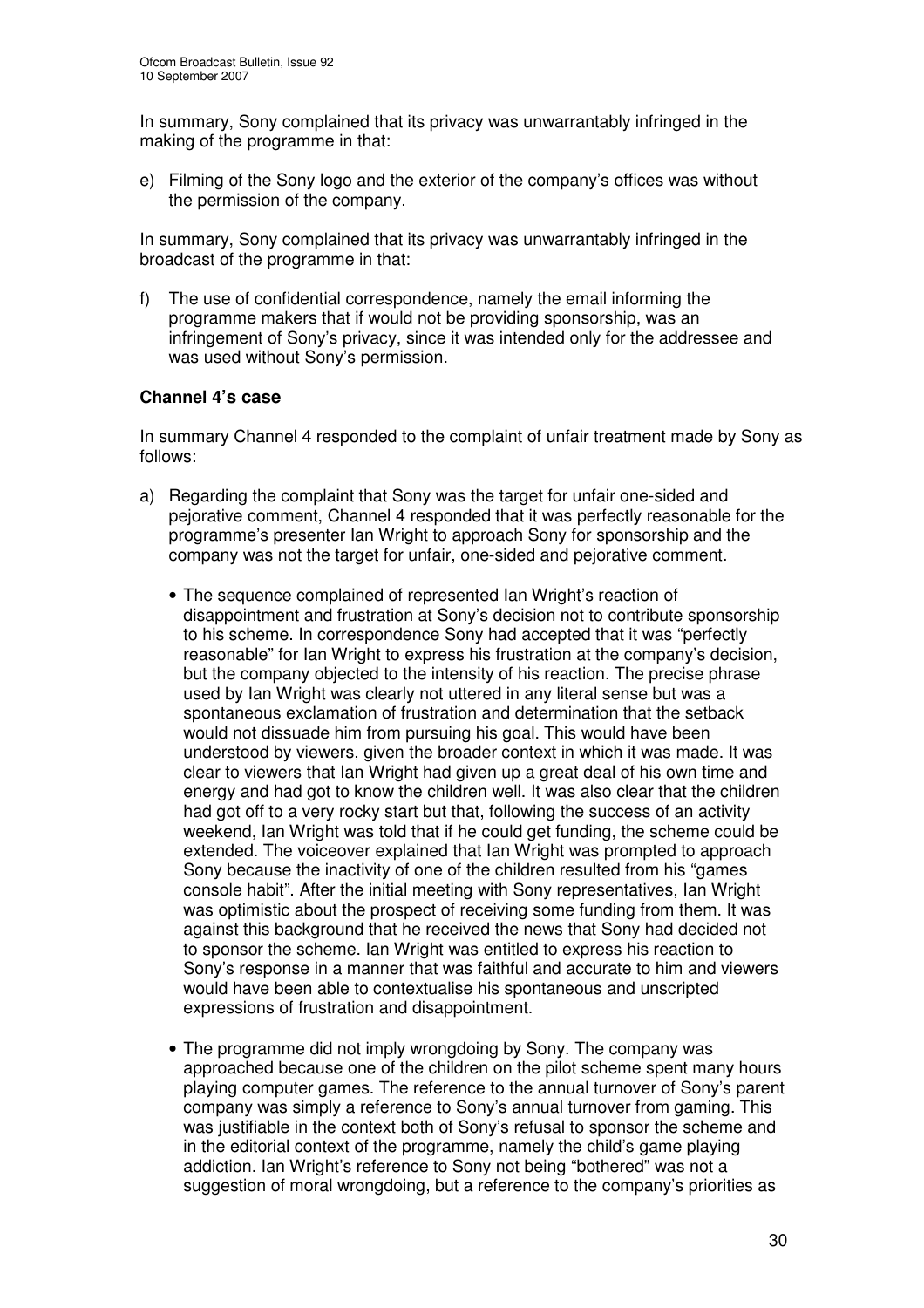In summary, Sony complained that its privacy was unwarrantably infringed in the making of the programme in that:

e) Filming of the Sony logo and the exterior of the company's offices was without the permission of the company.

In summary, Sony complained that its privacy was unwarrantably infringed in the broadcast of the programme in that:

f) The use of confidential correspondence, namely the email informing the programme makers that if would not be providing sponsorship, was an infringement of Sony's privacy, since it was intended only for the addressee and was used without Sony's permission.

# **Channel 4's case**

In summary Channel 4 responded to the complaint of unfair treatment made by Sony as follows:

- a) Regarding the complaint that Sony was the target for unfair one-sided and pejorative comment, Channel 4 responded that it was perfectly reasonable for the programme's presenter Ian Wright to approach Sony for sponsorship and the company was not the target for unfair, one-sided and pejorative comment.
	- The sequence complained of represented Ian Wright's reaction of disappointment and frustration at Sony's decision not to contribute sponsorship to his scheme. In correspondence Sony had accepted that it was "perfectly reasonable" for Ian Wright to express his frustration at the company's decision, but the company objected to the intensity of his reaction. The precise phrase used by Ian Wright was clearly not uttered in any literal sense but was a spontaneous exclamation of frustration and determination that the setback would not dissuade him from pursuing his goal. This would have been understood by viewers, given the broader context in which it was made. It was clear to viewers that Ian Wright had given up a great deal of his own time and energy and had got to know the children well. It was also clear that the children had got off to a very rocky start but that, following the success of an activity weekend, Ian Wright was told that if he could get funding, the scheme could be extended. The voiceover explained that Ian Wright was prompted to approach Sony because the inactivity of one of the children resulted from his "games console habit". After the initial meeting with Sony representatives, Ian Wright was optimistic about the prospect of receiving some funding from them. It was against this background that he received the news that Sony had decided not to sponsor the scheme. Ian Wright was entitled to express his reaction to Sony's response in a manner that was faithful and accurate to him and viewers would have been able to contextualise his spontaneous and unscripted expressions of frustration and disappointment.
	- The programme did not imply wrongdoing by Sony. The company was approached because one of the children on the pilot scheme spent many hours playing computer games. The reference to the annual turnover of Sony's parent company was simply a reference to Sony's annual turnover from gaming. This was justifiable in the context both of Sony's refusal to sponsor the scheme and in the editorial context of the programme, namely the child's game playing addiction. Ian Wright's reference to Sony not being "bothered" was not a suggestion of moral wrongdoing, but a reference to the company's priorities as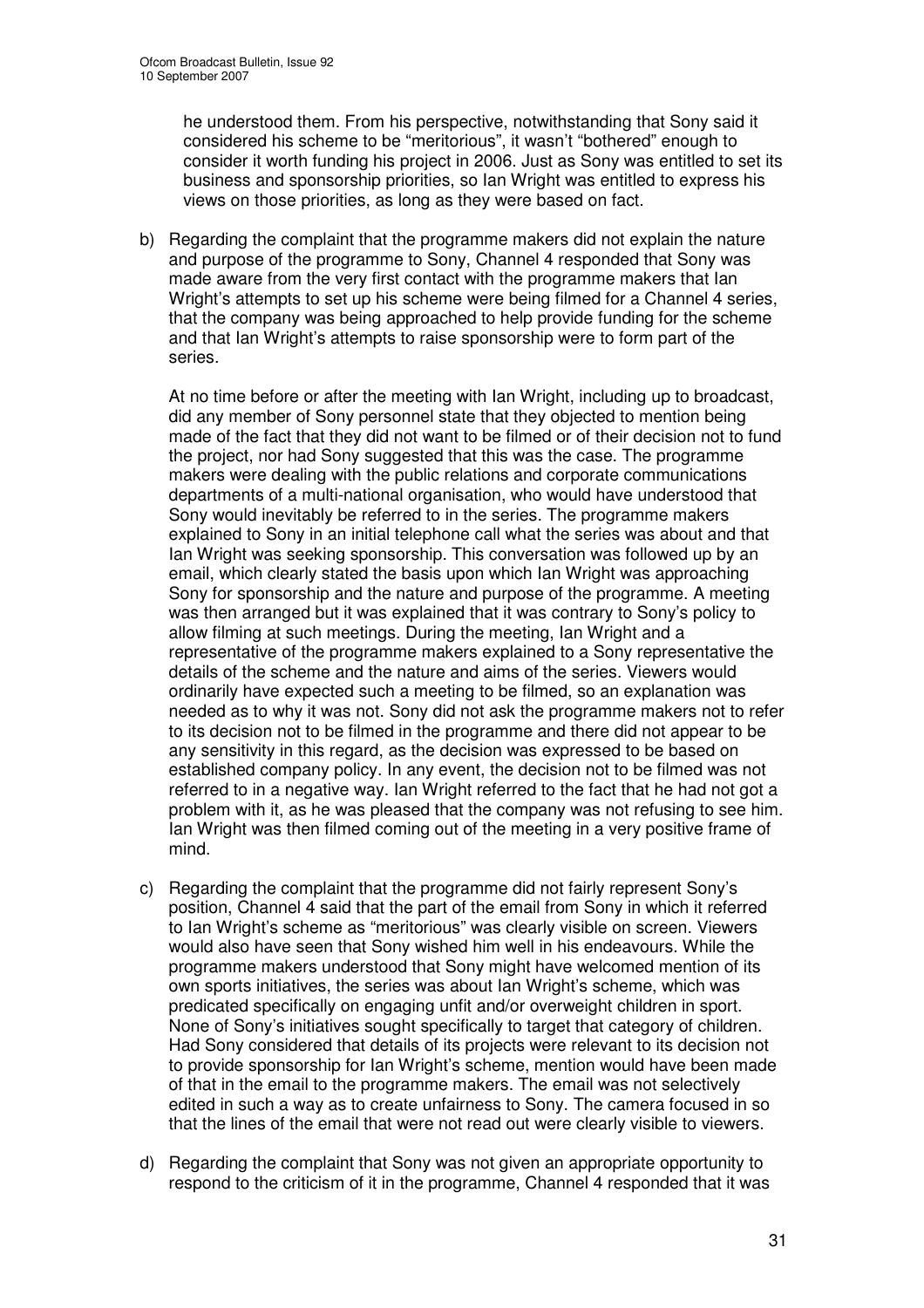he understood them. From his perspective, notwithstanding that Sony said it considered his scheme to be "meritorious", it wasn't "bothered" enough to consider it worth funding his project in 2006. Just as Sony was entitled to set its business and sponsorship priorities, so Ian Wright was entitled to express his views on those priorities, as long as they were based on fact.

b) Regarding the complaint that the programme makers did not explain the nature and purpose of the programme to Sony, Channel 4 responded that Sony was made aware from the very first contact with the programme makers that Ian Wright's attempts to set up his scheme were being filmed for a Channel 4 series, that the company was being approached to help provide funding for the scheme and that Ian Wright's attempts to raise sponsorship were to form part of the series.

At no time before or after the meeting with Ian Wright, including up to broadcast, did any member of Sony personnel state that they objected to mention being made of the fact that they did not want to be filmed or of their decision not to fund the project, nor had Sony suggested that this was the case. The programme makers were dealing with the public relations and corporate communications departments of a multi-national organisation, who would have understood that Sony would inevitably be referred to in the series. The programme makers explained to Sony in an initial telephone call what the series was about and that Ian Wright was seeking sponsorship. This conversation was followed up by an email, which clearly stated the basis upon which Ian Wright was approaching Sony for sponsorship and the nature and purpose of the programme. A meeting was then arranged but it was explained that it was contrary to Sony's policy to allow filming at such meetings. During the meeting, Ian Wright and a representative of the programme makers explained to a Sony representative the details of the scheme and the nature and aims of the series. Viewers would ordinarily have expected such a meeting to be filmed, so an explanation was needed as to why it was not. Sony did not ask the programme makers not to refer to its decision not to be filmed in the programme and there did not appear to be any sensitivity in this regard, as the decision was expressed to be based on established company policy. In any event, the decision not to be filmed was not referred to in a negative way. Ian Wright referred to the fact that he had not got a problem with it, as he was pleased that the company was not refusing to see him. Ian Wright was then filmed coming out of the meeting in a very positive frame of mind.

- c) Regarding the complaint that the programme did not fairly represent Sony's position, Channel 4 said that the part of the email from Sony in which it referred to Ian Wright's scheme as "meritorious" was clearly visible on screen. Viewers would also have seen that Sony wished him well in his endeavours. While the programme makers understood that Sony might have welcomed mention of its own sports initiatives, the series was about Ian Wright's scheme, which was predicated specifically on engaging unfit and/or overweight children in sport. None of Sony's initiatives sought specifically to target that category of children. Had Sony considered that details of its projects were relevant to its decision not to provide sponsorship for Ian Wright's scheme, mention would have been made of that in the email to the programme makers. The email was not selectively edited in such a way as to create unfairness to Sony. The camera focused in so that the lines of the email that were not read out were clearly visible to viewers.
- d) Regarding the complaint that Sony was not given an appropriate opportunity to respond to the criticism of it in the programme, Channel 4 responded that it was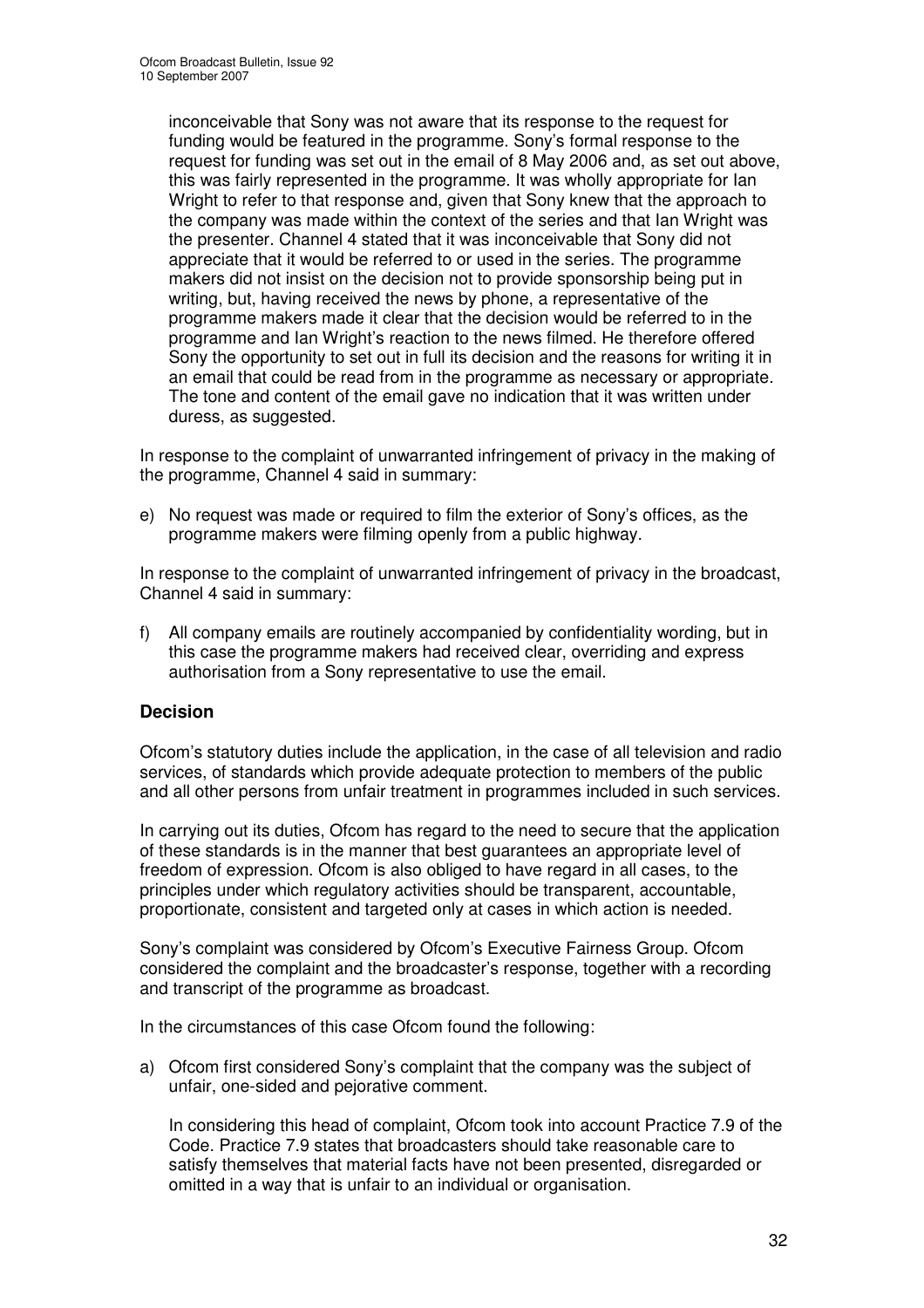inconceivable that Sony was not aware that its response to the request for funding would be featured in the programme. Sony's formal response to the request for funding was set out in the email of 8 May 2006 and, as set out above, this was fairly represented in the programme. It was wholly appropriate for Ian Wright to refer to that response and, given that Sony knew that the approach to the company was made within the context of the series and that Ian Wright was the presenter. Channel 4 stated that it was inconceivable that Sony did not appreciate that it would be referred to or used in the series. The programme makers did not insist on the decision not to provide sponsorship being put in writing, but, having received the news by phone, a representative of the programme makers made it clear that the decision would be referred to in the programme and Ian Wright's reaction to the news filmed. He therefore offered Sony the opportunity to set out in full its decision and the reasons for writing it in an email that could be read from in the programme as necessary or appropriate. The tone and content of the email gave no indication that it was written under duress, as suggested.

In response to the complaint of unwarranted infringement of privacy in the making of the programme, Channel 4 said in summary:

e) No request was made or required to film the exterior of Sony's offices, as the programme makers were filming openly from a public highway.

In response to the complaint of unwarranted infringement of privacy in the broadcast, Channel 4 said in summary:

f) All company emails are routinely accompanied by confidentiality wording, but in this case the programme makers had received clear, overriding and express authorisation from a Sony representative to use the email.

# **Decision**

Ofcom's statutory duties include the application, in the case of all television and radio services, of standards which provide adequate protection to members of the public and all other persons from unfair treatment in programmes included in such services.

In carrying out its duties, Ofcom has regard to the need to secure that the application of these standards is in the manner that best guarantees an appropriate level of freedom of expression. Ofcom is also obliged to have regard in all cases, to the principles under which regulatory activities should be transparent, accountable, proportionate, consistent and targeted only at cases in which action is needed.

Sony's complaint was considered by Ofcom's Executive Fairness Group. Ofcom considered the complaint and the broadcaster's response, together with a recording and transcript of the programme as broadcast.

In the circumstances of this case Ofcom found the following:

a) Ofcom first considered Sony's complaint that the company was the subject of unfair, one-sided and pejorative comment.

In considering this head of complaint, Ofcom took into account Practice 7.9 of the Code. Practice 7.9 states that broadcasters should take reasonable care to satisfy themselves that material facts have not been presented, disregarded or omitted in a way that is unfair to an individual or organisation.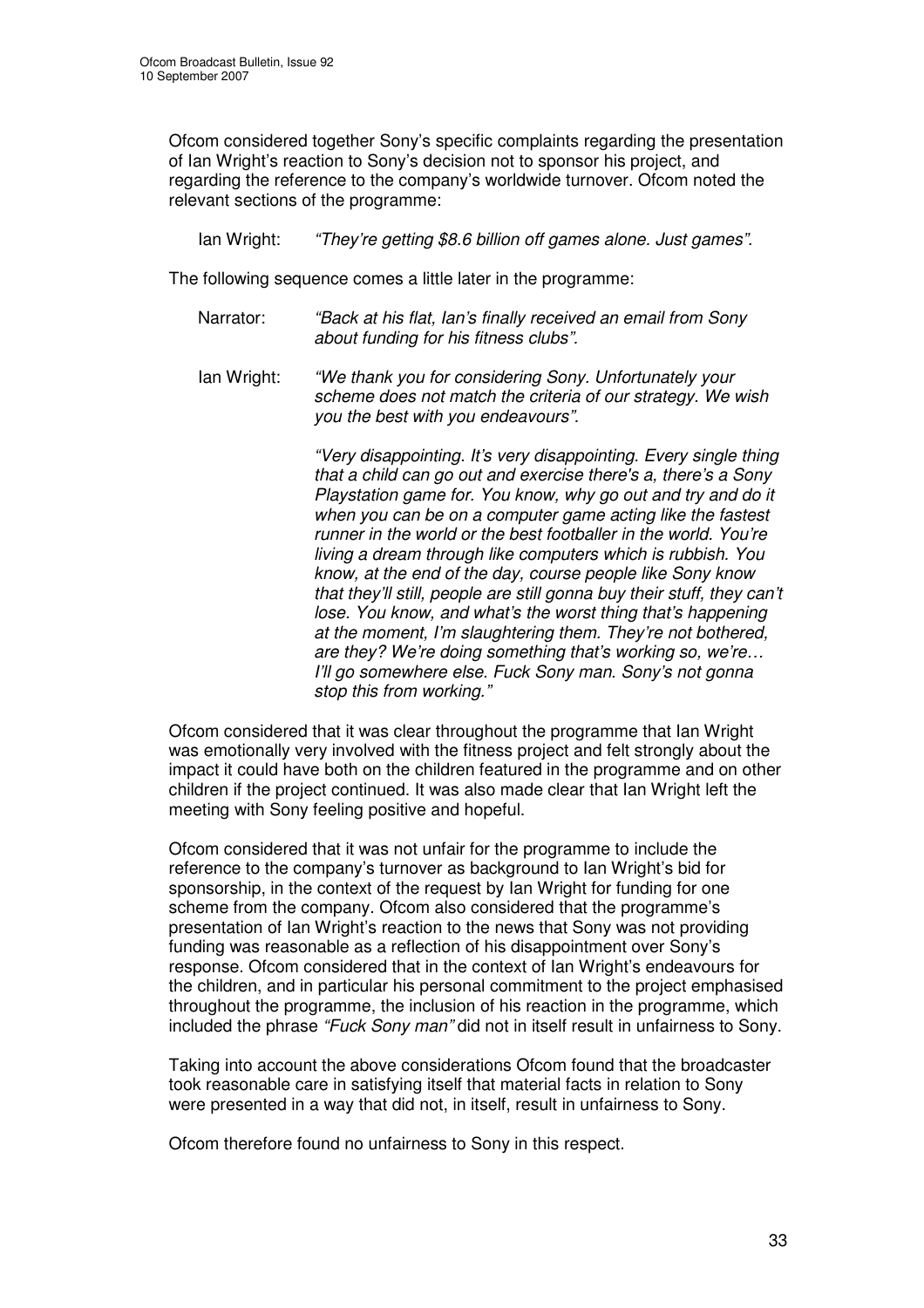Ofcom considered together Sony's specific complaints regarding the presentation of Ian Wright's reaction to Sony's decision not to sponsor his project, and regarding the reference to the company's worldwide turnover. Ofcom noted the relevant sections of the programme:

Ian Wright: *"They're getting \$8.6 billion off games alone. Just games".*

The following sequence comes a little later in the programme:

- Narrator: *"Back at his flat, Ian's finally received an email from Sony about funding for his fitness clubs".*
- Ian Wright: *"We thank you for considering Sony. Unfortunately your scheme does not match the criteria of our strategy. We wish you the best with you endeavours".*

*"Very disappointing. It's very disappointing. Every single thing that a child can go out and exercise there's a, there's a Sony Playstation game for. You know, why go out and try and do it when you can be on a computer game acting like the fastest runner in the world or the best footballer in the world. You're living a dream through like computers which is rubbish. You know, at the end of the day, course people like Sony know that they'll still, people are still gonna buy their stuff, they can't lose. You know, and what's the worst thing that's happening at the moment, I'm slaughtering them. They're not bothered, are they? We're doing something that's working so, we're… I'll go somewhere else. Fuck Sony man. Sony's not gonna stop this from working."*

Ofcom considered that it was clear throughout the programme that Ian Wright was emotionally very involved with the fitness project and felt strongly about the impact it could have both on the children featured in the programme and on other children if the project continued. It was also made clear that Ian Wright left the meeting with Sony feeling positive and hopeful.

Ofcom considered that it was not unfair for the programme to include the reference to the company's turnover as background to Ian Wright's bid for sponsorship, in the context of the request by Ian Wright for funding for one scheme from the company. Ofcom also considered that the programme's presentation of Ian Wright's reaction to the news that Sony was not providing funding was reasonable as a reflection of his disappointment over Sony's response. Ofcom considered that in the context of Ian Wright's endeavours for the children, and in particular his personal commitment to the project emphasised throughout the programme, the inclusion of his reaction in the programme, which included the phrase *"Fuck Sony man"* did not in itself result in unfairness to Sony.

Taking into account the above considerations Ofcom found that the broadcaster took reasonable care in satisfying itself that material facts in relation to Sony were presented in a way that did not, in itself, result in unfairness to Sony.

Ofcom therefore found no unfairness to Sony in this respect.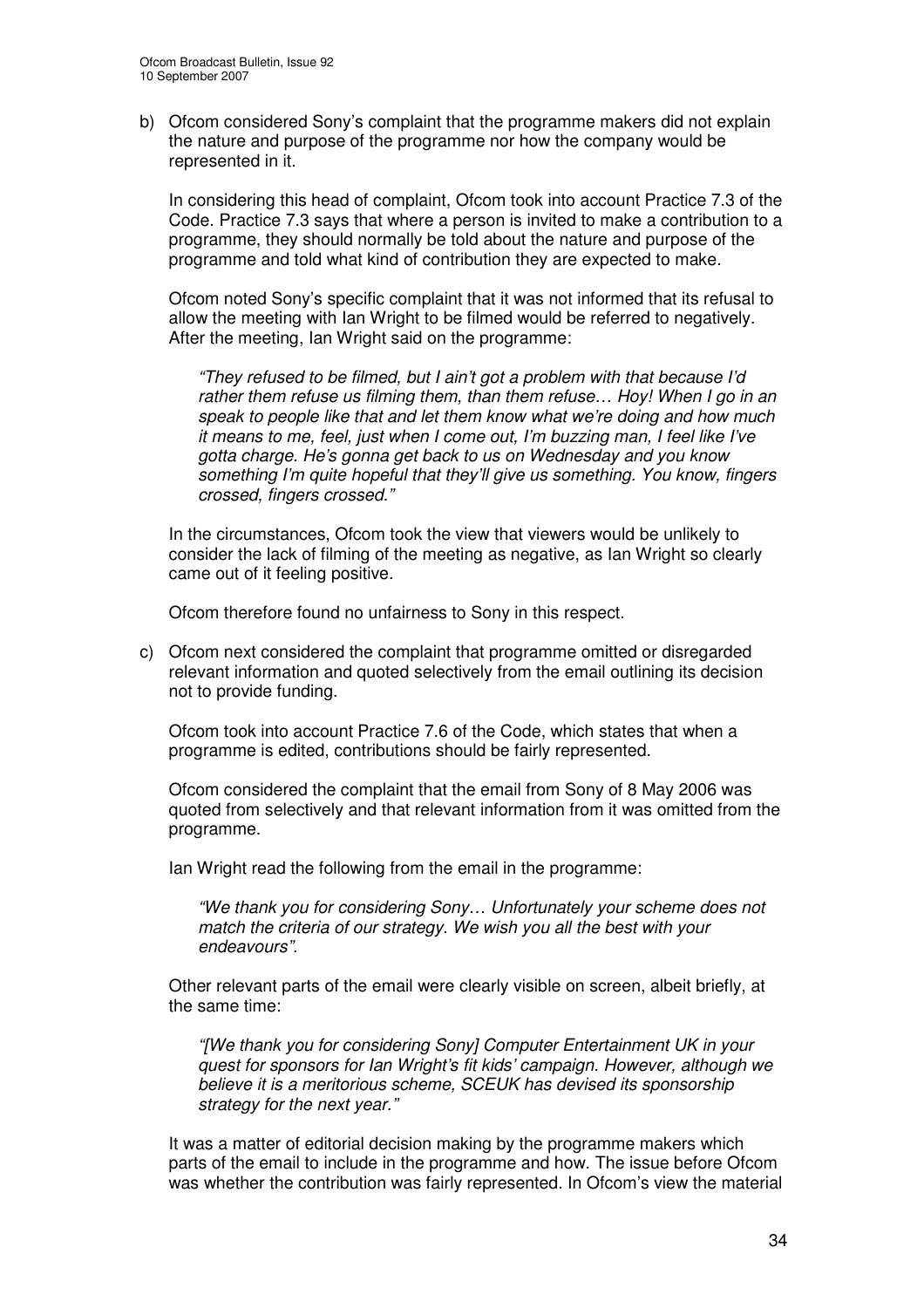b) Ofcom considered Sony's complaint that the programme makers did not explain the nature and purpose of the programme nor how the company would be represented in it.

In considering this head of complaint, Ofcom took into account Practice 7.3 of the Code. Practice 7.3 says that where a person is invited to make a contribution to a programme, they should normally be told about the nature and purpose of the programme and told what kind of contribution they are expected to make.

Ofcom noted Sony's specific complaint that it was not informed that its refusal to allow the meeting with Ian Wright to be filmed would be referred to negatively. After the meeting, Ian Wright said on the programme:

*"They refused to be filmed, but I ain't got a problem with that because I'd rather them refuse us filming them, than them refuse… Hoy! When I go in an speak to people like that and let them know what we're doing and how much it means to me, feel, just when I come out, I'm buzzing man, I feel like I've gotta charge. He's gonna get back to us on Wednesday and you know something I'm quite hopeful that they'll give us something. You know, fingers crossed, fingers crossed."*

In the circumstances, Ofcom took the view that viewers would be unlikely to consider the lack of filming of the meeting as negative, as Ian Wright so clearly came out of it feeling positive.

Ofcom therefore found no unfairness to Sony in this respect.

c) Ofcom next considered the complaint that programme omitted or disregarded relevant information and quoted selectively from the email outlining its decision not to provide funding.

Ofcom took into account Practice 7.6 of the Code, which states that when a programme is edited, contributions should be fairly represented.

Ofcom considered the complaint that the email from Sony of 8 May 2006 was quoted from selectively and that relevant information from it was omitted from the programme.

Ian Wright read the following from the email in the programme:

*"We thank you for considering Sony… Unfortunately your scheme does not match the criteria of our strategy. We wish you all the best with your endeavours".*

Other relevant parts of the email were clearly visible on screen, albeit briefly, at the same time:

*"[We thank you for considering Sony] Computer Entertainment UK in your quest for sponsors for Ian Wright's fit kids' campaign. However, although we believe it is a meritorious scheme, SCEUK has devised its sponsorship strategy for the next year."*

It was a matter of editorial decision making by the programme makers which parts of the email to include in the programme and how. The issue before Ofcom was whether the contribution was fairly represented. In Ofcom's view the material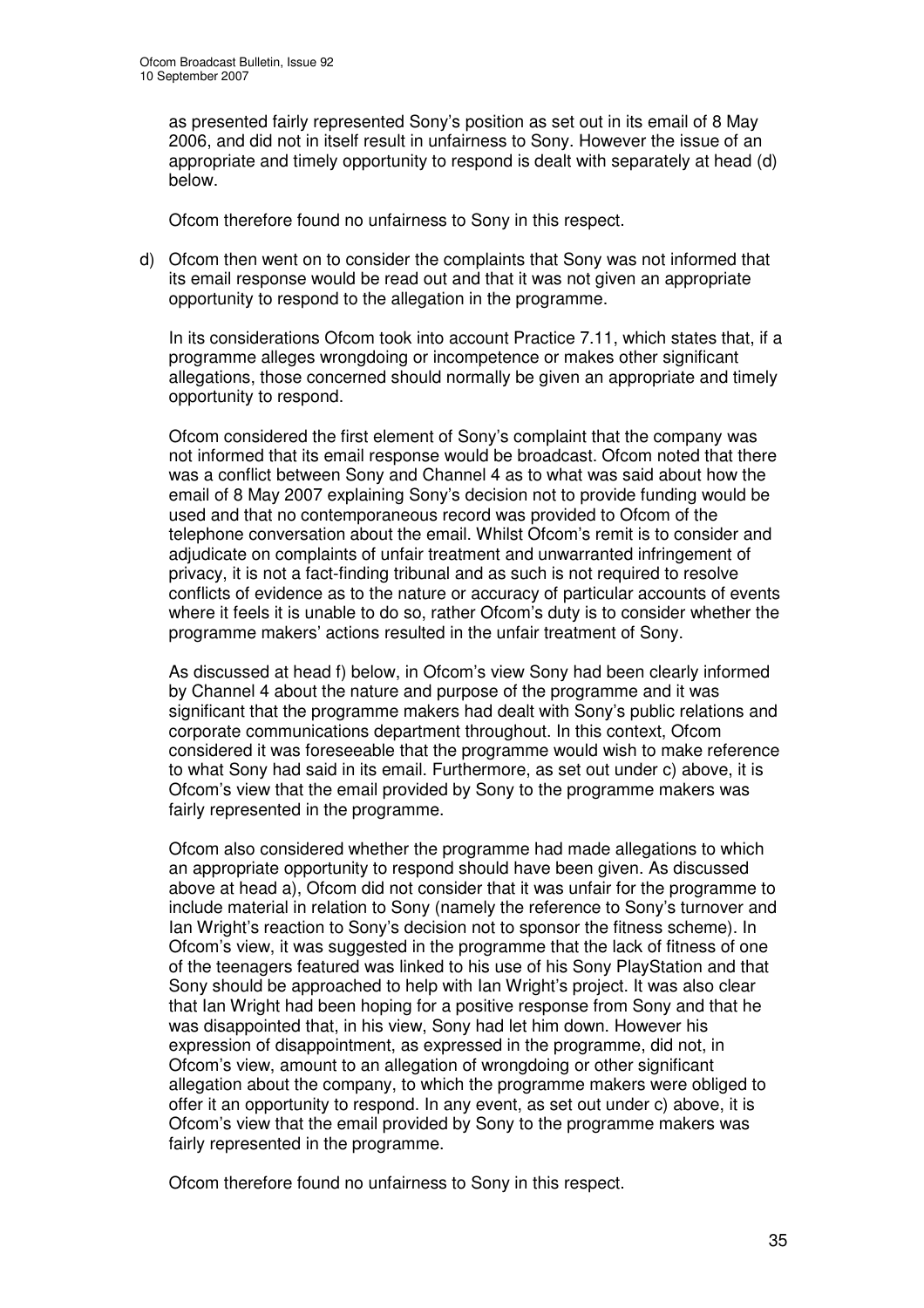as presented fairly represented Sony's position as set out in its email of 8 May 2006, and did not in itself result in unfairness to Sony. However the issue of an appropriate and timely opportunity to respond is dealt with separately at head (d) below.

Ofcom therefore found no unfairness to Sony in this respect.

d) Ofcom then went on to consider the complaints that Sony was not informed that its email response would be read out and that it was not given an appropriate opportunity to respond to the allegation in the programme.

In its considerations Ofcom took into account Practice 7.11, which states that, if a programme alleges wrongdoing or incompetence or makes other significant allegations, those concerned should normally be given an appropriate and timely opportunity to respond.

Ofcom considered the first element of Sony's complaint that the company was not informed that its email response would be broadcast. Ofcom noted that there was a conflict between Sony and Channel 4 as to what was said about how the email of 8 May 2007 explaining Sony's decision not to provide funding would be used and that no contemporaneous record was provided to Ofcom of the telephone conversation about the email. Whilst Ofcom's remit is to consider and adjudicate on complaints of unfair treatment and unwarranted infringement of privacy, it is not a fact-finding tribunal and as such is not required to resolve conflicts of evidence as to the nature or accuracy of particular accounts of events where it feels it is unable to do so, rather Ofcom's duty is to consider whether the programme makers' actions resulted in the unfair treatment of Sony.

As discussed at head f) below, in Ofcom's view Sony had been clearly informed by Channel 4 about the nature and purpose of the programme and it was significant that the programme makers had dealt with Sony's public relations and corporate communications department throughout. In this context, Ofcom considered it was foreseeable that the programme would wish to make reference to what Sony had said in its email. Furthermore, as set out under c) above, it is Ofcom's view that the email provided by Sony to the programme makers was fairly represented in the programme.

Ofcom also considered whether the programme had made allegations to which an appropriate opportunity to respond should have been given. As discussed above at head a), Ofcom did not consider that it was unfair for the programme to include material in relation to Sony (namely the reference to Sony's turnover and Ian Wright's reaction to Sony's decision not to sponsor the fitness scheme). In Ofcom's view, it was suggested in the programme that the lack of fitness of one of the teenagers featured was linked to his use of his Sony PlayStation and that Sony should be approached to help with Ian Wright's project. It was also clear that Ian Wright had been hoping for a positive response from Sony and that he was disappointed that, in his view, Sony had let him down. However his expression of disappointment, as expressed in the programme, did not, in Ofcom's view, amount to an allegation of wrongdoing or other significant allegation about the company, to which the programme makers were obliged to offer it an opportunity to respond. In any event, as set out under c) above, it is Ofcom's view that the email provided by Sony to the programme makers was fairly represented in the programme.

Ofcom therefore found no unfairness to Sony in this respect.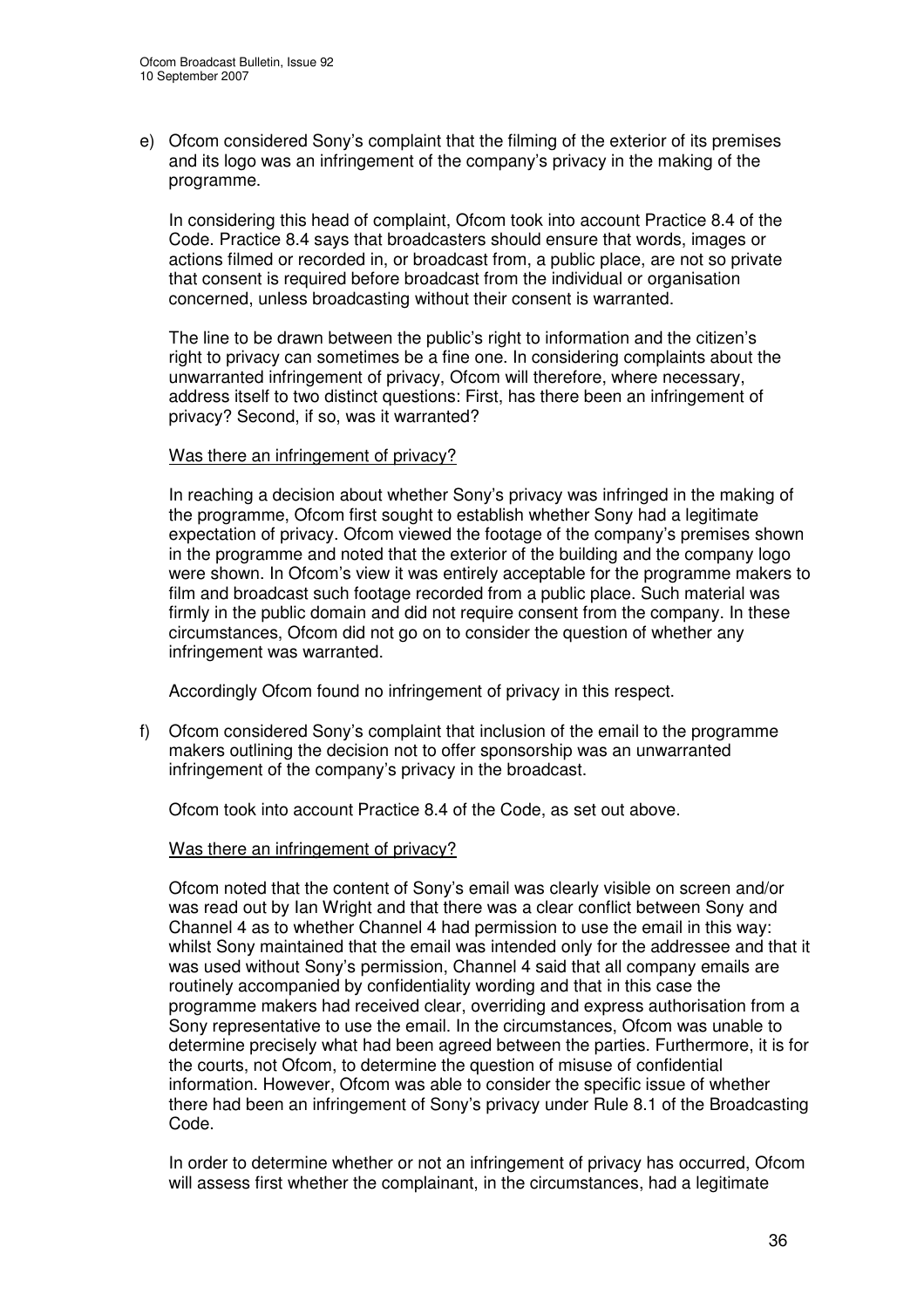e) Ofcom considered Sony's complaint that the filming of the exterior of its premises and its logo was an infringement of the company's privacy in the making of the programme.

In considering this head of complaint, Ofcom took into account Practice 8.4 of the Code. Practice 8.4 says that broadcasters should ensure that words, images or actions filmed or recorded in, or broadcast from, a public place, are not so private that consent is required before broadcast from the individual or organisation concerned, unless broadcasting without their consent is warranted.

The line to be drawn between the public's right to information and the citizen's right to privacy can sometimes be a fine one. In considering complaints about the unwarranted infringement of privacy, Ofcom will therefore, where necessary, address itself to two distinct questions: First, has there been an infringement of privacy? Second, if so, was it warranted?

#### Was there an infringement of privacy?

In reaching a decision about whether Sony's privacy was infringed in the making of the programme, Ofcom first sought to establish whether Sony had a legitimate expectation of privacy. Ofcom viewed the footage of the company's premises shown in the programme and noted that the exterior of the building and the company logo were shown. In Ofcom's view it was entirely acceptable for the programme makers to film and broadcast such footage recorded from a public place. Such material was firmly in the public domain and did not require consent from the company. In these circumstances, Ofcom did not go on to consider the question of whether any infringement was warranted.

Accordingly Ofcom found no infringement of privacy in this respect.

f) Ofcom considered Sony's complaint that inclusion of the email to the programme makers outlining the decision not to offer sponsorship was an unwarranted infringement of the company's privacy in the broadcast.

Ofcom took into account Practice 8.4 of the Code, as set out above.

# Was there an infringement of privacy?

Ofcom noted that the content of Sony's email was clearly visible on screen and/or was read out by Ian Wright and that there was a clear conflict between Sony and Channel 4 as to whether Channel 4 had permission to use the email in this way: whilst Sony maintained that the email was intended only for the addressee and that it was used without Sony's permission, Channel 4 said that all company emails are routinely accompanied by confidentiality wording and that in this case the programme makers had received clear, overriding and express authorisation from a Sony representative to use the email. In the circumstances, Ofcom was unable to determine precisely what had been agreed between the parties. Furthermore, it is for the courts, not Ofcom, to determine the question of misuse of confidential information. However, Ofcom was able to consider the specific issue of whether there had been an infringement of Sony's privacy under Rule 8.1 of the Broadcasting Code.

In order to determine whether or not an infringement of privacy has occurred, Ofcom will assess first whether the complainant, in the circumstances, had a legitimate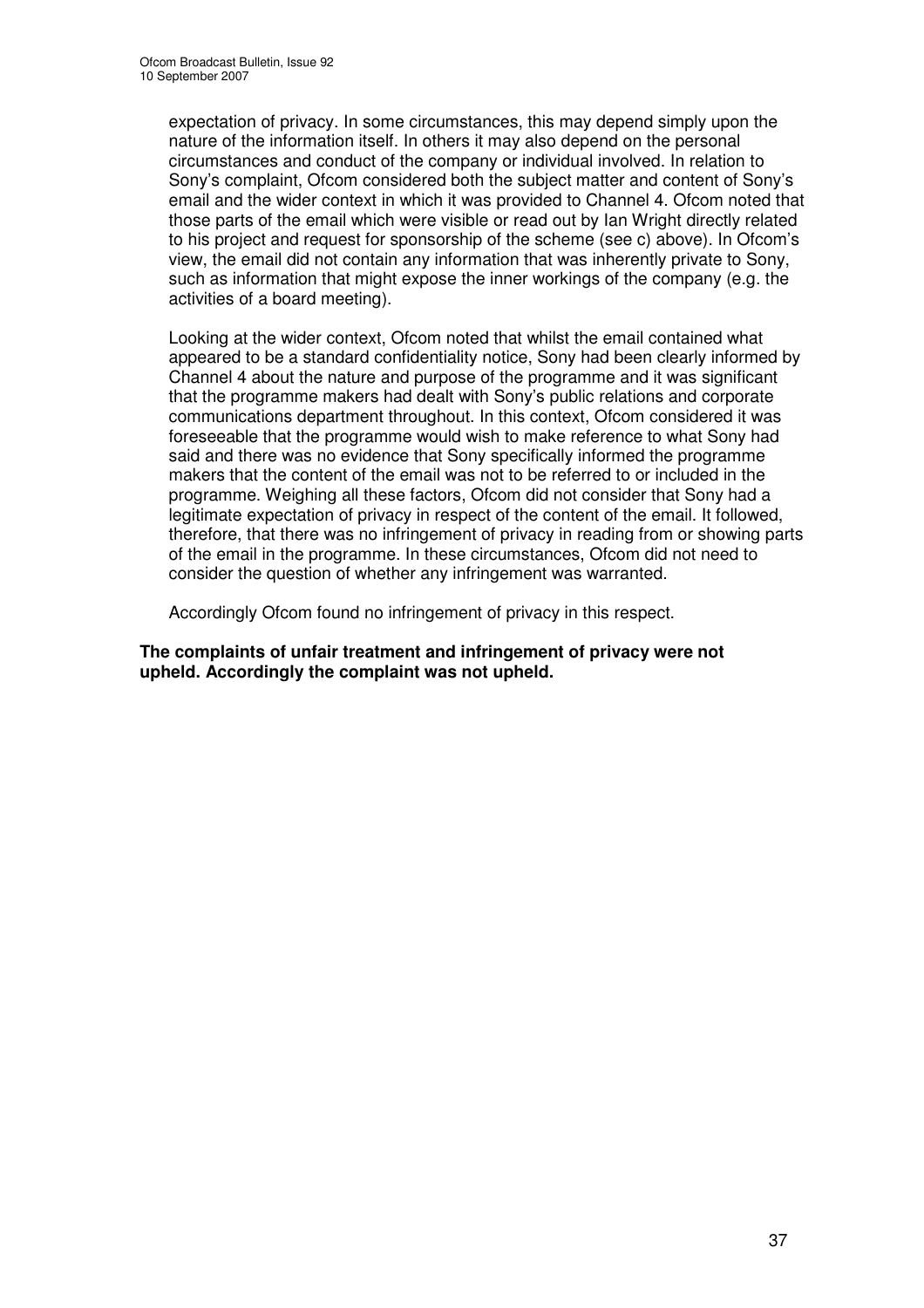expectation of privacy. In some circumstances, this may depend simply upon the nature of the information itself. In others it may also depend on the personal circumstances and conduct of the company or individual involved. In relation to Sony's complaint, Ofcom considered both the subject matter and content of Sony's email and the wider context in which it was provided to Channel 4. Ofcom noted that those parts of the email which were visible or read out by Ian Wright directly related to his project and request for sponsorship of the scheme (see c) above). In Ofcom's view, the email did not contain any information that was inherently private to Sony, such as information that might expose the inner workings of the company (e.g. the activities of a board meeting).

Looking at the wider context, Ofcom noted that whilst the email contained what appeared to be a standard confidentiality notice, Sony had been clearly informed by Channel 4 about the nature and purpose of the programme and it was significant that the programme makers had dealt with Sony's public relations and corporate communications department throughout. In this context, Ofcom considered it was foreseeable that the programme would wish to make reference to what Sony had said and there was no evidence that Sony specifically informed the programme makers that the content of the email was not to be referred to or included in the programme. Weighing all these factors, Ofcom did not consider that Sony had a legitimate expectation of privacy in respect of the content of the email. It followed, therefore, that there was no infringement of privacy in reading from or showing parts of the email in the programme. In these circumstances, Ofcom did not need to consider the question of whether any infringement was warranted.

Accordingly Ofcom found no infringement of privacy in this respect.

**The complaints of unfair treatment and infringement of privacy were not upheld. Accordingly the complaint was not upheld.**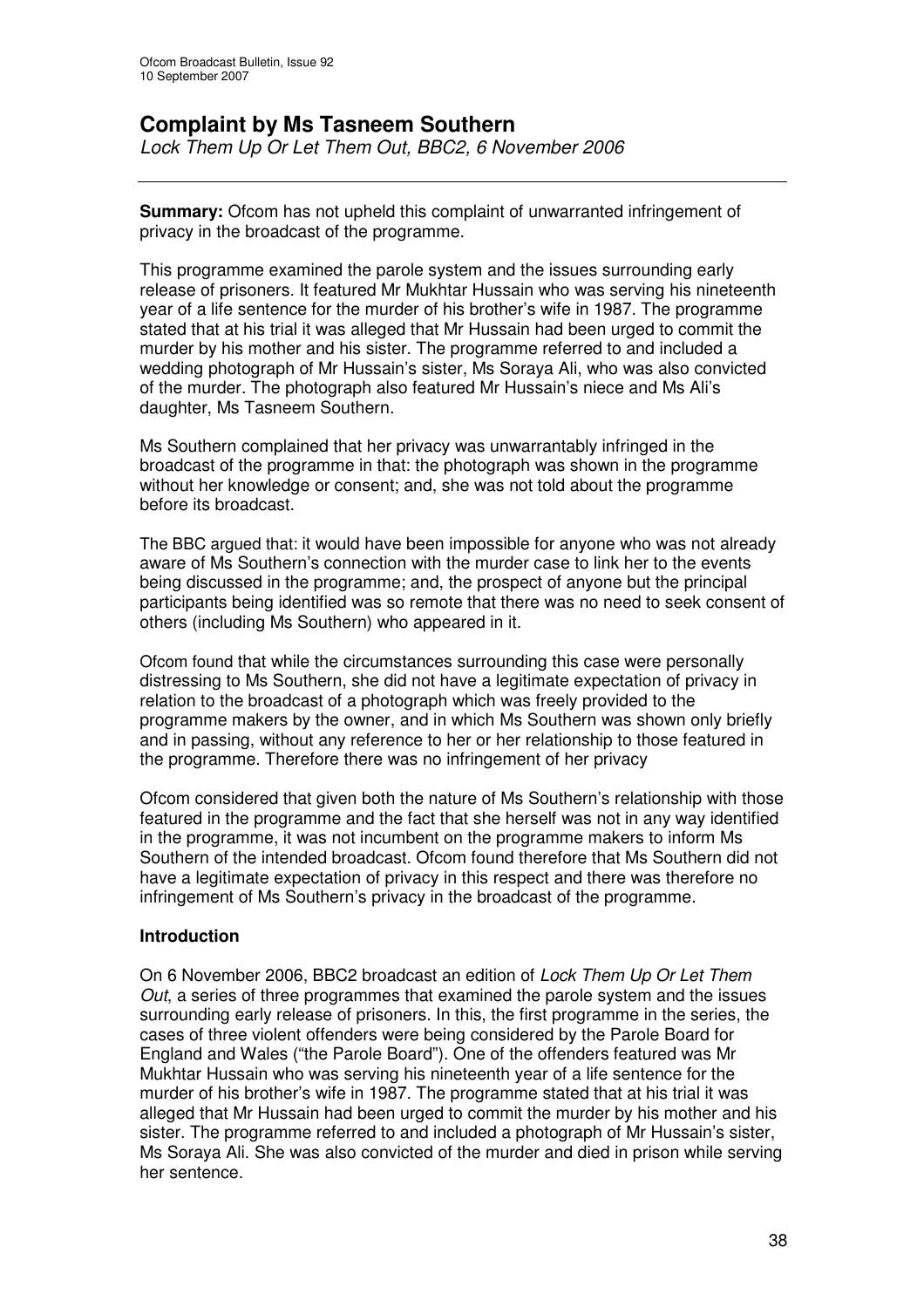# **Complaint by Ms Tasneem Southern**

*Lock Them Up Or Let Them Out, BBC2, 6 November 2006*

**Summary:** Ofcom has not upheld this complaint of unwarranted infringement of privacy in the broadcast of the programme.

This programme examined the parole system and the issues surrounding early release of prisoners. It featured Mr Mukhtar Hussain who was serving his nineteenth year of a life sentence for the murder of his brother's wife in 1987. The programme stated that at his trial it was alleged that Mr Hussain had been urged to commit the murder by his mother and his sister. The programme referred to and included a wedding photograph of Mr Hussain's sister, Ms Soraya Ali, who was also convicted of the murder. The photograph also featured Mr Hussain's niece and Ms Ali's daughter, Ms Tasneem Southern.

Ms Southern complained that her privacy was unwarrantably infringed in the broadcast of the programme in that: the photograph was shown in the programme without her knowledge or consent; and, she was not told about the programme before its broadcast.

The BBC argued that: it would have been impossible for anyone who was not already aware of Ms Southern's connection with the murder case to link her to the events being discussed in the programme; and, the prospect of anyone but the principal participants being identified was so remote that there was no need to seek consent of others (including Ms Southern) who appeared in it.

Ofcom found that while the circumstances surrounding this case were personally distressing to Ms Southern, she did not have a legitimate expectation of privacy in relation to the broadcast of a photograph which was freely provided to the programme makers by the owner, and in which Ms Southern was shown only briefly and in passing, without any reference to her or her relationship to those featured in the programme. Therefore there was no infringement of her privacy

Ofcom considered that given both the nature of Ms Southern's relationship with those featured in the programme and the fact that she herself was not in any way identified in the programme, it was not incumbent on the programme makers to inform Ms Southern of the intended broadcast. Ofcom found therefore that Ms Southern did not have a legitimate expectation of privacy in this respect and there was therefore no infringement of Ms Southern's privacy in the broadcast of the programme.

# **Introduction**

On 6 November 2006, BBC2 broadcast an edition of *Lock Them Up Or Let Them Out*, a series of three programmes that examined the parole system and the issues surrounding early release of prisoners. In this, the first programme in the series, the cases of three violent offenders were being considered by the Parole Board for England and Wales ("the Parole Board"). One of the offenders featured was Mr Mukhtar Hussain who was serving his nineteenth year of a life sentence for the murder of his brother's wife in 1987. The programme stated that at his trial it was alleged that Mr Hussain had been urged to commit the murder by his mother and his sister. The programme referred to and included a photograph of Mr Hussain's sister, Ms Soraya Ali. She was also convicted of the murder and died in prison while serving her sentence.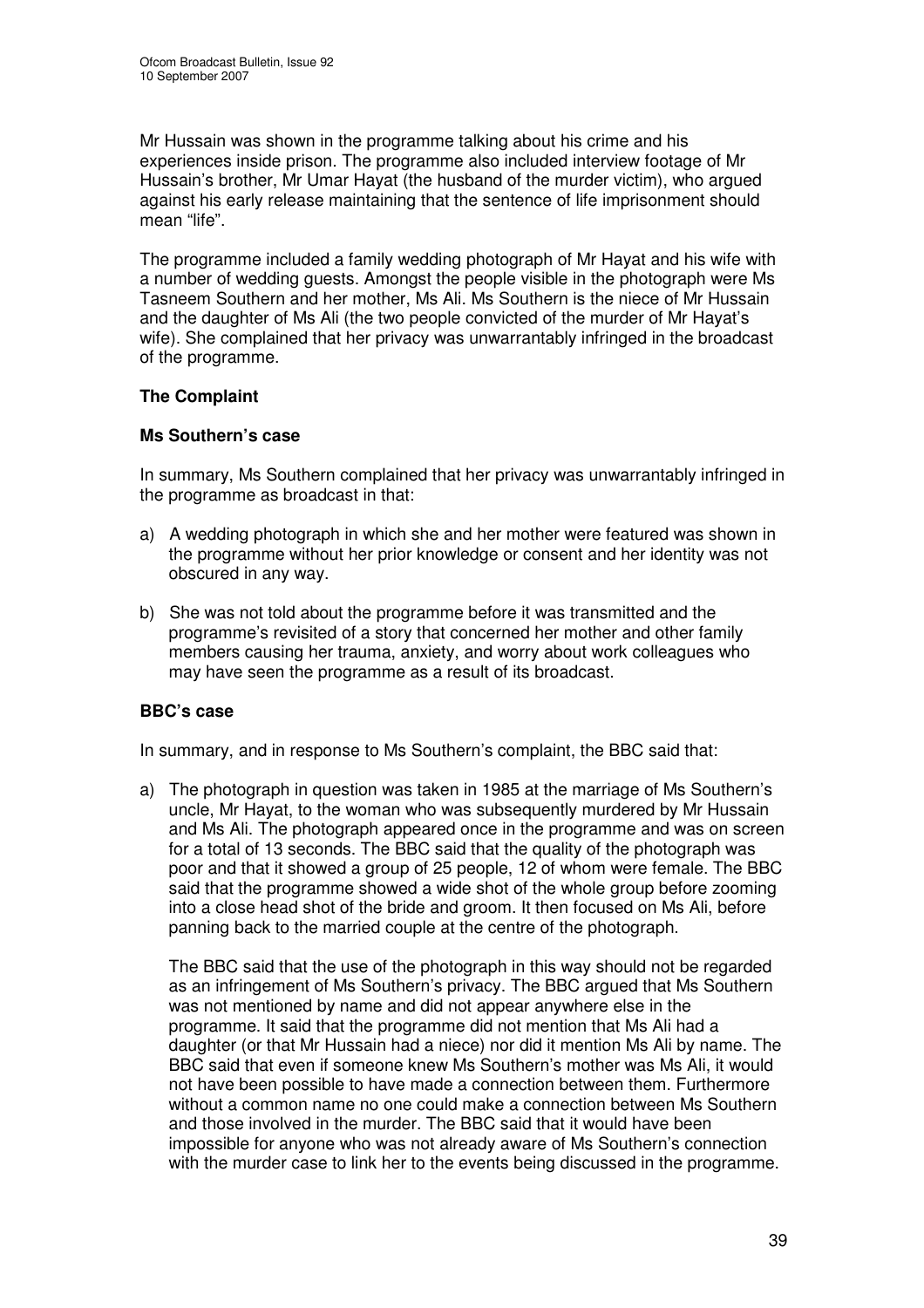Mr Hussain was shown in the programme talking about his crime and his experiences inside prison. The programme also included interview footage of Mr Hussain's brother, Mr Umar Hayat (the husband of the murder victim), who argued against his early release maintaining that the sentence of life imprisonment should mean "life".

The programme included a family wedding photograph of Mr Hayat and his wife with a number of wedding guests. Amongst the people visible in the photograph were Ms Tasneem Southern and her mother, Ms Ali. Ms Southern is the niece of Mr Hussain and the daughter of Ms Ali (the two people convicted of the murder of Mr Hayat's wife). She complained that her privacy was unwarrantably infringed in the broadcast of the programme.

# **The Complaint**

# **Ms Southern's case**

In summary, Ms Southern complained that her privacy was unwarrantably infringed in the programme as broadcast in that:

- a) A wedding photograph in which she and her mother were featured was shown in the programme without her prior knowledge or consent and her identity was not obscured in any way.
- b) She was not told about the programme before it was transmitted and the programme's revisited of a story that concerned her mother and other family members causing her trauma, anxiety, and worry about work colleagues who may have seen the programme as a result of its broadcast.

# **BBC's case**

In summary, and in response to Ms Southern's complaint, the BBC said that:

a) The photograph in question was taken in 1985 at the marriage of Ms Southern's uncle, Mr Hayat, to the woman who was subsequently murdered by Mr Hussain and Ms Ali. The photograph appeared once in the programme and was on screen for a total of 13 seconds. The BBC said that the quality of the photograph was poor and that it showed a group of 25 people, 12 of whom were female. The BBC said that the programme showed a wide shot of the whole group before zooming into a close head shot of the bride and groom. It then focused on Ms Ali, before panning back to the married couple at the centre of the photograph.

The BBC said that the use of the photograph in this way should not be regarded as an infringement of Ms Southern's privacy. The BBC argued that Ms Southern was not mentioned by name and did not appear anywhere else in the programme. It said that the programme did not mention that Ms Ali had a daughter (or that Mr Hussain had a niece) nor did it mention Ms Ali by name. The BBC said that even if someone knew Ms Southern's mother was Ms Ali, it would not have been possible to have made a connection between them. Furthermore without a common name no one could make a connection between Ms Southern and those involved in the murder. The BBC said that it would have been impossible for anyone who was not already aware of Ms Southern's connection with the murder case to link her to the events being discussed in the programme.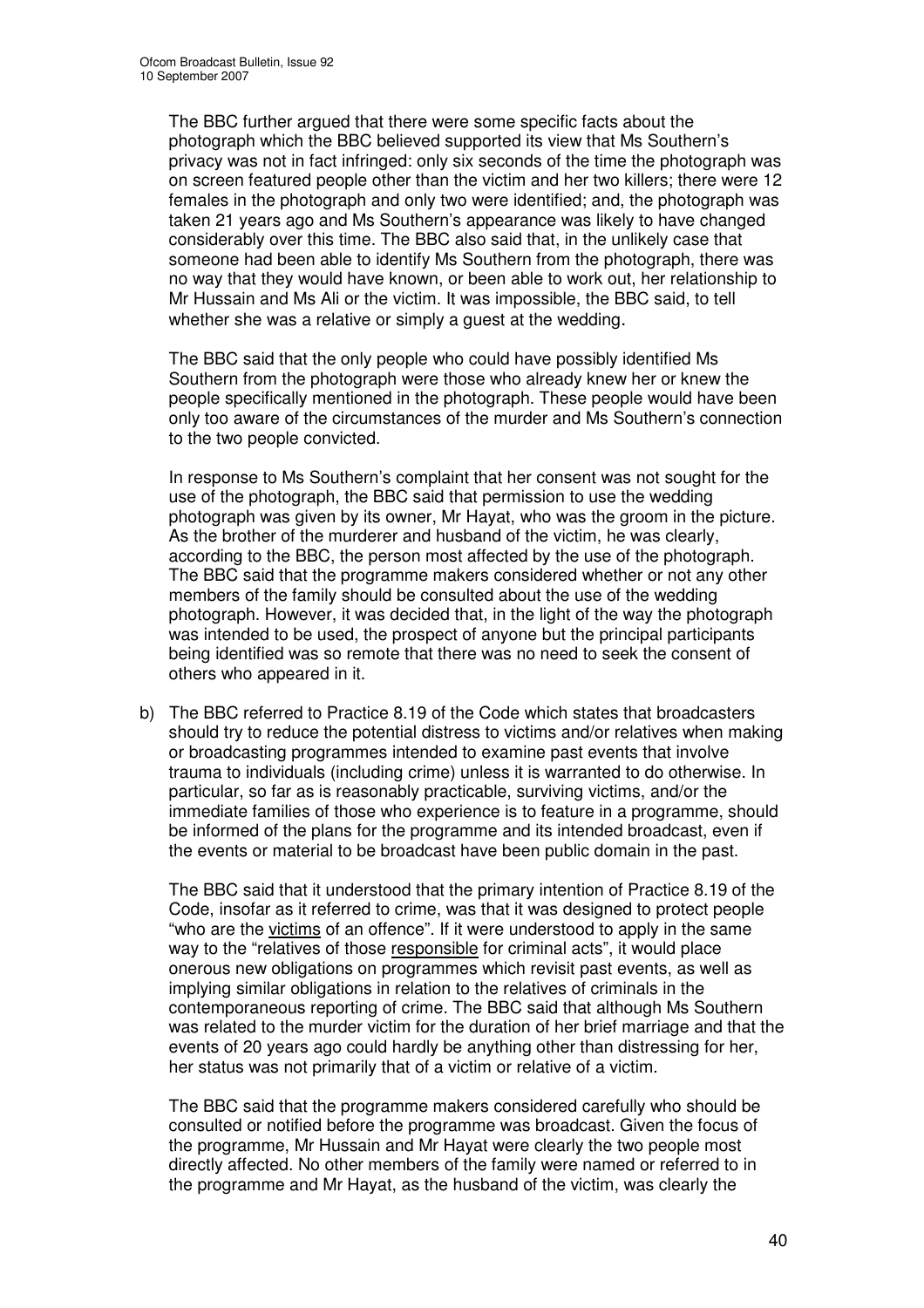The BBC further argued that there were some specific facts about the photograph which the BBC believed supported its view that Ms Southern's privacy was not in fact infringed: only six seconds of the time the photograph was on screen featured people other than the victim and her two killers; there were 12 females in the photograph and only two were identified; and, the photograph was taken 21 years ago and Ms Southern's appearance was likely to have changed considerably over this time. The BBC also said that, in the unlikely case that someone had been able to identify Ms Southern from the photograph, there was no way that they would have known, or been able to work out, her relationship to Mr Hussain and Ms Ali or the victim. It was impossible, the BBC said, to tell whether she was a relative or simply a guest at the wedding.

The BBC said that the only people who could have possibly identified Ms Southern from the photograph were those who already knew her or knew the people specifically mentioned in the photograph. These people would have been only too aware of the circumstances of the murder and Ms Southern's connection to the two people convicted.

In response to Ms Southern's complaint that her consent was not sought for the use of the photograph, the BBC said that permission to use the wedding photograph was given by its owner, Mr Hayat, who was the groom in the picture. As the brother of the murderer and husband of the victim, he was clearly, according to the BBC, the person most affected by the use of the photograph. The BBC said that the programme makers considered whether or not any other members of the family should be consulted about the use of the wedding photograph. However, it was decided that, in the light of the way the photograph was intended to be used, the prospect of anyone but the principal participants being identified was so remote that there was no need to seek the consent of others who appeared in it.

b) The BBC referred to Practice 8.19 of the Code which states that broadcasters should try to reduce the potential distress to victims and/or relatives when making or broadcasting programmes intended to examine past events that involve trauma to individuals (including crime) unless it is warranted to do otherwise. In particular, so far as is reasonably practicable, surviving victims, and/or the immediate families of those who experience is to feature in a programme, should be informed of the plans for the programme and its intended broadcast, even if the events or material to be broadcast have been public domain in the past.

The BBC said that it understood that the primary intention of Practice 8.19 of the Code, insofar as it referred to crime, was that it was designed to protect people "who are the victims of an offence". If it were understood to apply in the same way to the "relatives of those responsible for criminal acts", it would place onerous new obligations on programmes which revisit past events, as well as implying similar obligations in relation to the relatives of criminals in the contemporaneous reporting of crime. The BBC said that although Ms Southern was related to the murder victim for the duration of her brief marriage and that the events of 20 years ago could hardly be anything other than distressing for her, her status was not primarily that of a victim or relative of a victim.

The BBC said that the programme makers considered carefully who should be consulted or notified before the programme was broadcast. Given the focus of the programme, Mr Hussain and Mr Hayat were clearly the two people most directly affected. No other members of the family were named or referred to in the programme and Mr Hayat, as the husband of the victim, was clearly the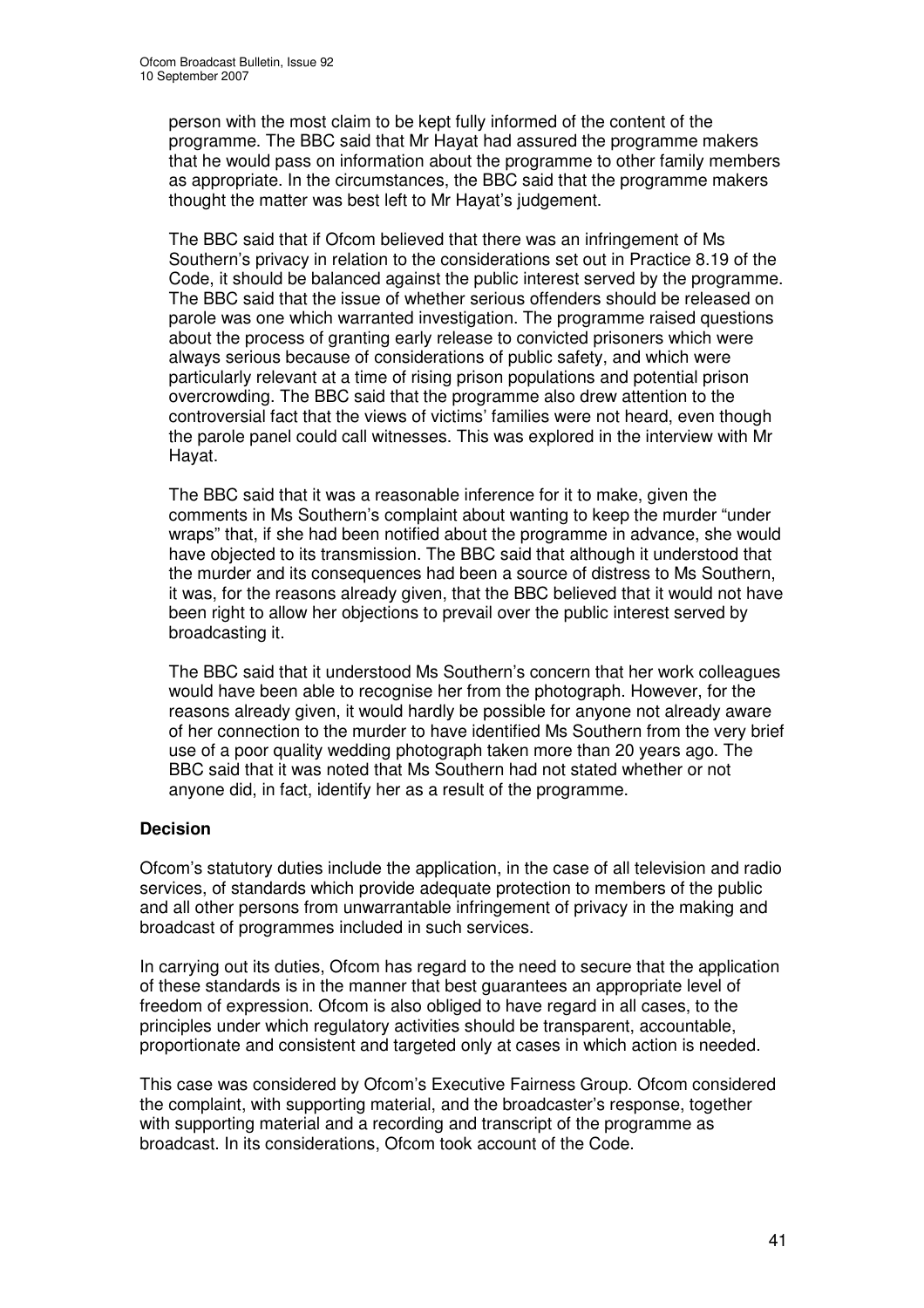person with the most claim to be kept fully informed of the content of the programme. The BBC said that Mr Hayat had assured the programme makers that he would pass on information about the programme to other family members as appropriate. In the circumstances, the BBC said that the programme makers thought the matter was best left to Mr Hayat's judgement.

The BBC said that if Ofcom believed that there was an infringement of Ms Southern's privacy in relation to the considerations set out in Practice 8.19 of the Code, it should be balanced against the public interest served by the programme. The BBC said that the issue of whether serious offenders should be released on parole was one which warranted investigation. The programme raised questions about the process of granting early release to convicted prisoners which were always serious because of considerations of public safety, and which were particularly relevant at a time of rising prison populations and potential prison overcrowding. The BBC said that the programme also drew attention to the controversial fact that the views of victims' families were not heard, even though the parole panel could call witnesses. This was explored in the interview with Mr Hayat.

The BBC said that it was a reasonable inference for it to make, given the comments in Ms Southern's complaint about wanting to keep the murder "under wraps" that, if she had been notified about the programme in advance, she would have objected to its transmission. The BBC said that although it understood that the murder and its consequences had been a source of distress to Ms Southern, it was, for the reasons already given, that the BBC believed that it would not have been right to allow her objections to prevail over the public interest served by broadcasting it.

The BBC said that it understood Ms Southern's concern that her work colleagues would have been able to recognise her from the photograph. However, for the reasons already given, it would hardly be possible for anyone not already aware of her connection to the murder to have identified Ms Southern from the very brief use of a poor quality wedding photograph taken more than 20 years ago. The BBC said that it was noted that Ms Southern had not stated whether or not anyone did, in fact, identify her as a result of the programme.

# **Decision**

Ofcom's statutory duties include the application, in the case of all television and radio services, of standards which provide adequate protection to members of the public and all other persons from unwarrantable infringement of privacy in the making and broadcast of programmes included in such services.

In carrying out its duties, Ofcom has regard to the need to secure that the application of these standards is in the manner that best guarantees an appropriate level of freedom of expression. Ofcom is also obliged to have regard in all cases, to the principles under which regulatory activities should be transparent, accountable, proportionate and consistent and targeted only at cases in which action is needed.

This case was considered by Ofcom's Executive Fairness Group. Ofcom considered the complaint, with supporting material, and the broadcaster's response, together with supporting material and a recording and transcript of the programme as broadcast. In its considerations, Ofcom took account of the Code.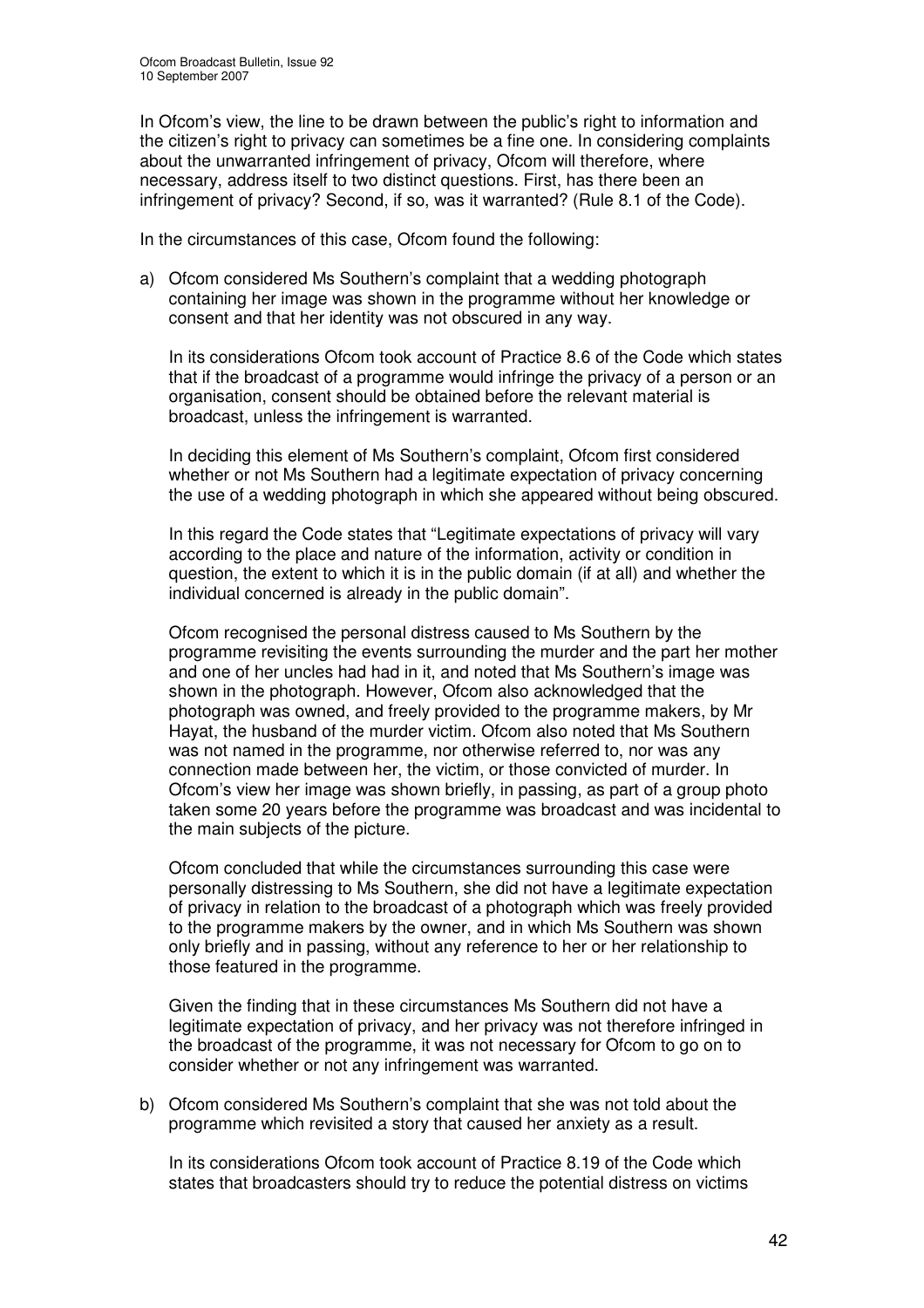In Ofcom's view, the line to be drawn between the public's right to information and the citizen's right to privacy can sometimes be a fine one. In considering complaints about the unwarranted infringement of privacy, Ofcom will therefore, where necessary, address itself to two distinct questions. First, has there been an infringement of privacy? Second, if so, was it warranted? (Rule 8.1 of the Code).

In the circumstances of this case, Ofcom found the following:

a) Ofcom considered Ms Southern's complaint that a wedding photograph containing her image was shown in the programme without her knowledge or consent and that her identity was not obscured in any way.

In its considerations Ofcom took account of Practice 8.6 of the Code which states that if the broadcast of a programme would infringe the privacy of a person or an organisation, consent should be obtained before the relevant material is broadcast, unless the infringement is warranted.

In deciding this element of Ms Southern's complaint, Ofcom first considered whether or not Ms Southern had a legitimate expectation of privacy concerning the use of a wedding photograph in which she appeared without being obscured.

In this regard the Code states that "Legitimate expectations of privacy will vary according to the place and nature of the information, activity or condition in question, the extent to which it is in the public domain (if at all) and whether the individual concerned is already in the public domain".

Ofcom recognised the personal distress caused to Ms Southern by the programme revisiting the events surrounding the murder and the part her mother and one of her uncles had had in it, and noted that Ms Southern's image was shown in the photograph. However, Ofcom also acknowledged that the photograph was owned, and freely provided to the programme makers, by Mr Hayat, the husband of the murder victim. Ofcom also noted that Ms Southern was not named in the programme, nor otherwise referred to, nor was any connection made between her, the victim, or those convicted of murder. In Ofcom's view her image was shown briefly, in passing, as part of a group photo taken some 20 years before the programme was broadcast and was incidental to the main subjects of the picture.

Ofcom concluded that while the circumstances surrounding this case were personally distressing to Ms Southern, she did not have a legitimate expectation of privacy in relation to the broadcast of a photograph which was freely provided to the programme makers by the owner, and in which Ms Southern was shown only briefly and in passing, without any reference to her or her relationship to those featured in the programme.

Given the finding that in these circumstances Ms Southern did not have a legitimate expectation of privacy, and her privacy was not therefore infringed in the broadcast of the programme, it was not necessary for Ofcom to go on to consider whether or not any infringement was warranted.

b) Ofcom considered Ms Southern's complaint that she was not told about the programme which revisited a story that caused her anxiety as a result.

In its considerations Ofcom took account of Practice 8.19 of the Code which states that broadcasters should try to reduce the potential distress on victims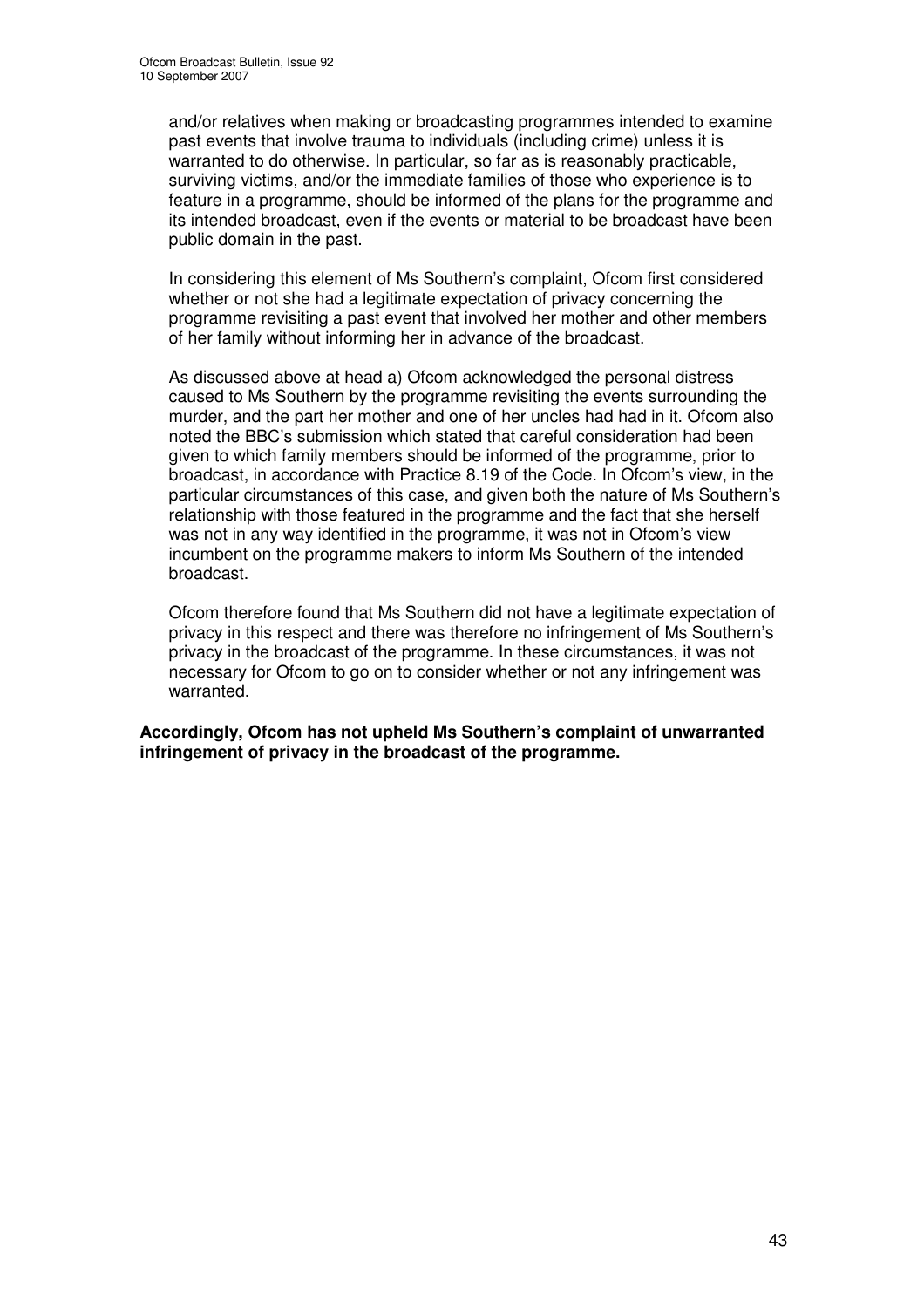and/or relatives when making or broadcasting programmes intended to examine past events that involve trauma to individuals (including crime) unless it is warranted to do otherwise. In particular, so far as is reasonably practicable, surviving victims, and/or the immediate families of those who experience is to feature in a programme, should be informed of the plans for the programme and its intended broadcast, even if the events or material to be broadcast have been public domain in the past.

In considering this element of Ms Southern's complaint, Ofcom first considered whether or not she had a legitimate expectation of privacy concerning the programme revisiting a past event that involved her mother and other members of her family without informing her in advance of the broadcast.

As discussed above at head a) Ofcom acknowledged the personal distress caused to Ms Southern by the programme revisiting the events surrounding the murder, and the part her mother and one of her uncles had had in it. Ofcom also noted the BBC's submission which stated that careful consideration had been given to which family members should be informed of the programme, prior to broadcast, in accordance with Practice 8.19 of the Code. In Ofcom's view, in the particular circumstances of this case, and given both the nature of Ms Southern's relationship with those featured in the programme and the fact that she herself was not in any way identified in the programme, it was not in Ofcom's view incumbent on the programme makers to inform Ms Southern of the intended broadcast.

Ofcom therefore found that Ms Southern did not have a legitimate expectation of privacy in this respect and there was therefore no infringement of Ms Southern's privacy in the broadcast of the programme. In these circumstances, it was not necessary for Ofcom to go on to consider whether or not any infringement was warranted.

**Accordingly, Ofcom has not upheld Ms Southern's complaint of unwarranted infringement of privacy in the broadcast of the programme.**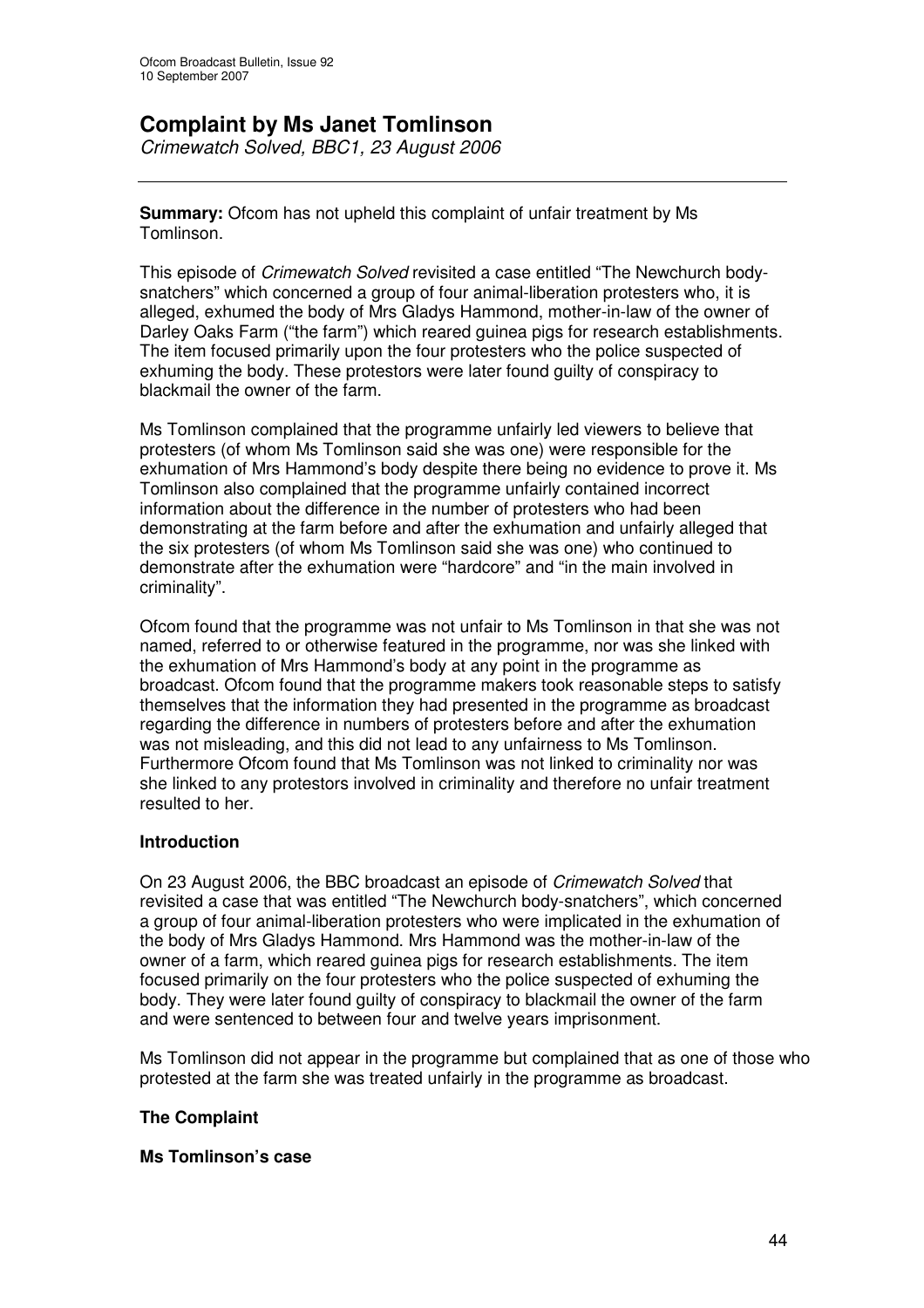# **Complaint by Ms Janet Tomlinson**

*Crimewatch Solved, BBC1, 23 August 2006*

**Summary:** Ofcom has not upheld this complaint of unfair treatment by Ms Tomlinson.

This episode of *Crimewatch Solved* revisited a case entitled "The Newchurch bodysnatchers" which concerned a group of four animal-liberation protesters who, it is alleged, exhumed the body of Mrs Gladys Hammond, mother-in-law of the owner of Darley Oaks Farm ("the farm") which reared guinea pigs for research establishments. The item focused primarily upon the four protesters who the police suspected of exhuming the body. These protestors were later found guilty of conspiracy to blackmail the owner of the farm.

Ms Tomlinson complained that the programme unfairly led viewers to believe that protesters (of whom Ms Tomlinson said she was one) were responsible for the exhumation of Mrs Hammond's body despite there being no evidence to prove it. Ms Tomlinson also complained that the programme unfairly contained incorrect information about the difference in the number of protesters who had been demonstrating at the farm before and after the exhumation and unfairly alleged that the six protesters (of whom Ms Tomlinson said she was one) who continued to demonstrate after the exhumation were "hardcore" and "in the main involved in criminality".

Ofcom found that the programme was not unfair to Ms Tomlinson in that she was not named, referred to or otherwise featured in the programme, nor was she linked with the exhumation of Mrs Hammond's body at any point in the programme as broadcast. Ofcom found that the programme makers took reasonable steps to satisfy themselves that the information they had presented in the programme as broadcast regarding the difference in numbers of protesters before and after the exhumation was not misleading, and this did not lead to any unfairness to Ms Tomlinson. Furthermore Ofcom found that Ms Tomlinson was not linked to criminality nor was she linked to any protestors involved in criminality and therefore no unfair treatment resulted to her.

# **Introduction**

On 23 August 2006, the BBC broadcast an episode of *Crimewatch Solved* that revisited a case that was entitled "The Newchurch body-snatchers", which concerned a group of four animal-liberation protesters who were implicated in the exhumation of the body of Mrs Gladys Hammond. Mrs Hammond was the mother-in-law of the owner of a farm, which reared guinea pigs for research establishments. The item focused primarily on the four protesters who the police suspected of exhuming the body. They were later found guilty of conspiracy to blackmail the owner of the farm and were sentenced to between four and twelve years imprisonment.

Ms Tomlinson did not appear in the programme but complained that as one of those who protested at the farm she was treated unfairly in the programme as broadcast.

# **The Complaint**

# **Ms Tomlinson's case**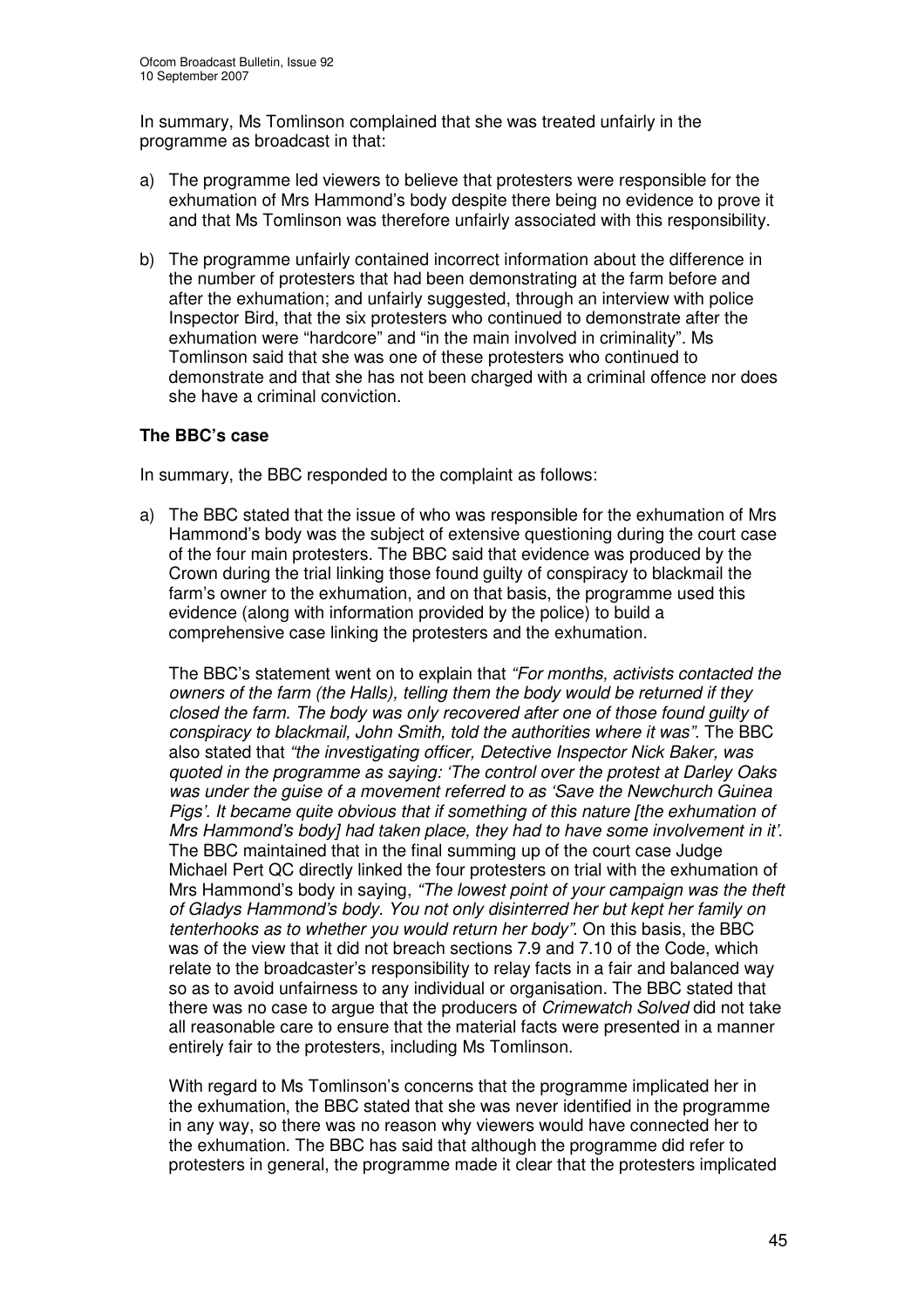In summary, Ms Tomlinson complained that she was treated unfairly in the programme as broadcast in that:

- a) The programme led viewers to believe that protesters were responsible for the exhumation of Mrs Hammond's body despite there being no evidence to prove it and that Ms Tomlinson was therefore unfairly associated with this responsibility.
- b) The programme unfairly contained incorrect information about the difference in the number of protesters that had been demonstrating at the farm before and after the exhumation; and unfairly suggested, through an interview with police Inspector Bird, that the six protesters who continued to demonstrate after the exhumation were "hardcore" and "in the main involved in criminality". Ms Tomlinson said that she was one of these protesters who continued to demonstrate and that she has not been charged with a criminal offence nor does she have a criminal conviction.

# **The BBC's case**

In summary, the BBC responded to the complaint as follows:

a) The BBC stated that the issue of who was responsible for the exhumation of Mrs Hammond's body was the subject of extensive questioning during the court case of the four main protesters. The BBC said that evidence was produced by the Crown during the trial linking those found guilty of conspiracy to blackmail the farm's owner to the exhumation, and on that basis, the programme used this evidence (along with information provided by the police) to build a comprehensive case linking the protesters and the exhumation.

The BBC's statement went on to explain that *"For months, activists contacted the owners of the farm (the Halls), telling them the body would be returned if they closed the farm. The body was only recovered after one of those found guilty of conspiracy to blackmail, John Smith, told the authorities where it was".* The BBC also stated that *"the investigating officer, Detective Inspector Nick Baker, was quoted in the programme as saying: 'The control over the protest at Darley Oaks was under the guise of a movement referred to as 'Save the Newchurch Guinea Pigs'. It became quite obvious that if something of this nature [the exhumation of Mrs Hammond's body] had taken place, they had to have some involvement in it'*. The BBC maintained that in the final summing up of the court case Judge Michael Pert QC directly linked the four protesters on trial with the exhumation of Mrs Hammond's body in saying, *"The lowest point of your campaign was the theft of Gladys Hammond's body. You not only disinterred her but kept her family on tenterhooks as to whether you would return her body"*. On this basis, the BBC was of the view that it did not breach sections 7.9 and 7.10 of the Code, which relate to the broadcaster's responsibility to relay facts in a fair and balanced way so as to avoid unfairness to any individual or organisation. The BBC stated that there was no case to argue that the producers of *Crimewatch Solved* did not take all reasonable care to ensure that the material facts were presented in a manner entirely fair to the protesters, including Ms Tomlinson.

With regard to Ms Tomlinson's concerns that the programme implicated her in the exhumation, the BBC stated that she was never identified in the programme in any way, so there was no reason why viewers would have connected her to the exhumation. The BBC has said that although the programme did refer to protesters in general, the programme made it clear that the protesters implicated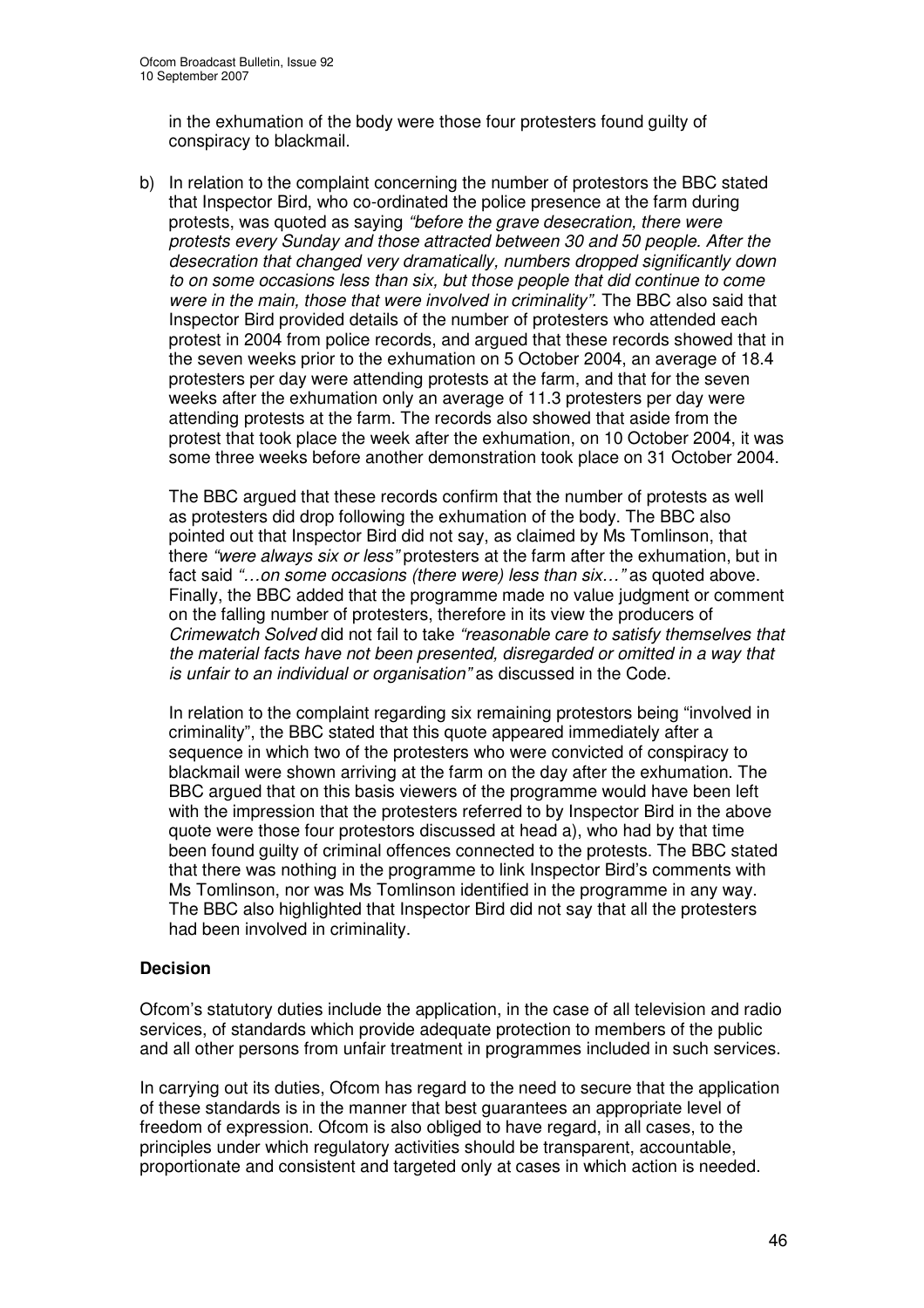in the exhumation of the body were those four protesters found guilty of conspiracy to blackmail.

b) In relation to the complaint concerning the number of protestors the BBC stated that Inspector Bird, who co-ordinated the police presence at the farm during protests, was quoted as saying *"before the grave desecration, there were protests every Sunday and those attracted between 30 and 50 people. After the desecration that changed very dramatically, numbers dropped significantly down to on some occasions less than six, but those people that did continue to come were in the main, those that were involved in criminality".* The BBC also said that Inspector Bird provided details of the number of protesters who attended each protest in 2004 from police records, and argued that these records showed that in the seven weeks prior to the exhumation on 5 October 2004, an average of 18.4 protesters per day were attending protests at the farm, and that for the seven weeks after the exhumation only an average of 11.3 protesters per day were attending protests at the farm. The records also showed that aside from the protest that took place the week after the exhumation, on 10 October 2004, it was some three weeks before another demonstration took place on 31 October 2004.

The BBC argued that these records confirm that the number of protests as well as protesters did drop following the exhumation of the body. The BBC also pointed out that Inspector Bird did not say, as claimed by Ms Tomlinson, that there *"were always six or less"* protesters at the farm after the exhumation, but in fact said *"…on some occasions (there were) less than six…"* as quoted above. Finally, the BBC added that the programme made no value judgment or comment on the falling number of protesters, therefore in its view the producers of *Crimewatch Solved* did not fail to take *"reasonable care to satisfy themselves that the material facts have not been presented, disregarded or omitted in a way that is unfair to an individual or organisation"* as discussed in the Code.

In relation to the complaint regarding six remaining protestors being "involved in criminality", the BBC stated that this quote appeared immediately after a sequence in which two of the protesters who were convicted of conspiracy to blackmail were shown arriving at the farm on the day after the exhumation. The BBC argued that on this basis viewers of the programme would have been left with the impression that the protesters referred to by Inspector Bird in the above quote were those four protestors discussed at head a), who had by that time been found guilty of criminal offences connected to the protests. The BBC stated that there was nothing in the programme to link Inspector Bird's comments with Ms Tomlinson, nor was Ms Tomlinson identified in the programme in any way. The BBC also highlighted that Inspector Bird did not say that all the protesters had been involved in criminality.

# **Decision**

Ofcom's statutory duties include the application, in the case of all television and radio services, of standards which provide adequate protection to members of the public and all other persons from unfair treatment in programmes included in such services.

In carrying out its duties, Ofcom has regard to the need to secure that the application of these standards is in the manner that best guarantees an appropriate level of freedom of expression. Ofcom is also obliged to have regard, in all cases, to the principles under which regulatory activities should be transparent, accountable, proportionate and consistent and targeted only at cases in which action is needed.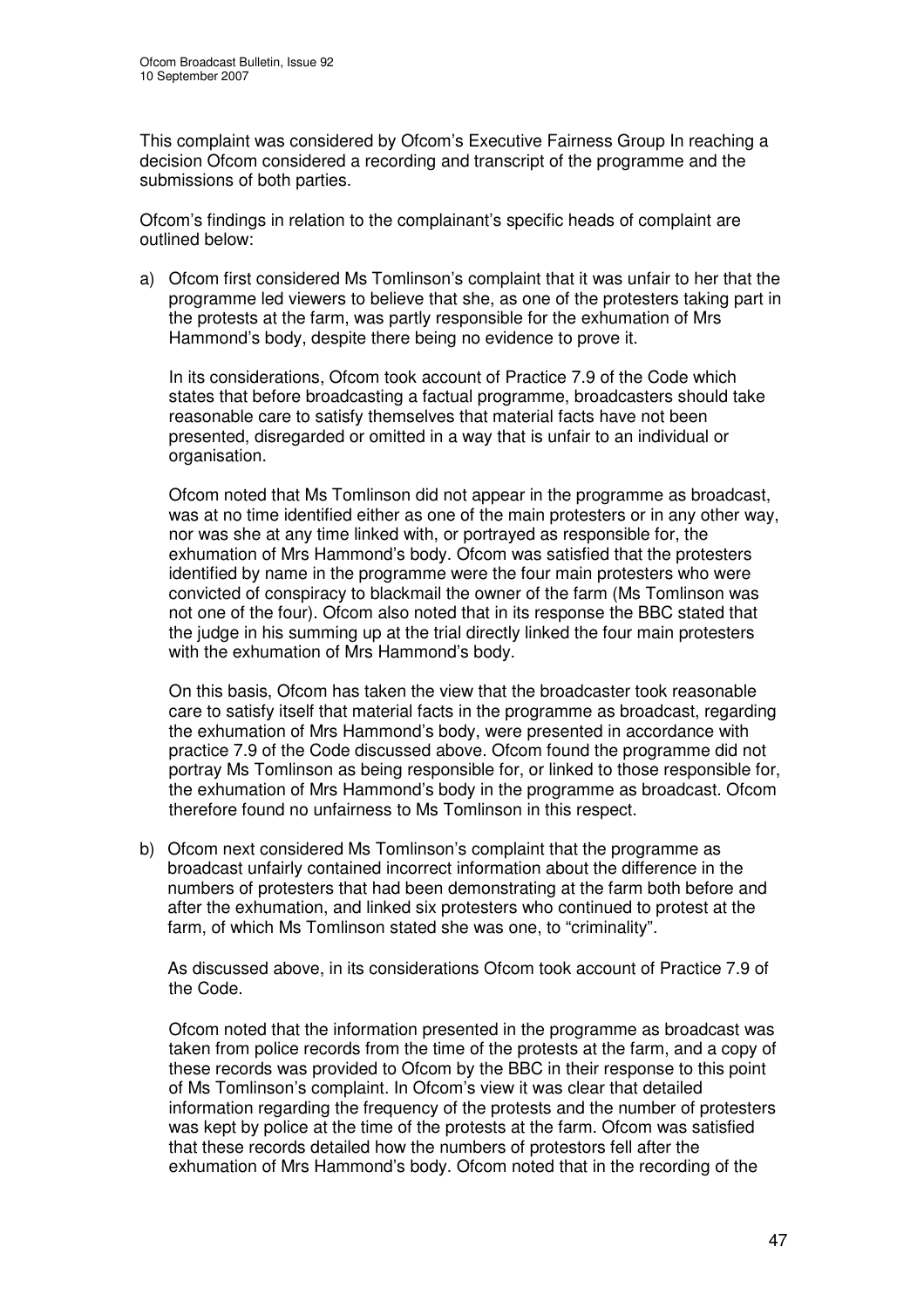This complaint was considered by Ofcom's Executive Fairness Group In reaching a decision Ofcom considered a recording and transcript of the programme and the submissions of both parties.

Ofcom's findings in relation to the complainant's specific heads of complaint are outlined below:

a) Ofcom first considered Ms Tomlinson's complaint that it was unfair to her that the programme led viewers to believe that she, as one of the protesters taking part in the protests at the farm, was partly responsible for the exhumation of Mrs Hammond's body, despite there being no evidence to prove it.

In its considerations, Ofcom took account of Practice 7.9 of the Code which states that before broadcasting a factual programme, broadcasters should take reasonable care to satisfy themselves that material facts have not been presented, disregarded or omitted in a way that is unfair to an individual or organisation.

Ofcom noted that Ms Tomlinson did not appear in the programme as broadcast, was at no time identified either as one of the main protesters or in any other way, nor was she at any time linked with, or portrayed as responsible for, the exhumation of Mrs Hammond's body. Ofcom was satisfied that the protesters identified by name in the programme were the four main protesters who were convicted of conspiracy to blackmail the owner of the farm (Ms Tomlinson was not one of the four). Ofcom also noted that in its response the BBC stated that the judge in his summing up at the trial directly linked the four main protesters with the exhumation of Mrs Hammond's body.

On this basis, Ofcom has taken the view that the broadcaster took reasonable care to satisfy itself that material facts in the programme as broadcast, regarding the exhumation of Mrs Hammond's body, were presented in accordance with practice 7.9 of the Code discussed above. Ofcom found the programme did not portray Ms Tomlinson as being responsible for, or linked to those responsible for, the exhumation of Mrs Hammond's body in the programme as broadcast. Ofcom therefore found no unfairness to Ms Tomlinson in this respect.

b) Ofcom next considered Ms Tomlinson's complaint that the programme as broadcast unfairly contained incorrect information about the difference in the numbers of protesters that had been demonstrating at the farm both before and after the exhumation, and linked six protesters who continued to protest at the farm, of which Ms Tomlinson stated she was one, to "criminality".

As discussed above, in its considerations Ofcom took account of Practice 7.9 of the Code.

Ofcom noted that the information presented in the programme as broadcast was taken from police records from the time of the protests at the farm, and a copy of these records was provided to Ofcom by the BBC in their response to this point of Ms Tomlinson's complaint. In Ofcom's view it was clear that detailed information regarding the frequency of the protests and the number of protesters was kept by police at the time of the protests at the farm. Ofcom was satisfied that these records detailed how the numbers of protestors fell after the exhumation of Mrs Hammond's body. Ofcom noted that in the recording of the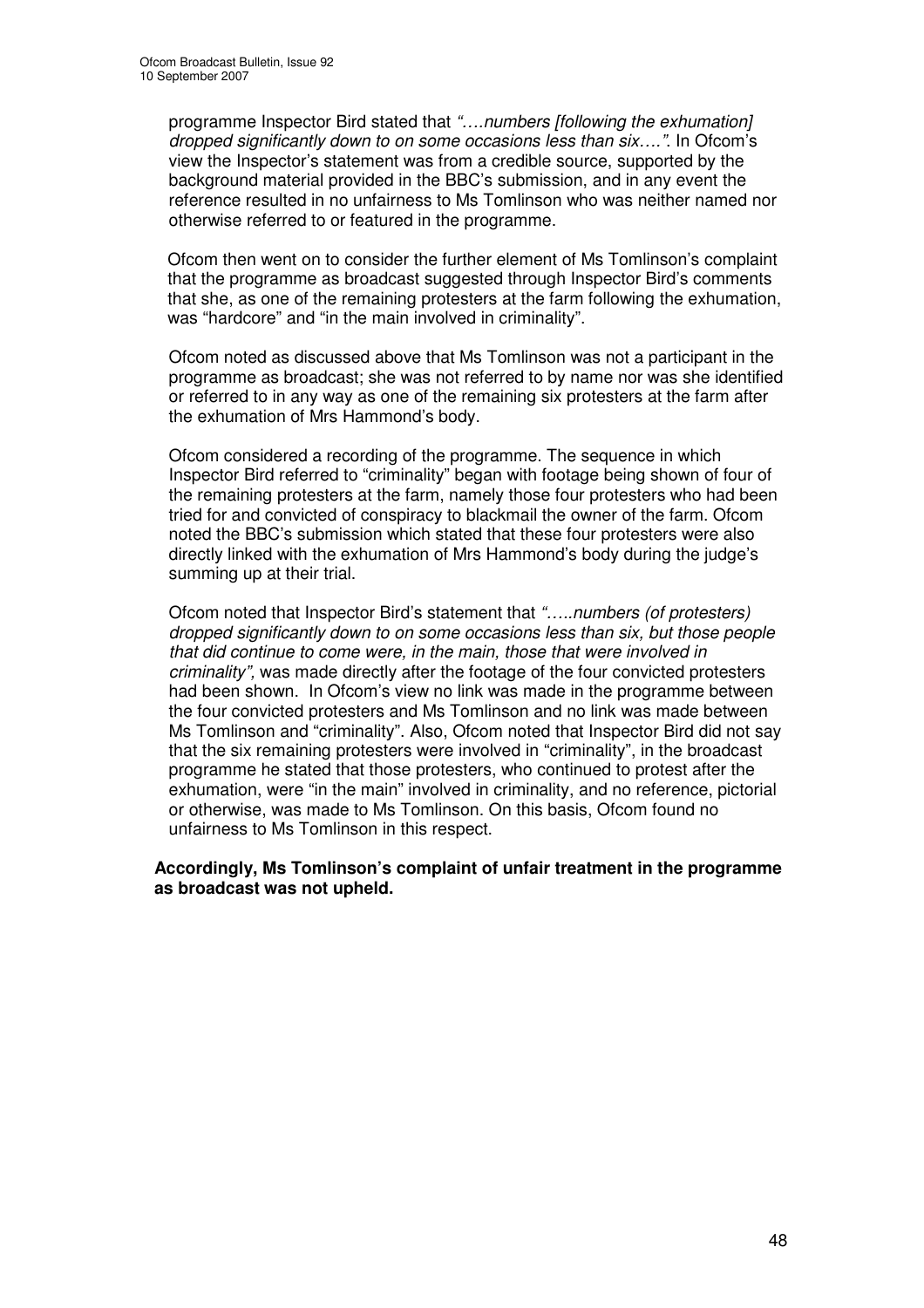programme Inspector Bird stated that *"….numbers [following the exhumation] dropped significantly down to on some occasions less than six…."*. In Ofcom's view the Inspector's statement was from a credible source, supported by the background material provided in the BBC's submission, and in any event the reference resulted in no unfairness to Ms Tomlinson who was neither named nor otherwise referred to or featured in the programme.

Ofcom then went on to consider the further element of Ms Tomlinson's complaint that the programme as broadcast suggested through Inspector Bird's comments that she, as one of the remaining protesters at the farm following the exhumation, was "hardcore" and "in the main involved in criminality".

Ofcom noted as discussed above that Ms Tomlinson was not a participant in the programme as broadcast; she was not referred to by name nor was she identified or referred to in any way as one of the remaining six protesters at the farm after the exhumation of Mrs Hammond's body.

Ofcom considered a recording of the programme. The sequence in which Inspector Bird referred to "criminality" began with footage being shown of four of the remaining protesters at the farm, namely those four protesters who had been tried for and convicted of conspiracy to blackmail the owner of the farm. Ofcom noted the BBC's submission which stated that these four protesters were also directly linked with the exhumation of Mrs Hammond's body during the judge's summing up at their trial.

Ofcom noted that Inspector Bird's statement that *"…..numbers (of protesters) dropped significantly down to on some occasions less than six, but those people that did continue to come were, in the main, those that were involved in criminality",* was made directly after the footage of the four convicted protesters had been shown. In Ofcom's view no link was made in the programme between the four convicted protesters and Ms Tomlinson and no link was made between Ms Tomlinson and "criminality". Also, Ofcom noted that Inspector Bird did not say that the six remaining protesters were involved in "criminality", in the broadcast programme he stated that those protesters, who continued to protest after the exhumation, were "in the main" involved in criminality, and no reference, pictorial or otherwise, was made to Ms Tomlinson. On this basis, Ofcom found no unfairness to Ms Tomlinson in this respect.

#### **Accordingly, Ms Tomlinson's complaint of unfair treatment in the programme as broadcast was not upheld.**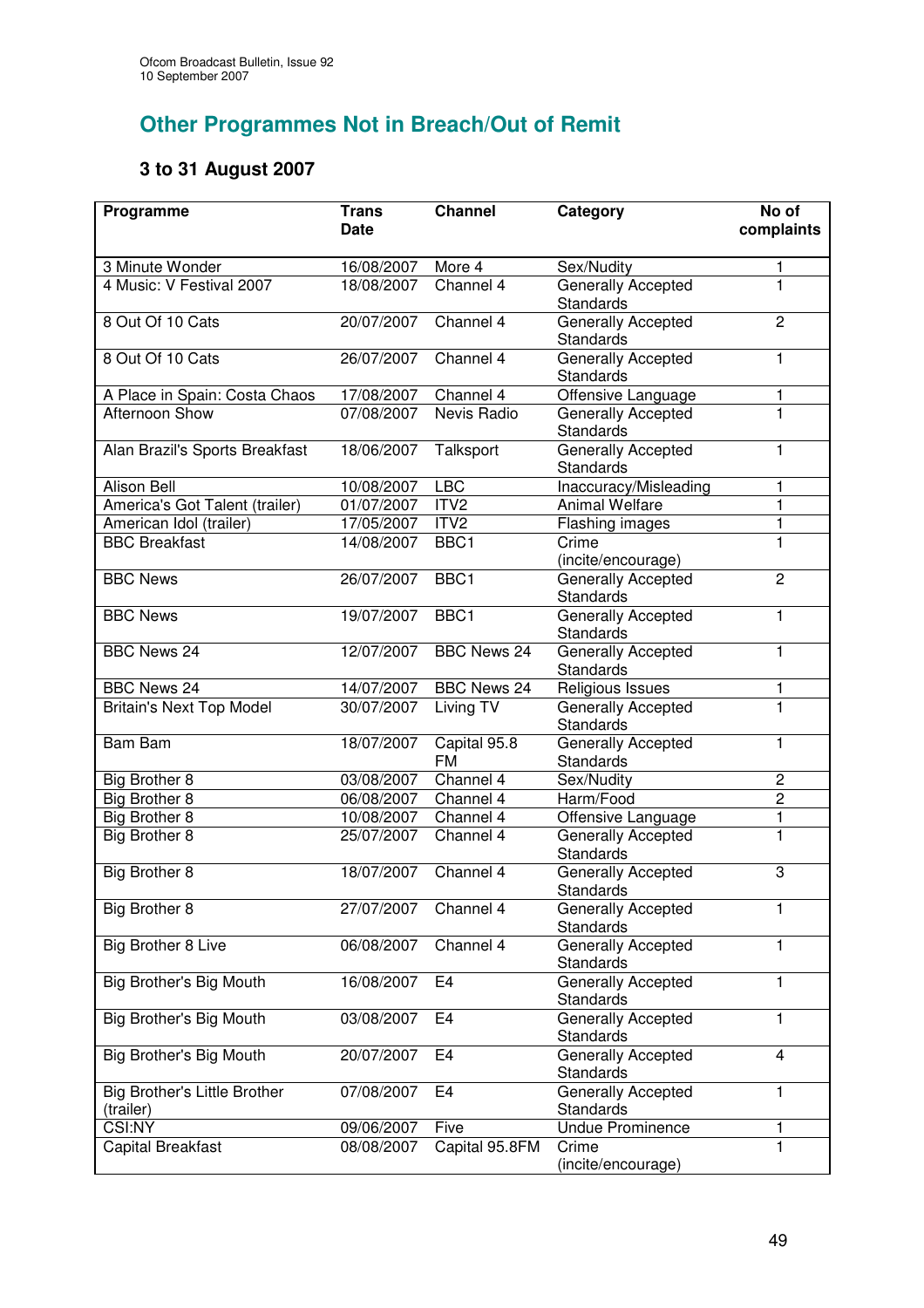# **Other Programmes Not in Breach/Out of Remit**

# **3 to 31 August 2007**

| Programme                                        | <b>Trans</b> | <b>Channel</b>            | Category                                      | No of                   |
|--------------------------------------------------|--------------|---------------------------|-----------------------------------------------|-------------------------|
|                                                  | <b>Date</b>  |                           |                                               | complaints              |
| 3 Minute Wonder                                  | 16/08/2007   | More 4                    | Sex/Nudity                                    | 1                       |
| 4 Music: V Festival 2007                         | 18/08/2007   | Channel 4                 | Generally Accepted<br><b>Standards</b>        | $\mathbf{1}$            |
| 8 Out Of 10 Cats                                 | 20/07/2007   | Channel 4                 | Generally Accepted<br>Standards               | $\overline{2}$          |
| 8 Out Of 10 Cats                                 | 26/07/2007   | Channel 4                 | Generally Accepted<br><b>Standards</b>        | 1                       |
| A Place in Spain: Costa Chaos                    | 17/08/2007   | Channel 4                 | Offensive Language                            | 1                       |
| Afternoon Show                                   | 07/08/2007   | Nevis Radio               | Generally Accepted<br><b>Standards</b>        | $\overline{1}$          |
| Alan Brazil's Sports Breakfast                   | 18/06/2007   | Talksport                 | Generally Accepted<br><b>Standards</b>        | $\mathbf{1}$            |
| Alison Bell                                      | 10/08/2007   | <b>LBC</b>                | Inaccuracy/Misleading                         | 1                       |
| America's Got Talent (trailer)                   | 01/07/2007   | ITV <sub>2</sub>          | Animal Welfare                                | $\mathbf{1}$            |
| American Idol (trailer)                          | 17/05/2007   | ITV <sub>2</sub>          | Flashing images                               | $\mathbf{1}$            |
| <b>BBC Breakfast</b>                             | 14/08/2007   | BBC1                      | Crime<br>(incite/encourage)                   | $\overline{1}$          |
| <b>BBC News</b>                                  | 26/07/2007   | BBC <sub>1</sub>          | <b>Generally Accepted</b><br><b>Standards</b> | $\overline{2}$          |
| <b>BBC News</b>                                  | 19/07/2007   | BBC1                      | Generally Accepted<br><b>Standards</b>        | $\mathbf{1}$            |
| <b>BBC News 24</b>                               | 12/07/2007   | <b>BBC News 24</b>        | <b>Generally Accepted</b><br>Standards        | $\mathbf{1}$            |
| <b>BBC News 24</b>                               | 14/07/2007   | <b>BBC News 24</b>        | Religious Issues                              | 1                       |
| <b>Britain's Next Top Model</b>                  | 30/07/2007   | Living TV                 | Generally Accepted<br>Standards               | $\overline{1}$          |
| <b>Bam Bam</b>                                   | 18/07/2007   | Capital 95.8<br><b>FM</b> | Generally Accepted<br>Standards               | $\overline{1}$          |
| Big Brother 8                                    | 03/08/2007   | Channel 4                 | Sex/Nudity                                    | 2                       |
| Big Brother 8                                    | 06/08/2007   | Channel 4                 | Harm/Food                                     | $\overline{2}$          |
| <b>Big Brother 8</b>                             | 10/08/2007   | Channel 4                 | Offensive Language                            | 1                       |
| Big Brother 8                                    | 25/07/2007   | Channel 4                 | <b>Generally Accepted</b><br><b>Standards</b> | $\overline{1}$          |
| Big Brother 8                                    | 18/07/2007   | Channel 4                 | Generally Accepted<br><b>Standards</b>        | 3                       |
| Big Brother 8                                    | 27/07/2007   | Channel 4                 | Generally Accepted<br><b>Standards</b>        | 1                       |
| Big Brother 8 Live                               | 06/08/2007   | Channel 4                 | Generally Accepted<br><b>Standards</b>        | 1                       |
| Big Brother's Big Mouth                          | 16/08/2007   | E4                        | <b>Generally Accepted</b><br>Standards        | 1                       |
| <b>Big Brother's Big Mouth</b>                   | 03/08/2007   | E <sub>4</sub>            | <b>Generally Accepted</b><br><b>Standards</b> | $\mathbf{1}$            |
| <b>Big Brother's Big Mouth</b>                   | 20/07/2007   | E <sub>4</sub>            | <b>Generally Accepted</b><br><b>Standards</b> | $\overline{\mathbf{4}}$ |
| <b>Big Brother's Little Brother</b><br>(trailer) | 07/08/2007   | E4                        | Generally Accepted<br><b>Standards</b>        | 1                       |
| CSI:NY                                           | 09/06/2007   | Five                      | <b>Undue Prominence</b>                       | 1                       |
| Capital Breakfast                                | 08/08/2007   | Capital 95.8FM            | Crime<br>(incite/encourage)                   | $\mathbf{1}$            |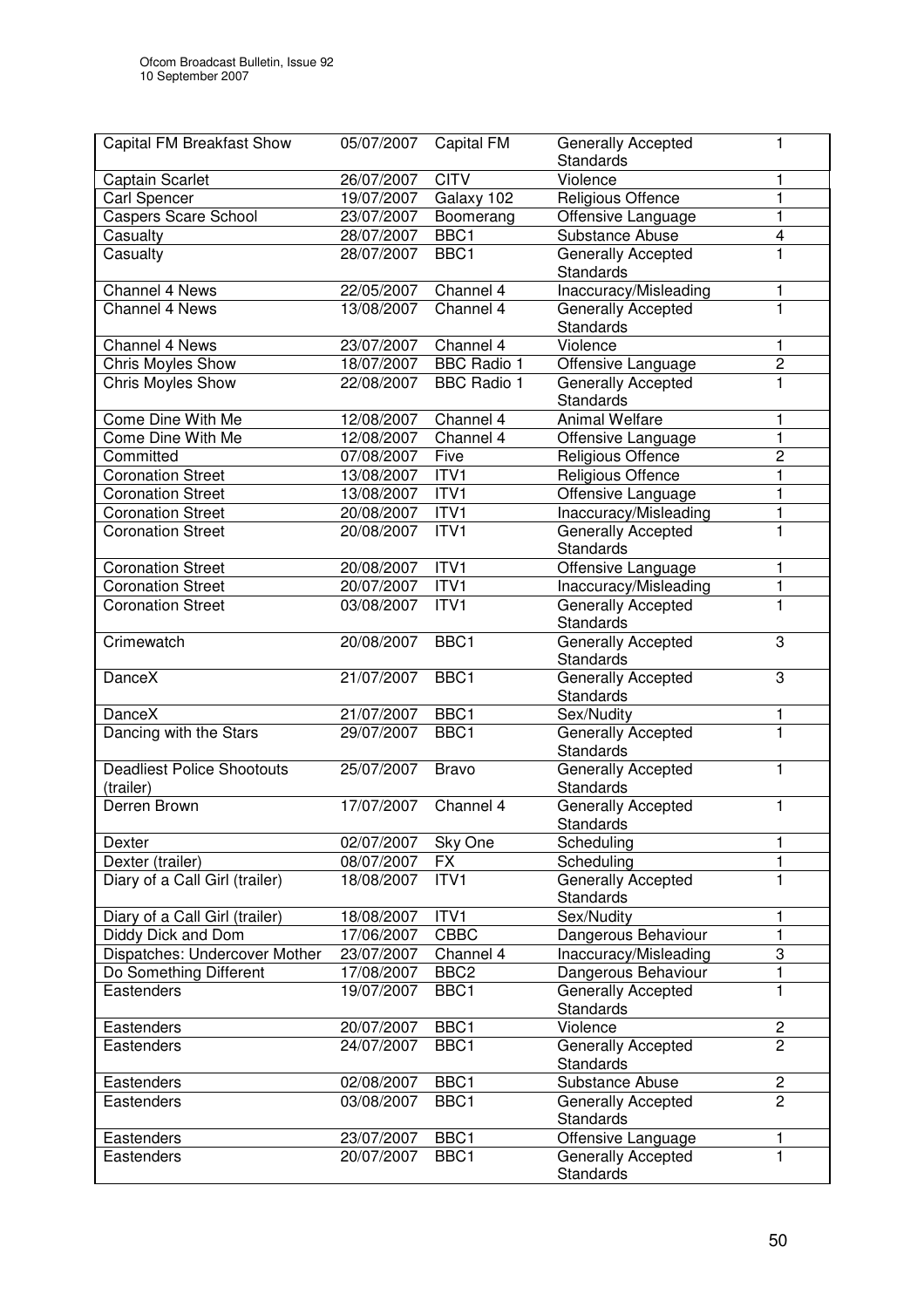| <b>Capital FM Breakfast Show</b>               | 05/07/2007 | Capital FM         | <b>Generally Accepted</b><br><b>Standards</b> | 1                       |
|------------------------------------------------|------------|--------------------|-----------------------------------------------|-------------------------|
| Captain Scarlet                                | 26/07/2007 | <b>CITV</b>        | Violence                                      | 1                       |
| <b>Carl Spencer</b>                            | 19/07/2007 | Galaxy 102         | Religious Offence                             | $\mathbf{1}$            |
| <b>Caspers Scare School</b>                    | 23/07/2007 | Boomerang          | Offensive Language                            | $\mathbf{1}$            |
| Casualty                                       | 28/07/2007 | BBC1               | Substance Abuse                               | $\overline{\mathbf{4}}$ |
| Casualty                                       | 28/07/2007 | BBC1               | <b>Generally Accepted</b><br>Standards        | $\mathbf{1}$            |
| <b>Channel 4 News</b>                          | 22/05/2007 | Channel 4          | Inaccuracy/Misleading                         | 1                       |
| Channel 4 News                                 | 13/08/2007 | Channel 4          | <b>Generally Accepted</b><br><b>Standards</b> | $\mathbf{1}$            |
| Channel 4 News                                 | 23/07/2007 | Channel 4          | Violence                                      | 1                       |
| <b>Chris Moyles Show</b>                       | 18/07/2007 | <b>BBC Radio 1</b> | Offensive Language                            | $\overline{2}$          |
| Chris Moyles Show                              | 22/08/2007 | <b>BBC Radio 1</b> | Generally Accepted<br>Standards               | $\mathbf 1$             |
| Come Dine With Me                              | 12/08/2007 | Channel 4          | <b>Animal Welfare</b>                         | $\mathbf{1}$            |
| Come Dine With Me                              | 12/08/2007 | Channel 4          | Offensive Language                            | $\mathbf{1}$            |
| Committed                                      | 07/08/2007 | Five               | Religious Offence                             | $\overline{c}$          |
| <b>Coronation Street</b>                       | 13/08/2007 | ITV1               | Religious Offence                             | $\mathbf{1}$            |
| <b>Coronation Street</b>                       | 13/08/2007 | ITV1               | Offensive Language                            | $\mathbf{1}$            |
| <b>Coronation Street</b>                       | 20/08/2007 | ITV1               | Inaccuracy/Misleading                         | $\mathbf{1}$            |
| <b>Coronation Street</b>                       | 20/08/2007 | ITV1               | <b>Generally Accepted</b><br>Standards        | $\mathbf{1}$            |
| <b>Coronation Street</b>                       | 20/08/2007 | ITVI               | Offensive Language                            | 1                       |
| <b>Coronation Street</b>                       | 20/07/2007 | ITV1               | Inaccuracy/Misleading                         | $\mathbf{1}$            |
| <b>Coronation Street</b>                       | 03/08/2007 | ITV <sub>1</sub>   | <b>Generally Accepted</b><br>Standards        | 1                       |
| Crimewatch                                     | 20/08/2007 | BBC1               | Generally Accepted<br>Standards               | 3                       |
| DanceX                                         | 21/07/2007 | BBC1               | Generally Accepted<br>Standards               | 3                       |
| DanceX                                         | 21/07/2007 | BBC <sub>1</sub>   | Sex/Nudity                                    | 1                       |
| Dancing with the Stars                         | 29/07/2007 | BBC1               | Generally Accepted<br>Standards               | $\overline{1}$          |
| <b>Deadliest Police Shootouts</b><br>(trailer) | 25/07/2007 | <b>Bravo</b>       | Generally Accepted<br>Standards               | $\mathbf{1}$            |
| Derren Brown                                   | 17/07/2007 | Channel 4          | <b>Generally Accepted</b><br>Standards        | 1                       |
| Dexter                                         | 02/07/2007 | Sky One            | Scheduling                                    | 1                       |
| Dexter (trailer)                               | 08/07/2007 | <b>FX</b>          | Scheduling                                    | 1                       |
| Diary of a Call Girl (trailer)                 | 18/08/2007 | ITV1               | Generally Accepted<br><b>Standards</b>        | 1                       |
| Diary of a Call Girl (trailer)                 | 18/08/2007 | ITV1               | Sex/Nudity                                    | 1                       |
| Diddy Dick and Dom                             | 17/06/2007 | <b>CBBC</b>        | Dangerous Behaviour                           | 1                       |
| Dispatches: Undercover Mother                  | 23/07/2007 | Channel 4          | Inaccuracy/Misleading                         | 3                       |
| Do Something Different                         | 17/08/2007 | BBC <sub>2</sub>   | Dangerous Behaviour                           | $\mathbf{1}$            |
| Eastenders                                     | 19/07/2007 | BBC1               | Generally Accepted<br>Standards               | 1                       |
| Eastenders                                     | 20/07/2007 | BBC1               | Violence                                      | $\overline{c}$          |
| Eastenders                                     | 24/07/2007 | BBC1               | Generally Accepted<br>Standards               | $\overline{2}$          |
| Eastenders                                     | 02/08/2007 | BBC1               | Substance Abuse                               | $\mathbf 2$             |
| Eastenders                                     | 03/08/2007 | BBC1               | Generally Accepted<br><b>Standards</b>        | $\overline{2}$          |
| Eastenders                                     | 23/07/2007 | BBC1               | Offensive Language                            | 1                       |
| Eastenders                                     | 20/07/2007 | BBC1               | <b>Generally Accepted</b><br>Standards        | $\mathbf{1}$            |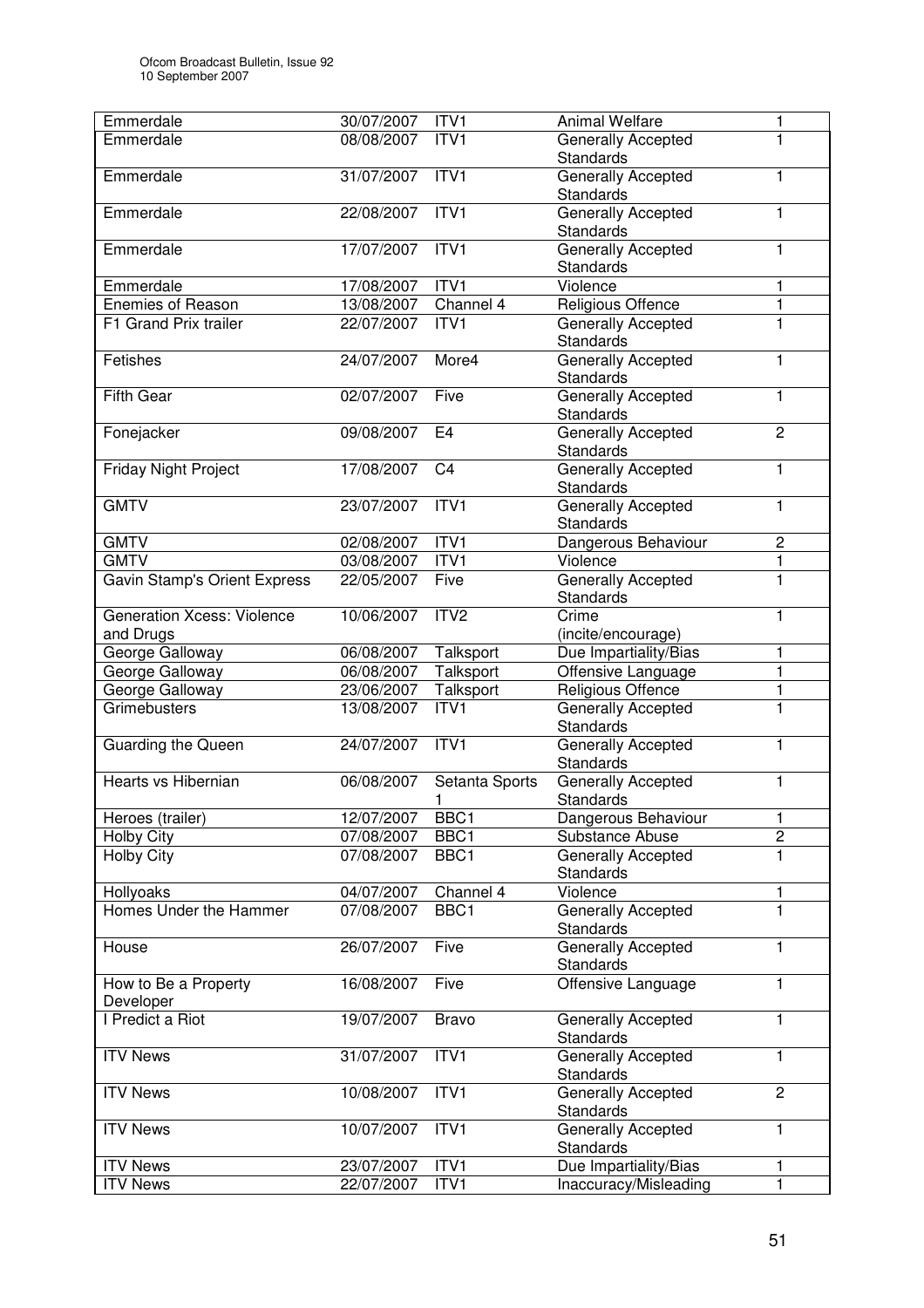| Emmerdale                              | 30/07/2007               | ITV1                   | <b>Animal Welfare</b>                   | 1                 |
|----------------------------------------|--------------------------|------------------------|-----------------------------------------|-------------------|
| Emmerdale                              | 08/08/2007               | ITV1                   | Generally Accepted                      | $\mathbf 1$       |
|                                        |                          |                        | <b>Standards</b>                        |                   |
| Emmerdale                              | 31/07/2007               | ITV1                   | Generally Accepted                      | $\mathbf{1}$      |
|                                        |                          |                        | Standards                               |                   |
| Emmerdale                              | 22/08/2007               | ITV1                   | <b>Generally Accepted</b>               | 1                 |
|                                        |                          |                        | Standards                               |                   |
| Emmerdale                              | 17/07/2007               | ITVI                   | <b>Generally Accepted</b>               | 1                 |
|                                        |                          |                        | <b>Standards</b>                        |                   |
| Emmerdale                              | 17/08/2007               | ITV1                   | Violence                                | 1                 |
| <b>Enemies of Reason</b>               | 13/08/2007               | Channel 4              | Religious Offence                       | $\mathbf{1}$      |
| F1 Grand Prix trailer                  | 22/07/2007               | ITV1                   | Generally Accepted                      | $\overline{1}$    |
|                                        |                          |                        | Standards                               |                   |
| Fetishes                               | 24/07/2007               | More4                  | <b>Generally Accepted</b>               | 1                 |
|                                        |                          |                        | Standards                               |                   |
| <b>Fifth Gear</b>                      | 02/07/2007               | Five                   | Generally Accepted                      | 1                 |
|                                        |                          | E <sub>4</sub>         | Standards                               | $\overline{2}$    |
| Fonejacker                             | 09/08/2007               |                        | <b>Generally Accepted</b>               |                   |
|                                        |                          |                        | Standards<br><b>Generally Accepted</b>  |                   |
| <b>Friday Night Project</b>            | 17/08/2007               | C <sub>4</sub>         |                                         | $\mathbf{1}$      |
| <b>GMTV</b>                            |                          | ITVI                   | Standards                               | $\mathbf{1}$      |
|                                        | 23/07/2007               |                        | Generally Accepted                      |                   |
| <b>GMTV</b>                            |                          |                        | Standards                               |                   |
|                                        | 02/08/2007               | ITV1                   | Dangerous Behaviour                     | $\overline{c}$    |
| <b>GMTV</b>                            | 03/08/2007               | ITV1                   | Violence                                | 1<br>$\mathbf{1}$ |
| <b>Gavin Stamp's Orient Express</b>    | 22/05/2007               | Five                   | Generally Accepted                      |                   |
|                                        |                          |                        | Standards                               |                   |
| <b>Generation Xcess: Violence</b>      | 10/06/2007               | ITV <sub>2</sub>       | Crime                                   | 1                 |
| and Drugs                              | 06/08/2007               |                        | (incite/encourage)                      |                   |
| George Galloway                        | 06/08/2007               | Talksport<br>Talksport | Due Impartiality/Bias                   | 1<br>$\mathbf{1}$ |
| George Galloway                        |                          |                        | Offensive Language                      | 1                 |
| George Galloway<br><b>Grimebusters</b> | 23/06/2007<br>13/08/2007 | Talksport<br>ITV1      | Religious Offence<br>Generally Accepted | $\overline{1}$    |
|                                        |                          |                        | <b>Standards</b>                        |                   |
| <b>Guarding the Queen</b>              | 24/07/2007               | ITVI                   | Generally Accepted                      | 1                 |
|                                        |                          |                        | Standards                               |                   |
| Hearts vs Hibernian                    | 06/08/2007               | Setanta Sports         | <b>Generally Accepted</b>               | 1                 |
|                                        |                          | 1                      | Standards                               |                   |
| Heroes (trailer)                       | 12/07/2007               | BBC1                   | Dangerous Behaviour                     | 1                 |
| <b>Holby City</b>                      | 07/08/2007               | BBC1                   | Substance Abuse                         | $\overline{2}$    |
| <b>Holby City</b>                      | 07/08/2007               | BBC1                   | Generally Accepted                      | $\overline{1}$    |
|                                        |                          |                        | <b>Standards</b>                        |                   |
| Hollyoaks                              | 04/07/2007               | Channel 4              | Violence                                | 1                 |
| Homes Under the Hammer                 | 07/08/2007               | BBC1                   | <b>Generally Accepted</b>               | 1                 |
|                                        |                          |                        | Standards                               |                   |
| House                                  | 26/07/2007               | Five                   | <b>Generally Accepted</b>               | 1                 |
|                                        |                          |                        | Standards                               |                   |
| How to Be a Property                   | 16/08/2007               | Five                   | Offensive Language                      | $\mathbf{1}$      |
| Developer                              |                          |                        |                                         |                   |
| I Predict a Riot                       | 19/07/2007               | <b>Bravo</b>           | Generally Accepted                      | 1                 |
|                                        |                          |                        | Standards                               |                   |
| <b>ITV News</b>                        | 31/07/2007               | ITV1                   | Generally Accepted                      | $\mathbf{1}$      |
|                                        |                          |                        | Standards                               |                   |
| <b>ITV News</b>                        | 10/08/2007               | ITVI                   | Generally Accepted                      | $\overline{2}$    |
|                                        |                          |                        | Standards                               |                   |
| <b>ITV News</b>                        | 10/07/2007               | ITV1                   | Generally Accepted                      | 1                 |
|                                        |                          |                        | Standards                               |                   |
| <b>ITV News</b>                        | 23/07/2007               | ITV1                   | Due Impartiality/Bias                   | 1                 |
| <b>ITV News</b>                        | 22/07/2007               | ITV1                   | Inaccuracy/Misleading                   | $\mathbf{1}$      |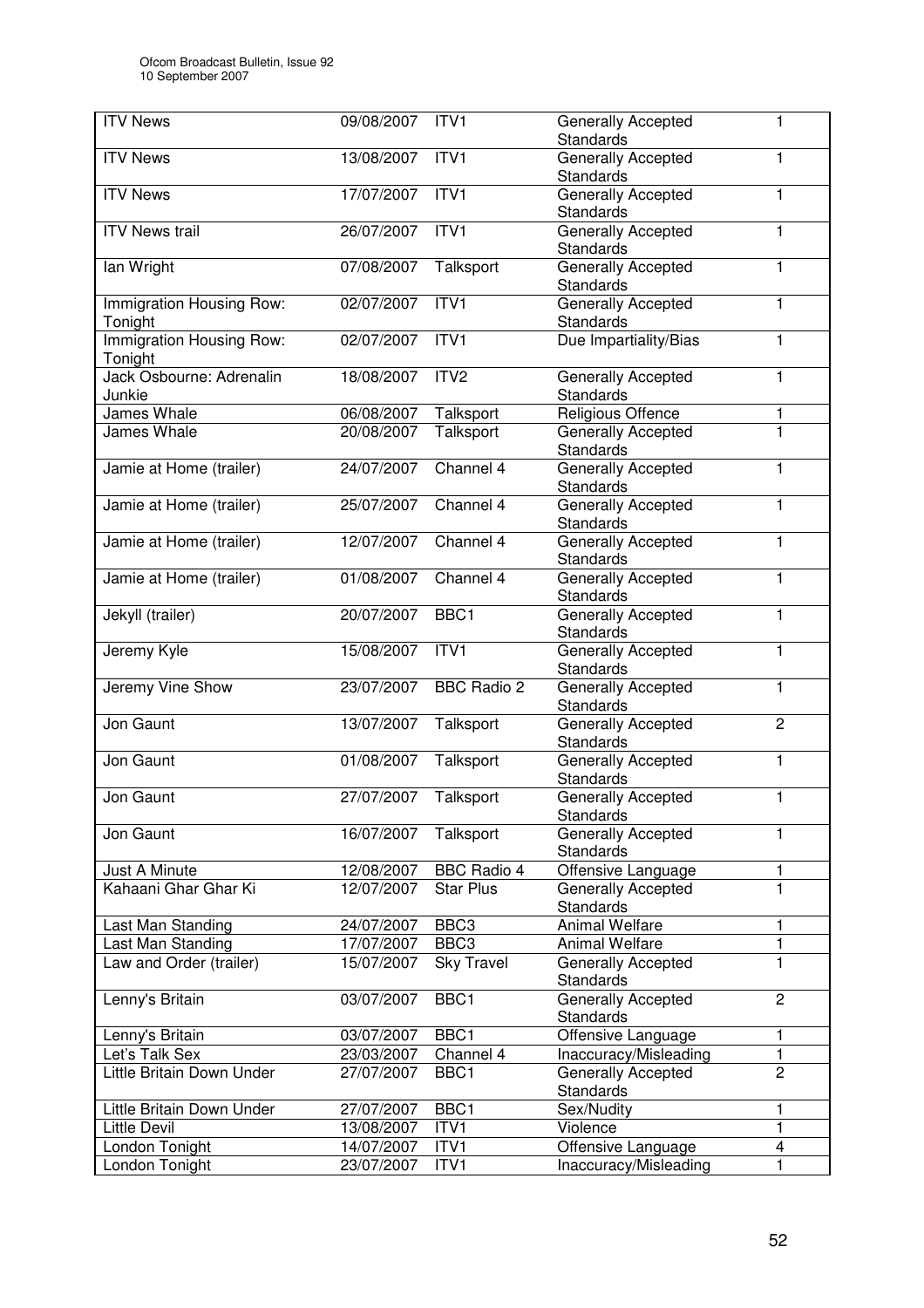| <b>ITV News</b>                     | 09/08/2007 | ITV <sub>1</sub>   | Generally Accepted<br><b>Standards</b>        | 1              |
|-------------------------------------|------------|--------------------|-----------------------------------------------|----------------|
| <b>ITV News</b>                     | 13/08/2007 | ITV1               | <b>Generally Accepted</b><br><b>Standards</b> | 1              |
| <b>ITV News</b>                     | 17/07/2007 | ITVI               | Generally Accepted<br><b>Standards</b>        | $\mathbf{1}$   |
| <b>ITV News trail</b>               | 26/07/2007 | ITV1               | <b>Generally Accepted</b><br>Standards        | 1              |
| lan Wright                          | 07/08/2007 | Talksport          | <b>Generally Accepted</b><br><b>Standards</b> | 1              |
| Immigration Housing Row:<br>Tonight | 02/07/2007 | ITVI               | <b>Generally Accepted</b><br>Standards        | $\mathbf{1}$   |
| Immigration Housing Row:<br>Tonight | 02/07/2007 | ITVI               | Due Impartiality/Bias                         | 1              |
| Jack Osbourne: Adrenalin<br>Junkie  | 18/08/2007 | ITV2               | Generally Accepted<br>Standards               | 1              |
| James Whale                         | 06/08/2007 | Talksport          | Religious Offence                             | 1              |
| James Whale                         | 20/08/2007 | Talksport          | Generally Accepted<br>Standards               | $\overline{1}$ |
| Jamie at Home (trailer)             | 24/07/2007 | Channel 4          | Generally Accepted<br>Standards               | 1              |
| Jamie at Home (trailer)             | 25/07/2007 | Channel 4          | Generally Accepted<br>Standards               | $\mathbf{1}$   |
| Jamie at Home (trailer)             | 12/07/2007 | Channel 4          | Generally Accepted<br>Standards               | $\mathbf{1}$   |
| Jamie at Home (trailer)             | 01/08/2007 | Channel 4          | Generally Accepted<br>Standards               | $\mathbf{1}$   |
| Jekyll (trailer)                    | 20/07/2007 | BBC1               | Generally Accepted<br><b>Standards</b>        | $\mathbf{1}$   |
| Jeremy Kyle                         | 15/08/2007 | ITVI               | Generally Accepted<br>Standards               | $\mathbf{1}$   |
| Jeremy Vine Show                    | 23/07/2007 | <b>BBC Radio 2</b> | Generally Accepted<br><b>Standards</b>        | 1              |
| Jon Gaunt                           | 13/07/2007 | Talksport          | <b>Generally Accepted</b><br>Standards        | $\overline{2}$ |
| Jon Gaunt                           | 01/08/2007 | Talksport          | Generally Accepted<br>Standards               | $\mathbf{1}$   |
| Jon Gaunt                           | 27/07/2007 | Talksport          | <b>Generally Accepted</b><br>Standards        | $\mathbf{1}$   |
| Jon Gaunt                           | 16/07/2007 | Talksport          | Generally Accepted<br>Standards               | 1              |
| Just A Minute                       | 12/08/2007 | <b>BBC Radio 4</b> | Offensive Language                            | 1              |
| Kahaani Ghar Ghar Ki                | 12/07/2007 | <b>Star Plus</b>   | Generally Accepted<br>Standards               | $\mathbf{1}$   |
| Last Man Standing                   | 24/07/2007 | BBC <sub>3</sub>   | <b>Animal Welfare</b>                         | 1              |
| Last Man Standing                   | 17/07/2007 | BBC <sub>3</sub>   | Animal Welfare                                | 1              |
| Law and Order (trailer)             | 15/07/2007 | <b>Sky Travel</b>  | Generally Accepted<br>Standards               | 1              |
| Lenny's Britain                     | 03/07/2007 | BBC1               | Generally Accepted<br>Standards               | $\overline{2}$ |
| Lenny's Britain                     | 03/07/2007 | BBC1               | Offensive Language                            | 1              |
| Let's Talk Sex                      | 23/03/2007 | Channel 4          | Inaccuracy/Misleading                         | 1              |
| Little Britain Down Under           | 27/07/2007 | BBC1               | <b>Generally Accepted</b><br>Standards        | $\overline{2}$ |
| Little Britain Down Under           | 27/07/2007 | BBC1               | Sex/Nudity                                    | 1              |
| <b>Little Devil</b>                 | 13/08/2007 | ITV1               | Violence                                      | 1              |
| London Tonight                      | 14/07/2007 | ITV1               | Offensive Language                            | 4              |
| London Tonight                      | 23/07/2007 | ITV <sub>1</sub>   | Inaccuracy/Misleading                         | 1              |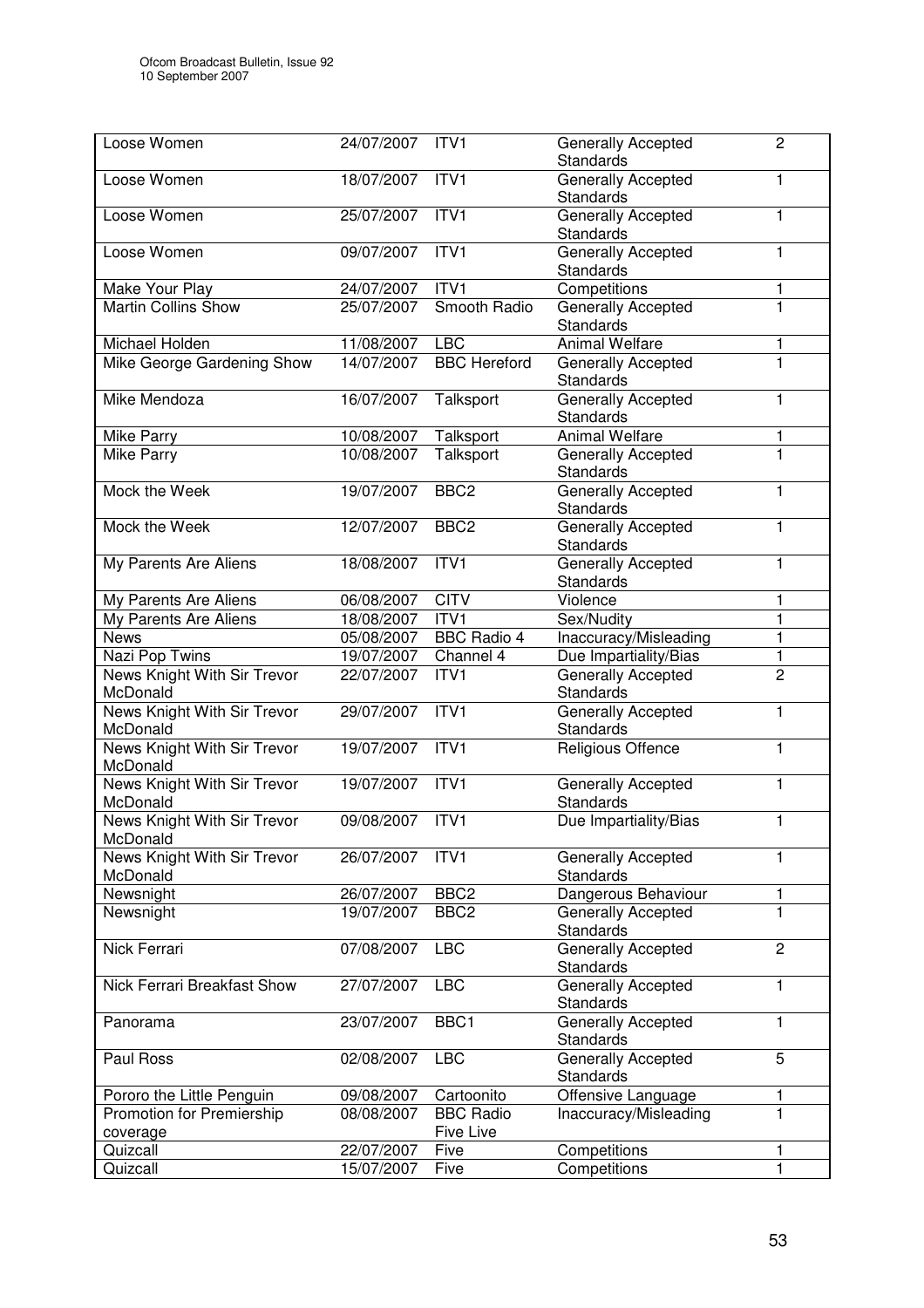| Loose Women                             | 24/07/2007 | ITVI                                 | Generally Accepted<br><b>Standards</b>        | $\overline{2}$ |
|-----------------------------------------|------------|--------------------------------------|-----------------------------------------------|----------------|
| Loose Women                             | 18/07/2007 | ITV1                                 | Generally Accepted<br>Standards               | $\mathbf{1}$   |
| Loose Women                             | 25/07/2007 | ITV1                                 | Generally Accepted<br>Standards               | 1              |
| Loose Women                             | 09/07/2007 | ITV1                                 | <b>Generally Accepted</b><br><b>Standards</b> | 1              |
| Make Your Play                          | 24/07/2007 | ITV1                                 | Competitions                                  | 1              |
| <b>Martin Collins Show</b>              | 25/07/2007 | Smooth Radio                         | <b>Generally Accepted</b><br><b>Standards</b> | $\mathbf{1}$   |
| Michael Holden                          | 11/08/2007 | <b>LBC</b>                           | Animal Welfare                                | 1              |
| Mike George Gardening Show              | 14/07/2007 | <b>BBC</b> Hereford                  | Generally Accepted<br><b>Standards</b>        | $\overline{1}$ |
| Mike Mendoza                            | 16/07/2007 | Talksport                            | Generally Accepted<br><b>Standards</b>        | 1              |
| Mike Parry                              | 10/08/2007 | Talksport                            | <b>Animal Welfare</b>                         | 1              |
| Mike Parry                              | 10/08/2007 | Talksport                            | Generally Accepted<br>Standards               | $\overline{1}$ |
| Mock the Week                           | 19/07/2007 | BBC <sub>2</sub>                     | <b>Generally Accepted</b><br>Standards        | 1              |
| Mock the Week                           | 12/07/2007 | BBC <sub>2</sub>                     | <b>Generally Accepted</b><br><b>Standards</b> | 1              |
| My Parents Are Aliens                   | 18/08/2007 | ITV1                                 | <b>Generally Accepted</b><br>Standards        | 1              |
| My Parents Are Aliens                   | 06/08/2007 | <b>CITV</b>                          | Violence                                      | 1              |
| My Parents Are Aliens                   | 18/08/2007 | ITVI                                 | Sex/Nudity                                    | 1              |
| <b>News</b>                             | 05/08/2007 | <b>BBC Radio 4</b>                   | Inaccuracy/Misleading                         | 1              |
| Nazi Pop Twins                          | 19/07/2007 | Channel 4                            | Due Impartiality/Bias                         | 1              |
| News Knight With Sir Trevor<br>McDonald | 22/07/2007 | ITV <sub>1</sub>                     | Generally Accepted<br>Standards               | $\overline{2}$ |
| News Knight With Sir Trevor<br>McDonald | 29/07/2007 | ITVI                                 | Generally Accepted<br>Standards               | $\mathbf{1}$   |
| News Knight With Sir Trevor<br>McDonald | 19/07/2007 | ITVI                                 | Religious Offence                             | 1              |
| News Knight With Sir Trevor<br>McDonald | 19/07/2007 | ITVI                                 | Generally Accepted<br>Standards               | $\mathbf{1}$   |
| News Knight With Sir Trevor<br>McDonald | 09/08/2007 | ITV <sub>1</sub>                     | Due Impartiality/Bias                         | 1              |
| News Knight With Sir Trevor<br>McDonald | 26/07/2007 | ITV1                                 | Generally Accepted<br><b>Standards</b>        | 1              |
| Newsnight                               | 26/07/2007 | BBC <sub>2</sub>                     | Dangerous Behaviour                           | 1              |
| Newsnight                               | 19/07/2007 | BBC <sub>2</sub>                     | Generally Accepted<br><b>Standards</b>        | $\mathbf 1$    |
| Nick Ferrari                            | 07/08/2007 | <b>LBC</b>                           | Generally Accepted<br><b>Standards</b>        | $\overline{2}$ |
| Nick Ferrari Breakfast Show             | 27/07/2007 | <b>LBC</b>                           | Generally Accepted<br>Standards               | $\mathbf{1}$   |
| Panorama                                | 23/07/2007 | BBC1                                 | <b>Generally Accepted</b><br>Standards        | 1              |
| Paul Ross                               | 02/08/2007 | <b>LBC</b>                           | <b>Generally Accepted</b><br>Standards        | $\overline{5}$ |
| Pororo the Little Penguin               | 09/08/2007 | Cartoonito                           | Offensive Language                            | 1              |
| Promotion for Premiership<br>coverage   | 08/08/2007 | <b>BBC</b> Radio<br><b>Five Live</b> | Inaccuracy/Misleading                         | 1              |
| Quizcall                                | 22/07/2007 | Five                                 | Competitions                                  | 1              |
| Quizcall                                | 15/07/2007 | Five                                 | Competitions                                  | 1              |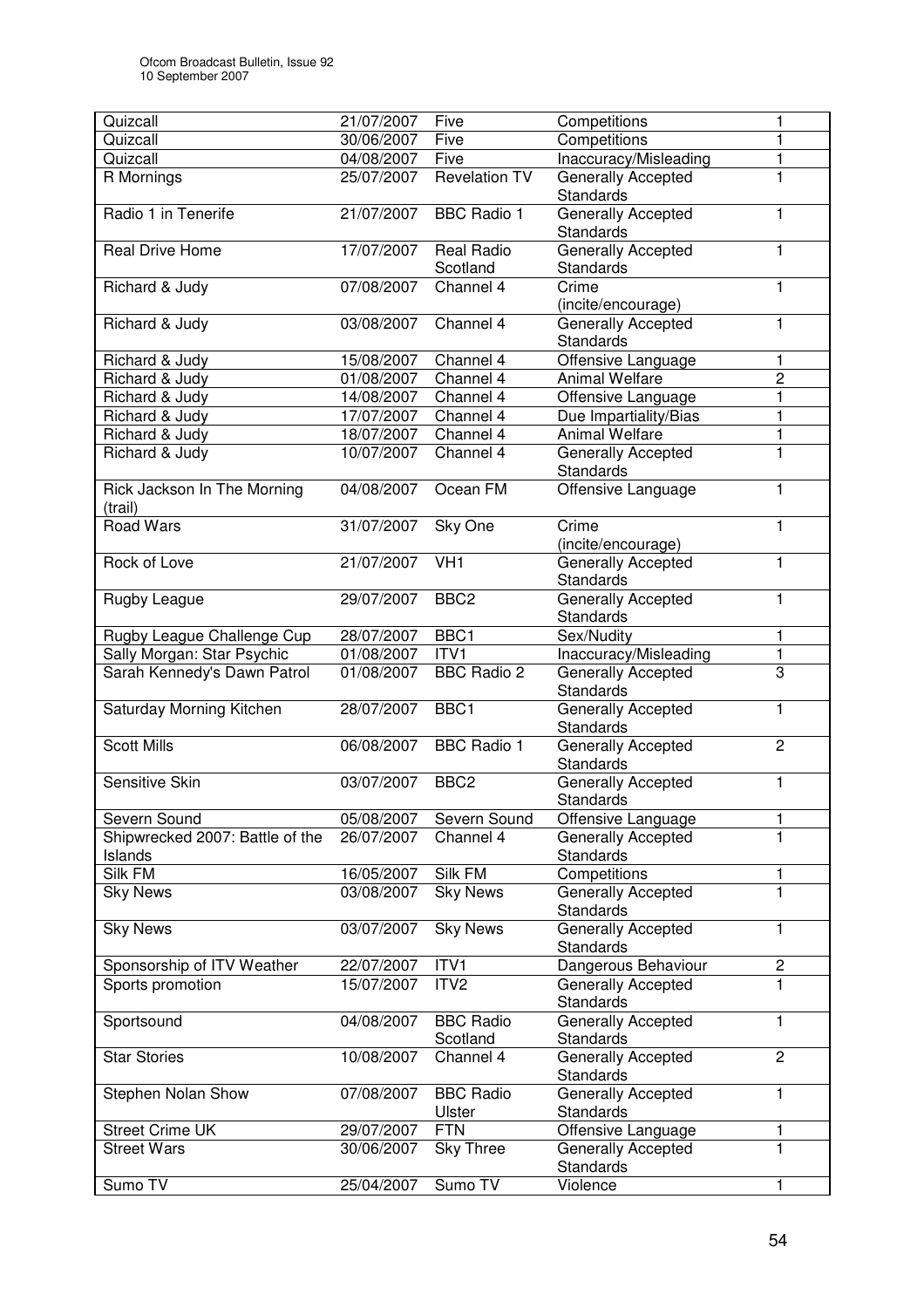| Quizcall                                   | 21/07/2007 | Five                          | Competitions                                  | 1              |
|--------------------------------------------|------------|-------------------------------|-----------------------------------------------|----------------|
| Quizcall                                   | 30/06/2007 | Five                          | Competitions                                  | 1              |
| Quizcall                                   | 04/08/2007 | Five                          | Inaccuracy/Misleading                         | 1              |
| R Mornings                                 | 25/07/2007 | <b>Revelation TV</b>          | Generally Accepted                            | $\overline{1}$ |
|                                            |            |                               | <b>Standards</b>                              |                |
| Radio 1 in Tenerife                        | 21/07/2007 | <b>BBC Radio 1</b>            | <b>Generally Accepted</b><br>Standards        | 1              |
| <b>Real Drive Home</b>                     | 17/07/2007 | <b>Real Radio</b><br>Scotland | <b>Generally Accepted</b><br><b>Standards</b> | 1              |
| Richard & Judy                             | 07/08/2007 | Channel 4                     | Crime<br>(incite/encourage)                   | $\mathbf{1}$   |
| Richard & Judy                             | 03/08/2007 | Channel 4                     | <b>Generally Accepted</b><br>Standards        | 1              |
| Richard & Judy                             | 15/08/2007 | Channel 4                     | Offensive Language                            | 1              |
| Richard & Judy                             | 01/08/2007 | Channel 4                     | <b>Animal Welfare</b>                         | 2              |
| Richard & Judy                             | 14/08/2007 | Channel 4                     | Offensive Language                            | $\mathbf{1}$   |
| Richard & Judy                             | 17/07/2007 | Channel 4                     | Due Impartiality/Bias                         | 1              |
| Richard & Judy                             | 18/07/2007 | Channel 4                     | <b>Animal Welfare</b>                         | 1              |
| Richard & Judy                             | 10/07/2007 | Channel 4                     | Generally Accepted<br><b>Standards</b>        | $\mathbf{1}$   |
| Rick Jackson In The Morning<br>(trail)     | 04/08/2007 | Ocean FM                      | Offensive Language                            | 1              |
| <b>Road Wars</b>                           | 31/07/2007 | Sky One                       | Crime<br>(incite/encourage)                   | $\mathbf{1}$   |
| Rock of Love                               | 21/07/2007 | $\overline{V}$ H <sub>1</sub> | <b>Generally Accepted</b><br>Standards        | 1              |
| Rugby League                               | 29/07/2007 | BBC <sub>2</sub>              | <b>Generally Accepted</b><br>Standards        | $\mathbf{1}$   |
| Rugby League Challenge Cup                 | 28/07/2007 | BBC1                          | Sex/Nudity                                    | 1              |
| Sally Morgan: Star Psychic                 | 01/08/2007 | ITV1                          | Inaccuracy/Misleading                         | 1              |
| Sarah Kennedy's Dawn Patrol                | 01/08/2007 | <b>BBC Radio 2</b>            | Generally Accepted<br>Standards               | 3              |
| Saturday Morning Kitchen                   | 28/07/2007 | BBC1                          | Generally Accepted<br><b>Standards</b>        | 1              |
| <b>Scott Mills</b>                         | 06/08/2007 | <b>BBC Radio 1</b>            | Generally Accepted<br><b>Standards</b>        | $\overline{2}$ |
| Sensitive Skin                             | 03/07/2007 | BBC <sub>2</sub>              | <b>Generally Accepted</b><br><b>Standards</b> | 1              |
| Severn Sound                               | 05/08/2007 | Severn Sound                  | Offensive Language                            | 1              |
| Shipwrecked 2007: Battle of the<br>Islands | 26/07/2007 | Channel 4                     | Generally Accepted<br><b>Standards</b>        | $\mathbf{1}$   |
| Silk FM                                    | 16/05/2007 | Silk FM                       | Competitions                                  | 1              |
| <b>Sky News</b>                            | 03/08/2007 | <b>Sky News</b>               | Generally Accepted<br>Standards               | $\mathbf{1}$   |
| <b>Sky News</b>                            | 03/07/2007 | <b>Sky News</b>               | <b>Generally Accepted</b><br><b>Standards</b> | 1              |
| Sponsorship of ITV Weather                 | 22/07/2007 | ITV1                          | Dangerous Behaviour                           | $\overline{c}$ |
| Sports promotion                           | 15/07/2007 | ITV <sub>2</sub>              | <b>Generally Accepted</b><br>Standards        | $\mathbf{1}$   |
| Sportsound                                 | 04/08/2007 | <b>BBC Radio</b><br>Scotland  | Generally Accepted<br>Standards               | 1              |
| <b>Star Stories</b>                        | 10/08/2007 | Channel 4                     | Generally Accepted<br>Standards               | $\overline{c}$ |
| Stephen Nolan Show                         | 07/08/2007 | <b>BBC Radio</b><br>Ulster    | Generally Accepted<br>Standards               | 1              |
| <b>Street Crime UK</b>                     | 29/07/2007 | <b>FTN</b>                    | Offensive Language                            | 1              |
| <b>Street Wars</b>                         | 30/06/2007 | Sky Three                     | Generally Accepted<br>Standards               | $\overline{1}$ |
| Sumo TV                                    | 25/04/2007 | Sumo TV                       | Violence                                      | 1              |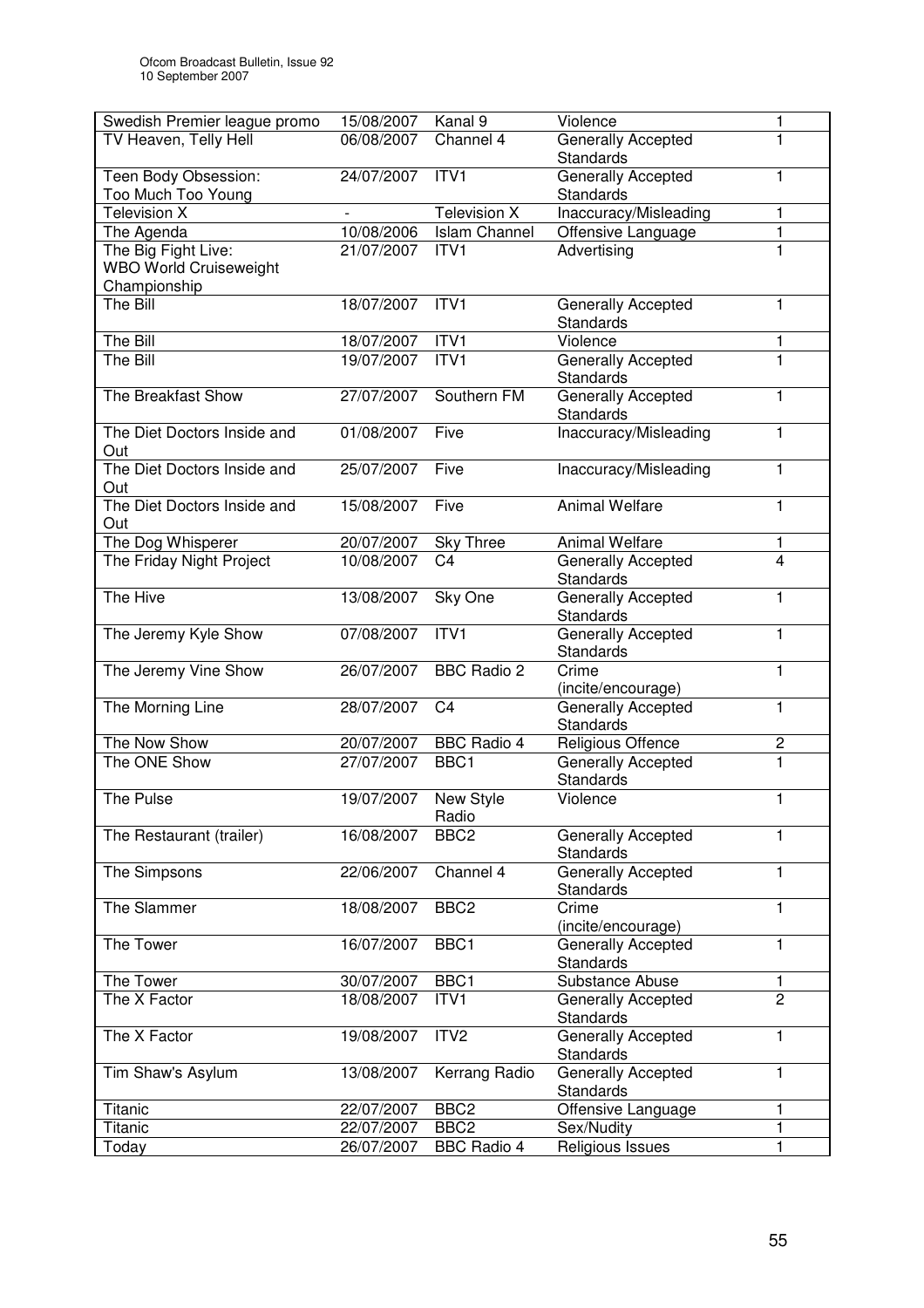| Swedish Premier league promo  | 15/08/2007 | Kanal 9              | Violence                                      | 1                |
|-------------------------------|------------|----------------------|-----------------------------------------------|------------------|
| TV Heaven, Telly Hell         | 06/08/2007 | Channel 4            | Generally Accepted                            | 1                |
|                               |            |                      | <b>Standards</b>                              |                  |
| Teen Body Obsession:          | 24/07/2007 | ITV1                 | Generally Accepted                            | $\mathbf{1}$     |
| Too Much Too Young            |            |                      | <b>Standards</b>                              |                  |
| <b>Television X</b>           |            | <b>Television X</b>  | Inaccuracy/Misleading                         | 1                |
| The Agenda                    | 10/08/2006 | <b>Islam Channel</b> | Offensive Language                            | $\mathbf{1}$     |
| The Big Fight Live:           | 21/07/2007 | ITV1                 | Advertising                                   | $\mathbf{1}$     |
| <b>WBO World Cruiseweight</b> |            |                      |                                               |                  |
| Championship                  |            |                      |                                               |                  |
| The Bill                      | 18/07/2007 | ITV1                 | Generally Accepted<br><b>Standards</b>        | $\mathbf{1}$     |
| The Bill                      | 18/07/2007 | ITV1                 | Violence                                      | 1                |
| The Bill                      | 19/07/2007 | ITV1                 | Generally Accepted                            | $\mathbf{1}$     |
|                               |            |                      | <b>Standards</b>                              |                  |
| The Breakfast Show            | 27/07/2007 | Southern FM          | Generally Accepted<br><b>Standards</b>        | 1                |
| The Diet Doctors Inside and   | 01/08/2007 | Five                 | Inaccuracy/Misleading                         | 1                |
| Out                           |            |                      |                                               |                  |
| The Diet Doctors Inside and   | 25/07/2007 | Five                 | Inaccuracy/Misleading                         | 1                |
| Out                           |            |                      |                                               |                  |
| The Diet Doctors Inside and   | 15/08/2007 | Five                 | <b>Animal Welfare</b>                         | $\mathbf{1}$     |
| Out                           |            |                      |                                               |                  |
| The Dog Whisperer             | 20/07/2007 | <b>Sky Three</b>     | <b>Animal Welfare</b>                         | 1                |
| The Friday Night Project      | 10/08/2007 | C <sub>4</sub>       | Generally Accepted                            | $\overline{4}$   |
|                               |            |                      | Standards                                     |                  |
| The Hive                      | 13/08/2007 | Sky One              | Generally Accepted                            | 1                |
|                               |            |                      | Standards                                     |                  |
| The Jeremy Kyle Show          | 07/08/2007 | ITVI                 | Generally Accepted                            | $\mathbf{1}$     |
|                               |            |                      | <b>Standards</b>                              |                  |
| The Jeremy Vine Show          | 26/07/2007 | <b>BBC Radio 2</b>   | Crime                                         | $\mathbf{1}$     |
|                               |            |                      | (incite/encourage)                            |                  |
| The Morning Line              | 28/07/2007 | C <sub>4</sub>       | <b>Generally Accepted</b>                     | 1                |
|                               |            |                      | Standards                                     |                  |
| The Now Show                  | 20/07/2007 | <b>BBC Radio 4</b>   | Religious Offence                             | $\boldsymbol{2}$ |
| The ONE Show                  | 27/07/2007 | BBC1                 | Generally Accepted                            | $\overline{1}$   |
|                               |            |                      | Standards                                     |                  |
| The Pulse                     | 19/07/2007 | <b>New Style</b>     | Violence                                      | $\mathbf{1}$     |
|                               |            | Radio                |                                               |                  |
| The Restaurant (trailer)      | 16/08/2007 | BBC <sub>2</sub>     | <b>Generally Accepted</b><br><b>Standards</b> | 1                |
| The Simpsons                  | 22/06/2007 | Channel 4            | <b>Generally Accepted</b>                     | 1                |
|                               |            |                      | <b>Standards</b>                              |                  |
| The Slammer                   | 18/08/2007 | BBC <sub>2</sub>     | Crime                                         | $\mathbf{1}$     |
|                               |            |                      | (incite/encourage)                            |                  |
| The Tower                     | 16/07/2007 | BBC1                 | <b>Generally Accepted</b>                     | 1                |
|                               |            |                      | Standards                                     |                  |
| The Tower                     | 30/07/2007 | BBC1                 | Substance Abuse                               | 1                |
| The X Factor                  | 18/08/2007 | ITV1                 | Generally Accepted                            | $\overline{2}$   |
|                               |            |                      | Standards                                     |                  |
| The X Factor                  | 19/08/2007 | ITV <sub>2</sub>     | Generally Accepted                            | $\mathbf{1}$     |
|                               |            |                      | Standards                                     |                  |
| Tim Shaw's Asylum             | 13/08/2007 | Kerrang Radio        | Generally Accepted                            | 1                |
|                               |            |                      | <b>Standards</b>                              |                  |
| Titanic                       | 22/07/2007 | BBC <sub>2</sub>     | Offensive Language                            | 1                |
| Titanic                       | 22/07/2007 | BBC <sub>2</sub>     | Sex/Nudity                                    | 1                |
| Today                         | 26/07/2007 | <b>BBC Radio 4</b>   | Religious Issues                              | $\mathbf{1}$     |